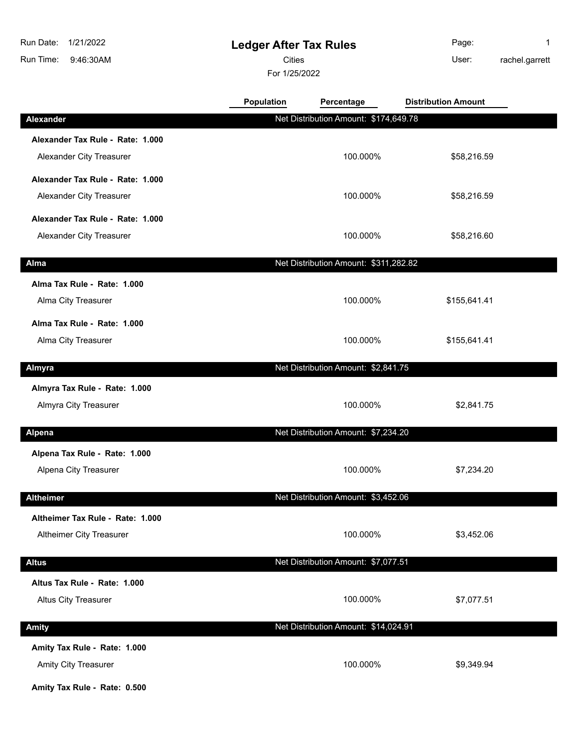## **Ledger After Tax Rules**

Cities User:

For 1/25/2022

Page: 1 rachel.garrett

|                                                              | <b>Population</b> | Percentage                            | <b>Distribution Amount</b> |  |
|--------------------------------------------------------------|-------------------|---------------------------------------|----------------------------|--|
| <b>Alexander</b>                                             |                   | Net Distribution Amount: \$174,649.78 |                            |  |
| Alexander Tax Rule - Rate: 1.000                             |                   |                                       |                            |  |
| Alexander City Treasurer                                     |                   | 100.000%                              | \$58,216.59                |  |
| Alexander Tax Rule - Rate: 1.000                             |                   |                                       |                            |  |
| Alexander City Treasurer                                     |                   | 100.000%                              | \$58,216.59                |  |
| Alexander Tax Rule - Rate: 1.000                             |                   |                                       |                            |  |
| Alexander City Treasurer                                     |                   | 100.000%                              | \$58,216.60                |  |
| Alma                                                         |                   | Net Distribution Amount: \$311,282.82 |                            |  |
| Alma Tax Rule - Rate: 1.000                                  |                   |                                       |                            |  |
| Alma City Treasurer                                          |                   | 100.000%                              | \$155,641.41               |  |
| Alma Tax Rule - Rate: 1.000                                  |                   |                                       |                            |  |
| Alma City Treasurer                                          |                   | 100.000%                              | \$155,641.41               |  |
| Almyra                                                       |                   | Net Distribution Amount: \$2,841.75   |                            |  |
| Almyra Tax Rule - Rate: 1.000                                |                   |                                       |                            |  |
| Almyra City Treasurer                                        |                   | 100.000%                              | \$2,841.75                 |  |
| <b>Alpena</b>                                                |                   | Net Distribution Amount: \$7,234.20   |                            |  |
| Alpena Tax Rule - Rate: 1.000                                |                   |                                       |                            |  |
| Alpena City Treasurer                                        |                   | 100.000%                              | \$7,234.20                 |  |
| <b>Altheimer</b>                                             |                   | Net Distribution Amount: \$3,452.06   |                            |  |
|                                                              |                   |                                       |                            |  |
| Altheimer Tax Rule - Rate: 1.000<br>Altheimer City Treasurer |                   | 100.000%                              | \$3,452.06                 |  |
|                                                              |                   |                                       |                            |  |
| <b>Altus</b>                                                 |                   | Net Distribution Amount: \$7,077.51   |                            |  |
| Altus Tax Rule - Rate: 1.000                                 |                   |                                       |                            |  |
| <b>Altus City Treasurer</b>                                  |                   | 100.000%                              | \$7,077.51                 |  |
| <b>Amity</b>                                                 |                   | Net Distribution Amount: \$14,024.91  |                            |  |
| Amity Tax Rule - Rate: 1.000                                 |                   |                                       |                            |  |
| Amity City Treasurer                                         |                   | 100.000%                              | \$9,349.94                 |  |
|                                                              |                   |                                       |                            |  |

**Amity Tax Rule - Rate: 0.500**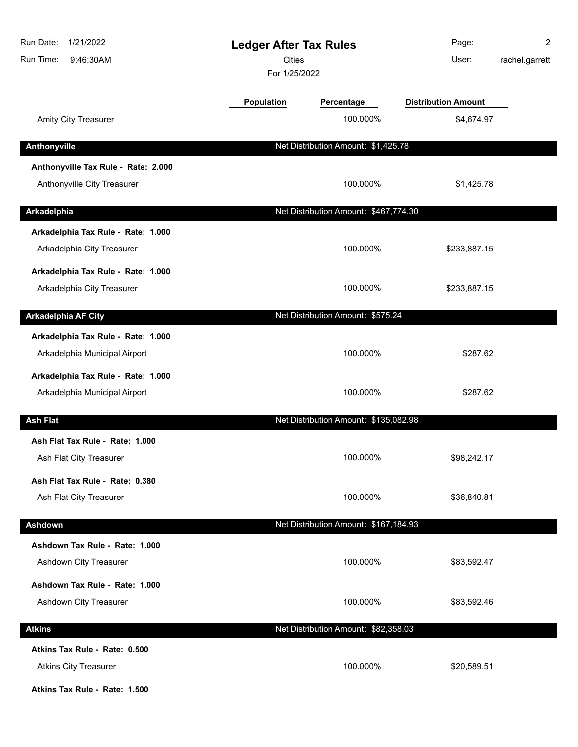| Run Date:<br>1/21/2022<br>Run Time:<br>9:46:30AM                    | <b>Ledger After Tax Rules</b><br><b>Cities</b><br>For 1/25/2022 |                                       | Page:<br>User:             | $\overline{2}$<br>rachel.garrett |
|---------------------------------------------------------------------|-----------------------------------------------------------------|---------------------------------------|----------------------------|----------------------------------|
|                                                                     | <b>Population</b>                                               | Percentage                            | <b>Distribution Amount</b> |                                  |
| Amity City Treasurer                                                |                                                                 | 100.000%                              | \$4,674.97                 |                                  |
| Anthonyville                                                        |                                                                 | Net Distribution Amount: \$1,425.78   |                            |                                  |
| Anthonyville Tax Rule - Rate: 2.000<br>Anthonyville City Treasurer  |                                                                 | 100.000%                              | \$1,425.78                 |                                  |
| Arkadelphia                                                         |                                                                 | Net Distribution Amount: \$467,774.30 |                            |                                  |
| Arkadelphia Tax Rule - Rate: 1.000<br>Arkadelphia City Treasurer    |                                                                 | 100.000%                              | \$233,887.15               |                                  |
| Arkadelphia Tax Rule - Rate: 1.000<br>Arkadelphia City Treasurer    |                                                                 | 100.000%                              | \$233,887.15               |                                  |
| <b>Arkadelphia AF City</b>                                          |                                                                 | Net Distribution Amount: \$575.24     |                            |                                  |
| Arkadelphia Tax Rule - Rate: 1.000<br>Arkadelphia Municipal Airport |                                                                 | 100.000%                              | \$287.62                   |                                  |
| Arkadelphia Tax Rule - Rate: 1.000<br>Arkadelphia Municipal Airport |                                                                 | 100.000%                              | \$287.62                   |                                  |
| <b>Ash Flat</b>                                                     |                                                                 | Net Distribution Amount: \$135,082.98 |                            |                                  |
| Ash Flat Tax Rule - Rate: 1.000<br>Ash Flat City Treasurer          |                                                                 | 100.000%                              | \$98,242.17                |                                  |
| Ash Flat Tax Rule - Rate: 0.380<br>Ash Flat City Treasurer          |                                                                 | 100.000%                              | \$36,840.81                |                                  |
| Ashdown                                                             |                                                                 | Net Distribution Amount: \$167,184.93 |                            |                                  |
| Ashdown Tax Rule - Rate: 1.000<br>Ashdown City Treasurer            |                                                                 | 100.000%                              | \$83,592.47                |                                  |
| Ashdown Tax Rule - Rate: 1.000<br>Ashdown City Treasurer            |                                                                 | 100.000%                              | \$83,592.46                |                                  |
| <b>Atkins</b>                                                       |                                                                 | Net Distribution Amount: \$82,358.03  |                            |                                  |
| Atkins Tax Rule - Rate: 0.500<br><b>Atkins City Treasurer</b>       |                                                                 | 100.000%                              | \$20,589.51                |                                  |

**Atkins Tax Rule - Rate: 1.500**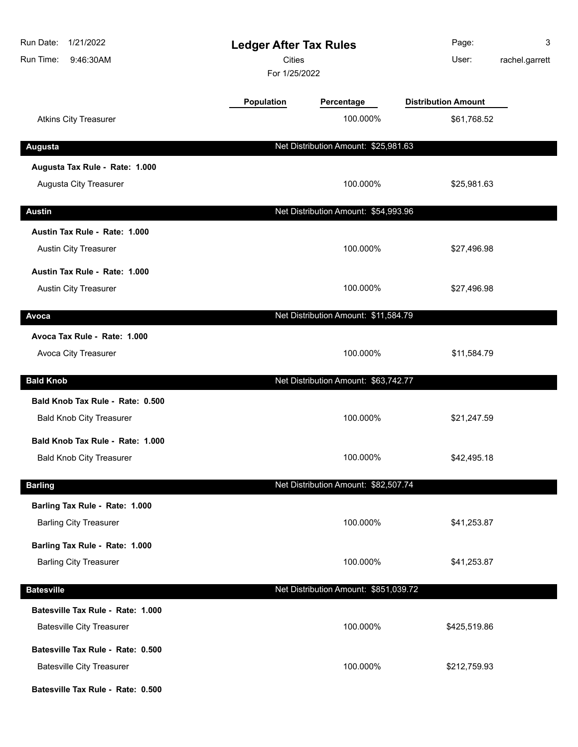| Run Date:<br>1/21/2022<br>Run Time:<br>9:46:30AM | <b>Ledger After Tax Rules</b><br><b>Cities</b><br>For 1/25/2022 |                                       | Page:<br>User:             | 3<br>rachel.garrett |
|--------------------------------------------------|-----------------------------------------------------------------|---------------------------------------|----------------------------|---------------------|
|                                                  | <b>Population</b>                                               | Percentage                            | <b>Distribution Amount</b> |                     |
| <b>Atkins City Treasurer</b>                     |                                                                 | 100.000%                              | \$61,768.52                |                     |
| <b>Augusta</b>                                   |                                                                 | Net Distribution Amount: \$25,981.63  |                            |                     |
| Augusta Tax Rule - Rate: 1.000                   |                                                                 |                                       |                            |                     |
| Augusta City Treasurer                           |                                                                 | 100.000%                              | \$25,981.63                |                     |
| <b>Austin</b>                                    |                                                                 | Net Distribution Amount: \$54,993.96  |                            |                     |
| Austin Tax Rule - Rate: 1.000                    |                                                                 |                                       |                            |                     |
| <b>Austin City Treasurer</b>                     |                                                                 | 100.000%                              | \$27,496.98                |                     |
| Austin Tax Rule - Rate: 1.000                    |                                                                 |                                       |                            |                     |
| Austin City Treasurer                            |                                                                 | 100.000%                              | \$27,496.98                |                     |
| Avoca                                            |                                                                 | Net Distribution Amount: \$11,584.79  |                            |                     |
| Avoca Tax Rule - Rate: 1.000                     |                                                                 |                                       |                            |                     |
| Avoca City Treasurer                             |                                                                 | 100.000%                              | \$11,584.79                |                     |
| <b>Bald Knob</b>                                 |                                                                 | Net Distribution Amount: \$63,742.77  |                            |                     |
| Bald Knob Tax Rule - Rate: 0.500                 |                                                                 |                                       |                            |                     |
| <b>Bald Knob City Treasurer</b>                  |                                                                 | 100.000%                              | \$21,247.59                |                     |
| Bald Knob Tax Rule - Rate: 1.000                 |                                                                 |                                       |                            |                     |
| <b>Bald Knob City Treasurer</b>                  |                                                                 | 100.000%                              | \$42,495.18                |                     |
| <b>Barling</b>                                   |                                                                 | Net Distribution Amount: \$82,507.74  |                            |                     |
| Barling Tax Rule - Rate: 1.000                   |                                                                 |                                       |                            |                     |
| <b>Barling City Treasurer</b>                    |                                                                 | 100.000%                              | \$41,253.87                |                     |
| Barling Tax Rule - Rate: 1.000                   |                                                                 |                                       |                            |                     |
| <b>Barling City Treasurer</b>                    |                                                                 | 100.000%                              | \$41,253.87                |                     |
| <b>Batesville</b>                                |                                                                 | Net Distribution Amount: \$851,039.72 |                            |                     |
| Batesville Tax Rule - Rate: 1.000                |                                                                 |                                       |                            |                     |
| <b>Batesville City Treasurer</b>                 |                                                                 | 100.000%                              | \$425,519.86               |                     |
| Batesville Tax Rule - Rate: 0.500                |                                                                 |                                       |                            |                     |
| <b>Batesville City Treasurer</b>                 |                                                                 | 100.000%                              | \$212,759.93               |                     |
| Batesville Tax Rule - Rate: 0.500                |                                                                 |                                       |                            |                     |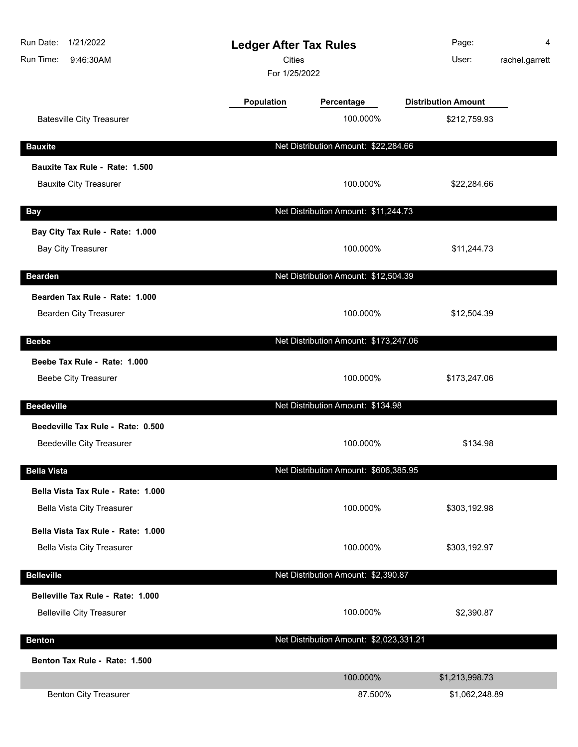| Run Date:<br>1/21/2022<br>Run Time:<br>9:46:30AM         | <b>Ledger After Tax Rules</b><br><b>Cities</b><br>For 1/25/2022 |                                         | Page:<br>User:             | 4<br>rachel.garrett |
|----------------------------------------------------------|-----------------------------------------------------------------|-----------------------------------------|----------------------------|---------------------|
|                                                          | Population                                                      | Percentage                              | <b>Distribution Amount</b> |                     |
| <b>Batesville City Treasurer</b>                         |                                                                 | 100.000%                                | \$212,759.93               |                     |
| <b>Bauxite</b>                                           |                                                                 | Net Distribution Amount: \$22,284.66    |                            |                     |
| Bauxite Tax Rule - Rate: 1.500                           |                                                                 |                                         |                            |                     |
| <b>Bauxite City Treasurer</b>                            |                                                                 | 100.000%                                | \$22,284.66                |                     |
| <b>Bay</b>                                               |                                                                 | Net Distribution Amount: \$11,244.73    |                            |                     |
| Bay City Tax Rule - Rate: 1.000                          |                                                                 |                                         |                            |                     |
| <b>Bay City Treasurer</b>                                |                                                                 | 100.000%                                | \$11,244.73                |                     |
| <b>Bearden</b>                                           |                                                                 | Net Distribution Amount: \$12,504.39    |                            |                     |
| Bearden Tax Rule - Rate: 1.000<br>Bearden City Treasurer |                                                                 | 100.000%                                | \$12,504.39                |                     |
| <b>Beebe</b>                                             |                                                                 | Net Distribution Amount: \$173,247.06   |                            |                     |
| Beebe Tax Rule - Rate: 1.000                             |                                                                 |                                         |                            |                     |
| <b>Beebe City Treasurer</b>                              |                                                                 | 100.000%                                | \$173,247.06               |                     |
| <b>Beedeville</b>                                        |                                                                 | Net Distribution Amount: \$134.98       |                            |                     |
| Beedeville Tax Rule - Rate: 0.500                        |                                                                 |                                         |                            |                     |
| <b>Beedeville City Treasurer</b>                         |                                                                 | 100.000%                                | \$134.98                   |                     |
| <b>Bella Vista</b>                                       |                                                                 | Net Distribution Amount: \$606,385.95   |                            |                     |
| Bella Vista Tax Rule - Rate: 1.000                       |                                                                 |                                         |                            |                     |
| Bella Vista City Treasurer                               |                                                                 | 100.000%                                | \$303,192.98               |                     |
| Bella Vista Tax Rule - Rate: 1.000                       |                                                                 |                                         |                            |                     |
| <b>Bella Vista City Treasurer</b>                        |                                                                 | 100.000%                                | \$303,192.97               |                     |
| <b>Belleville</b>                                        |                                                                 | Net Distribution Amount: \$2,390.87     |                            |                     |
| Belleville Tax Rule - Rate: 1.000                        |                                                                 |                                         |                            |                     |
| <b>Belleville City Treasurer</b>                         |                                                                 | 100.000%                                | \$2,390.87                 |                     |
| <b>Benton</b>                                            |                                                                 | Net Distribution Amount: \$2,023,331.21 |                            |                     |
| Benton Tax Rule - Rate: 1.500                            |                                                                 |                                         |                            |                     |
|                                                          |                                                                 | 100.000%                                | \$1,213,998.73             |                     |
| <b>Benton City Treasurer</b>                             |                                                                 | 87.500%                                 | \$1,062,248.89             |                     |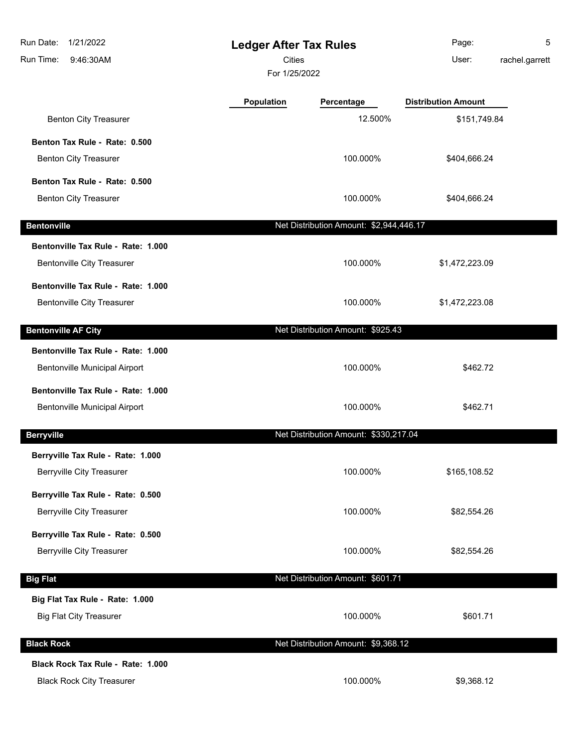| Run Date:<br>1/21/2022<br>Run Time:<br>9:46:30AM | <b>Ledger After Tax Rules</b><br><b>Cities</b><br>For 1/25/2022 |                                         | Page:<br>User:             | 5<br>rachel.garrett |
|--------------------------------------------------|-----------------------------------------------------------------|-----------------------------------------|----------------------------|---------------------|
|                                                  | <b>Population</b>                                               | Percentage                              | <b>Distribution Amount</b> |                     |
| <b>Benton City Treasurer</b>                     |                                                                 | 12.500%                                 | \$151,749.84               |                     |
| Benton Tax Rule - Rate: 0.500                    |                                                                 |                                         |                            |                     |
| <b>Benton City Treasurer</b>                     |                                                                 | 100.000%                                | \$404,666.24               |                     |
| Benton Tax Rule - Rate: 0.500                    |                                                                 |                                         |                            |                     |
| <b>Benton City Treasurer</b>                     |                                                                 | 100.000%                                | \$404,666.24               |                     |
| <b>Bentonville</b>                               |                                                                 | Net Distribution Amount: \$2,944,446.17 |                            |                     |
| Bentonville Tax Rule - Rate: 1.000               |                                                                 |                                         |                            |                     |
| <b>Bentonville City Treasurer</b>                |                                                                 | 100.000%                                | \$1,472,223.09             |                     |
| Bentonville Tax Rule - Rate: 1.000               |                                                                 |                                         |                            |                     |
| <b>Bentonville City Treasurer</b>                |                                                                 | 100.000%                                | \$1,472,223.08             |                     |
| <b>Bentonville AF City</b>                       |                                                                 | Net Distribution Amount: \$925.43       |                            |                     |
| Bentonville Tax Rule - Rate: 1.000               |                                                                 |                                         |                            |                     |
| Bentonville Municipal Airport                    |                                                                 | 100.000%                                | \$462.72                   |                     |
| Bentonville Tax Rule - Rate: 1.000               |                                                                 |                                         |                            |                     |
| <b>Bentonville Municipal Airport</b>             |                                                                 | 100.000%                                | \$462.71                   |                     |
| <b>Berryville</b>                                |                                                                 | Net Distribution Amount: \$330,217.04   |                            |                     |
| Berryville Tax Rule - Rate: 1.000                |                                                                 |                                         |                            |                     |
| <b>Berryville City Treasurer</b>                 |                                                                 | 100.000%                                | \$165,108.52               |                     |
| Berryville Tax Rule - Rate: 0.500                |                                                                 |                                         |                            |                     |
| <b>Berryville City Treasurer</b>                 |                                                                 | 100.000%                                | \$82,554.26                |                     |
| Berryville Tax Rule - Rate: 0.500                |                                                                 |                                         |                            |                     |
| <b>Berryville City Treasurer</b>                 |                                                                 | 100.000%                                | \$82,554.26                |                     |
| <b>Big Flat</b>                                  |                                                                 | Net Distribution Amount: \$601.71       |                            |                     |
| Big Flat Tax Rule - Rate: 1.000                  |                                                                 |                                         |                            |                     |
| <b>Big Flat City Treasurer</b>                   |                                                                 | 100.000%                                | \$601.71                   |                     |
| <b>Black Rock</b>                                |                                                                 | Net Distribution Amount: \$9,368.12     |                            |                     |
| Black Rock Tax Rule - Rate: 1.000                |                                                                 |                                         |                            |                     |
| <b>Black Rock City Treasurer</b>                 |                                                                 | 100.000%                                | \$9,368.12                 |                     |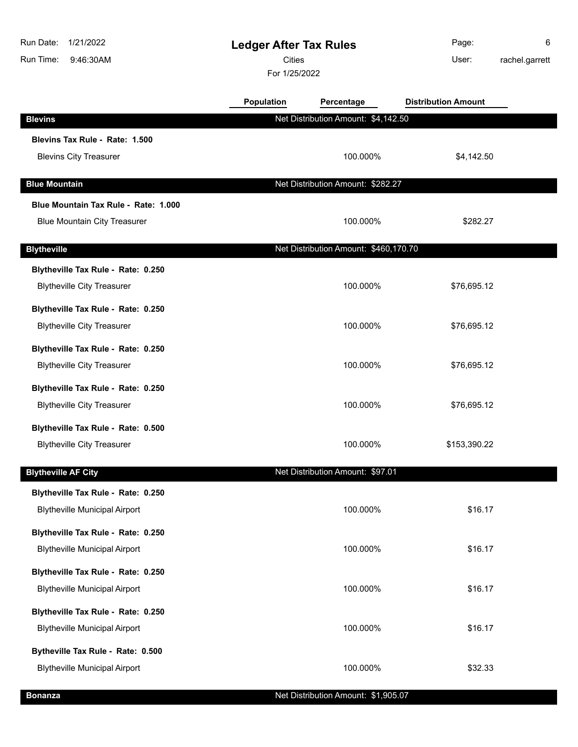| Run Date:<br>1/21/2022<br>Run Time:<br>9:46:30AM | <b>Ledger After Tax Rules</b><br><b>Cities</b><br>For 1/25/2022 |                                       | Page:<br>User:             | 6<br>rachel.garrett |
|--------------------------------------------------|-----------------------------------------------------------------|---------------------------------------|----------------------------|---------------------|
|                                                  | Population                                                      | Percentage                            | <b>Distribution Amount</b> |                     |
| <b>Blevins</b>                                   |                                                                 | Net Distribution Amount: \$4,142.50   |                            |                     |
| Blevins Tax Rule - Rate: 1.500                   |                                                                 |                                       |                            |                     |
| <b>Blevins City Treasurer</b>                    |                                                                 | 100.000%                              | \$4,142.50                 |                     |
| <b>Blue Mountain</b>                             |                                                                 | Net Distribution Amount: \$282.27     |                            |                     |
| Blue Mountain Tax Rule - Rate: 1.000             |                                                                 |                                       |                            |                     |
| <b>Blue Mountain City Treasurer</b>              |                                                                 | 100.000%                              | \$282.27                   |                     |
| <b>Blytheville</b>                               |                                                                 | Net Distribution Amount: \$460,170.70 |                            |                     |
| Blytheville Tax Rule - Rate: 0.250               |                                                                 |                                       |                            |                     |
| <b>Blytheville City Treasurer</b>                |                                                                 | 100.000%                              | \$76,695.12                |                     |
| Blytheville Tax Rule - Rate: 0.250               |                                                                 |                                       |                            |                     |
| <b>Blytheville City Treasurer</b>                |                                                                 | 100.000%                              | \$76,695.12                |                     |
| Blytheville Tax Rule - Rate: 0.250               |                                                                 |                                       |                            |                     |
| <b>Blytheville City Treasurer</b>                |                                                                 | 100.000%                              | \$76,695.12                |                     |
| Blytheville Tax Rule - Rate: 0.250               |                                                                 |                                       |                            |                     |
| <b>Blytheville City Treasurer</b>                |                                                                 | 100.000%                              | \$76,695.12                |                     |
| Blytheville Tax Rule - Rate: 0.500               |                                                                 |                                       |                            |                     |
| <b>Blytheville City Treasurer</b>                |                                                                 | 100.000%                              | \$153,390.22               |                     |
| <b>Blytheville AF City</b>                       |                                                                 | Net Distribution Amount: \$97.01      |                            |                     |
| Blytheville Tax Rule - Rate: 0.250               |                                                                 |                                       |                            |                     |
| <b>Blytheville Municipal Airport</b>             |                                                                 | 100.000%                              | \$16.17                    |                     |
| Blytheville Tax Rule - Rate: 0.250               |                                                                 |                                       |                            |                     |
| <b>Blytheville Municipal Airport</b>             |                                                                 | 100.000%                              | \$16.17                    |                     |
| Blytheville Tax Rule - Rate: 0.250               |                                                                 |                                       |                            |                     |
| <b>Blytheville Municipal Airport</b>             |                                                                 | 100.000%                              | \$16.17                    |                     |
| Blytheville Tax Rule - Rate: 0.250               |                                                                 |                                       |                            |                     |
| <b>Blytheville Municipal Airport</b>             |                                                                 | 100.000%                              | \$16.17                    |                     |
| Bytheville Tax Rule - Rate: 0.500                |                                                                 |                                       |                            |                     |
| <b>Blytheville Municipal Airport</b>             |                                                                 | 100.000%                              | \$32.33                    |                     |
| <b>Bonanza</b>                                   |                                                                 | Net Distribution Amount: \$1,905.07   |                            |                     |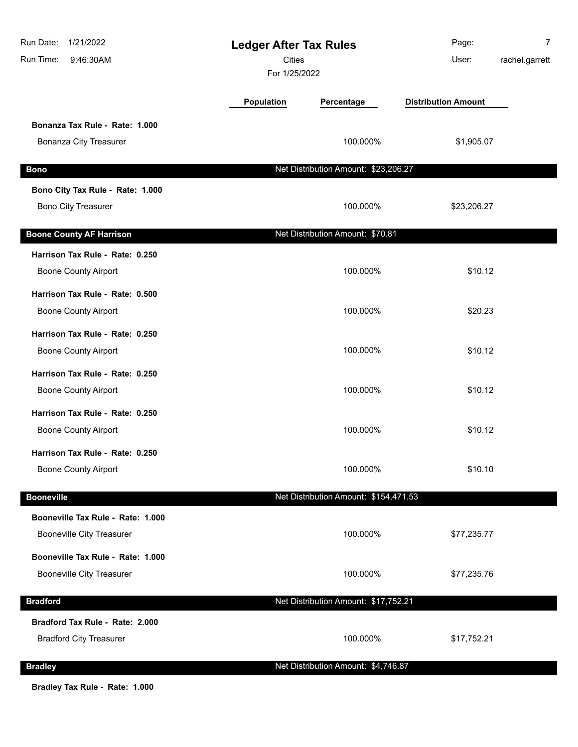| 1/21/2022<br>Run Date:<br>Run Time:<br>9:46:30AM | <b>Ledger After Tax Rules</b><br><b>Cities</b><br>For 1/25/2022 |                                       | Page:<br>User:             | $\overline{7}$<br>rachel.garrett |
|--------------------------------------------------|-----------------------------------------------------------------|---------------------------------------|----------------------------|----------------------------------|
|                                                  | Population                                                      | Percentage                            | <b>Distribution Amount</b> |                                  |
| Bonanza Tax Rule - Rate: 1.000                   |                                                                 |                                       |                            |                                  |
| <b>Bonanza City Treasurer</b>                    |                                                                 | 100.000%                              | \$1,905.07                 |                                  |
| <b>Bono</b>                                      |                                                                 | Net Distribution Amount: \$23,206.27  |                            |                                  |
| Bono City Tax Rule - Rate: 1.000                 |                                                                 |                                       |                            |                                  |
| <b>Bono City Treasurer</b>                       |                                                                 | 100.000%                              | \$23,206.27                |                                  |
| <b>Boone County AF Harrison</b>                  |                                                                 | Net Distribution Amount: \$70.81      |                            |                                  |
| Harrison Tax Rule - Rate: 0.250                  |                                                                 |                                       |                            |                                  |
| <b>Boone County Airport</b>                      |                                                                 | 100.000%                              | \$10.12                    |                                  |
| Harrison Tax Rule - Rate: 0.500                  |                                                                 |                                       |                            |                                  |
| <b>Boone County Airport</b>                      |                                                                 | 100.000%                              | \$20.23                    |                                  |
| Harrison Tax Rule - Rate: 0.250                  |                                                                 |                                       |                            |                                  |
| <b>Boone County Airport</b>                      |                                                                 | 100.000%                              | \$10.12                    |                                  |
| Harrison Tax Rule - Rate: 0.250                  |                                                                 |                                       |                            |                                  |
| <b>Boone County Airport</b>                      |                                                                 | 100.000%                              | \$10.12                    |                                  |
| Harrison Tax Rule - Rate: 0.250                  |                                                                 |                                       |                            |                                  |
| <b>Boone County Airport</b>                      |                                                                 | 100.000%                              | \$10.12                    |                                  |
| Harrison Tax Rule - Rate: 0.250                  |                                                                 |                                       |                            |                                  |
| <b>Boone County Airport</b>                      |                                                                 | 100.000%                              | \$10.10                    |                                  |
| <b>Booneville</b>                                |                                                                 | Net Distribution Amount: \$154,471.53 |                            |                                  |
| Booneville Tax Rule - Rate: 1.000                |                                                                 |                                       |                            |                                  |
| <b>Booneville City Treasurer</b>                 |                                                                 | 100.000%                              | \$77,235.77                |                                  |
| Booneville Tax Rule - Rate: 1.000                |                                                                 |                                       |                            |                                  |
| <b>Booneville City Treasurer</b>                 |                                                                 | 100.000%                              | \$77,235.76                |                                  |
| <b>Bradford</b>                                  |                                                                 | Net Distribution Amount: \$17,752.21  |                            |                                  |
| Bradford Tax Rule - Rate: 2.000                  |                                                                 |                                       |                            |                                  |
| <b>Bradford City Treasurer</b>                   |                                                                 | 100.000%                              | \$17,752.21                |                                  |
| <b>Bradley</b>                                   |                                                                 | Net Distribution Amount: \$4,746.87   |                            |                                  |
|                                                  |                                                                 |                                       |                            |                                  |

**Bradley Tax Rule - Rate: 1.000**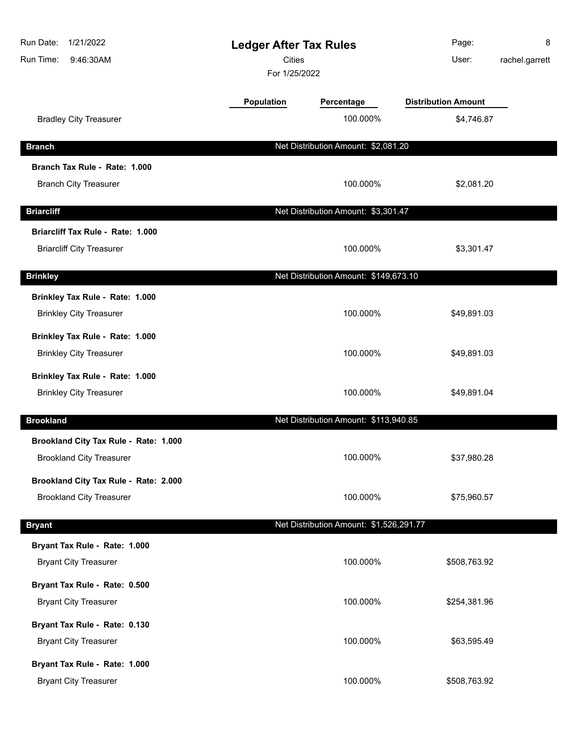| Run Date:<br>1/21/2022<br>Run Time:<br>9:46:30AM | <b>Ledger After Tax Rules</b><br><b>Cities</b><br>For 1/25/2022 |                                         | Page:<br>User:             | 8<br>rachel.garrett |
|--------------------------------------------------|-----------------------------------------------------------------|-----------------------------------------|----------------------------|---------------------|
|                                                  | Population                                                      | Percentage                              | <b>Distribution Amount</b> |                     |
| <b>Bradley City Treasurer</b>                    |                                                                 | 100.000%                                | \$4,746.87                 |                     |
| <b>Branch</b>                                    |                                                                 | Net Distribution Amount: \$2,081.20     |                            |                     |
| Branch Tax Rule - Rate: 1.000                    |                                                                 |                                         |                            |                     |
| <b>Branch City Treasurer</b>                     |                                                                 | 100.000%                                | \$2,081.20                 |                     |
| <b>Briarcliff</b>                                |                                                                 | Net Distribution Amount: \$3,301.47     |                            |                     |
| Briarcliff Tax Rule - Rate: 1.000                |                                                                 |                                         |                            |                     |
| <b>Briarcliff City Treasurer</b>                 |                                                                 | 100.000%                                | \$3,301.47                 |                     |
| <b>Brinkley</b>                                  |                                                                 | Net Distribution Amount: \$149,673.10   |                            |                     |
| Brinkley Tax Rule - Rate: 1.000                  |                                                                 |                                         |                            |                     |
| <b>Brinkley City Treasurer</b>                   |                                                                 | 100.000%                                | \$49,891.03                |                     |
| Brinkley Tax Rule - Rate: 1.000                  |                                                                 |                                         |                            |                     |
| <b>Brinkley City Treasurer</b>                   |                                                                 | 100.000%                                | \$49,891.03                |                     |
| Brinkley Tax Rule - Rate: 1.000                  |                                                                 |                                         |                            |                     |
| <b>Brinkley City Treasurer</b>                   |                                                                 | 100.000%                                | \$49,891.04                |                     |
| <b>Brookland</b>                                 |                                                                 | Net Distribution Amount: \$113,940.85   |                            |                     |
| Brookland City Tax Rule - Rate: 1.000            |                                                                 |                                         |                            |                     |
| <b>Brookland City Treasurer</b>                  |                                                                 | 100.000%                                | \$37,980.28                |                     |
| Brookland City Tax Rule - Rate: 2.000            |                                                                 |                                         |                            |                     |
| <b>Brookland City Treasurer</b>                  |                                                                 | 100.000%                                | \$75,960.57                |                     |
| <b>Bryant</b>                                    |                                                                 | Net Distribution Amount: \$1,526,291.77 |                            |                     |
| Bryant Tax Rule - Rate: 1.000                    |                                                                 |                                         |                            |                     |
| <b>Bryant City Treasurer</b>                     |                                                                 | 100.000%                                | \$508,763.92               |                     |
| Bryant Tax Rule - Rate: 0.500                    |                                                                 |                                         |                            |                     |
| <b>Bryant City Treasurer</b>                     |                                                                 | 100.000%                                | \$254,381.96               |                     |
| Bryant Tax Rule - Rate: 0.130                    |                                                                 |                                         |                            |                     |
| <b>Bryant City Treasurer</b>                     |                                                                 | 100.000%                                | \$63,595.49                |                     |
| Bryant Tax Rule - Rate: 1.000                    |                                                                 |                                         |                            |                     |
| <b>Bryant City Treasurer</b>                     |                                                                 | 100.000%                                | \$508,763.92               |                     |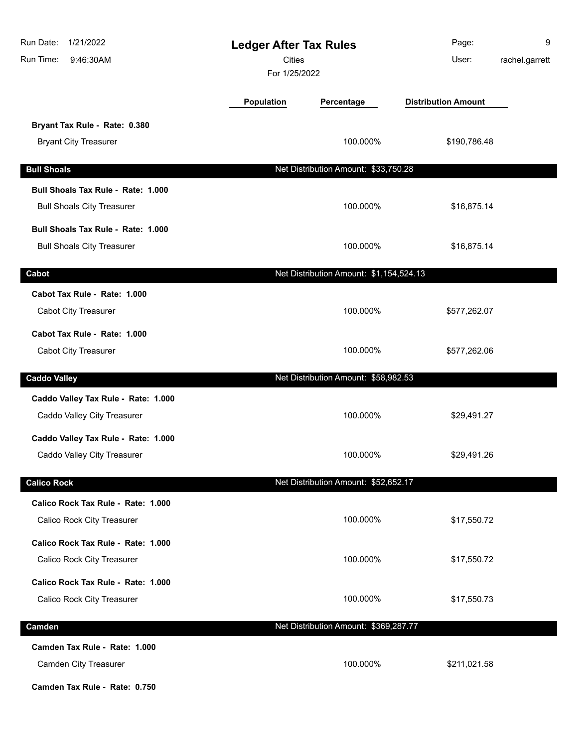| Run Date:<br>1/21/2022<br>Run Time:<br>9:46:30AM                                        | <b>Ledger After Tax Rules</b><br>Cities<br>For 1/25/2022 |                                         | Page:<br>User:             | 9<br>rachel.garrett |
|-----------------------------------------------------------------------------------------|----------------------------------------------------------|-----------------------------------------|----------------------------|---------------------|
|                                                                                         | <b>Population</b>                                        | Percentage                              | <b>Distribution Amount</b> |                     |
| Bryant Tax Rule - Rate: 0.380<br><b>Bryant City Treasurer</b>                           |                                                          | 100.000%                                | \$190,786.48               |                     |
| <b>Bull Shoals</b>                                                                      |                                                          | Net Distribution Amount: \$33,750.28    |                            |                     |
| Bull Shoals Tax Rule - Rate: 1.000<br><b>Bull Shoals City Treasurer</b>                 |                                                          | 100.000%                                | \$16,875.14                |                     |
| Bull Shoals Tax Rule - Rate: 1.000<br><b>Bull Shoals City Treasurer</b>                 |                                                          | 100.000%                                | \$16,875.14                |                     |
| Cabot                                                                                   |                                                          | Net Distribution Amount: \$1,154,524.13 |                            |                     |
| Cabot Tax Rule - Rate: 1.000<br>Cabot City Treasurer                                    |                                                          | 100.000%                                | \$577,262.07               |                     |
| Cabot Tax Rule - Rate: 1.000<br><b>Cabot City Treasurer</b>                             |                                                          | 100.000%                                | \$577,262.06               |                     |
| <b>Caddo Valley</b>                                                                     |                                                          | Net Distribution Amount: \$58,982.53    |                            |                     |
| Caddo Valley Tax Rule - Rate: 1.000<br>Caddo Valley City Treasurer                      |                                                          | 100.000%                                | \$29,491.27                |                     |
| Caddo Valley Tax Rule - Rate: 1.000<br>Caddo Valley City Treasurer                      |                                                          | 100.000%                                | \$29,491.26                |                     |
| <b>Calico Rock</b>                                                                      |                                                          | Net Distribution Amount: \$52,652.17    |                            |                     |
| Calico Rock Tax Rule - Rate: 1.000<br>Calico Rock City Treasurer                        |                                                          | 100.000%                                | \$17,550.72                |                     |
| Calico Rock Tax Rule - Rate: 1.000<br>Calico Rock City Treasurer                        |                                                          | 100.000%                                | \$17,550.72                |                     |
| Calico Rock Tax Rule - Rate: 1.000<br>Calico Rock City Treasurer                        |                                                          | 100.000%                                | \$17,550.73                |                     |
| Camden                                                                                  |                                                          | Net Distribution Amount: \$369,287.77   |                            |                     |
| Camden Tax Rule - Rate: 1.000<br>Camden City Treasurer<br>Camden Tax Rule - Rate: 0.750 |                                                          | 100.000%                                | \$211,021.58               |                     |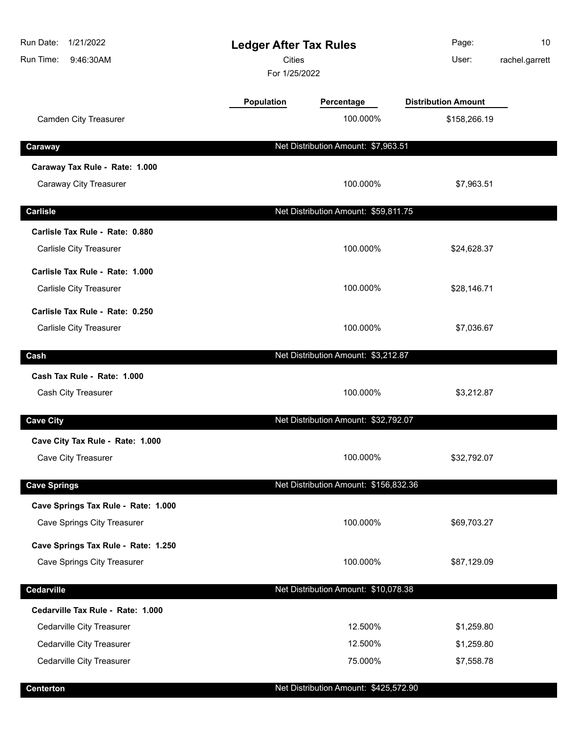| Run Date:<br>1/21/2022<br>Run Time:<br>9:46:30AM | <b>Ledger After Tax Rules</b><br><b>Cities</b><br>For 1/25/2022 |                                       | Page:<br>User:             | 10<br>rachel.garrett |
|--------------------------------------------------|-----------------------------------------------------------------|---------------------------------------|----------------------------|----------------------|
|                                                  | <b>Population</b>                                               | Percentage                            | <b>Distribution Amount</b> |                      |
| <b>Camden City Treasurer</b>                     |                                                                 | 100.000%                              | \$158,266.19               |                      |
| Caraway                                          |                                                                 | Net Distribution Amount: \$7,963.51   |                            |                      |
| Caraway Tax Rule - Rate: 1.000                   |                                                                 |                                       |                            |                      |
| Caraway City Treasurer                           |                                                                 | 100.000%                              | \$7,963.51                 |                      |
| <b>Carlisle</b>                                  |                                                                 | Net Distribution Amount: \$59,811.75  |                            |                      |
| Carlisle Tax Rule - Rate: 0.880                  |                                                                 |                                       |                            |                      |
| Carlisle City Treasurer                          |                                                                 | 100.000%                              | \$24,628.37                |                      |
| Carlisle Tax Rule - Rate: 1.000                  |                                                                 |                                       |                            |                      |
| Carlisle City Treasurer                          |                                                                 | 100.000%                              | \$28,146.71                |                      |
| Carlisle Tax Rule - Rate: 0.250                  |                                                                 |                                       |                            |                      |
| Carlisle City Treasurer                          |                                                                 | 100.000%                              | \$7,036.67                 |                      |
| Cash                                             |                                                                 | Net Distribution Amount: \$3,212.87   |                            |                      |
| Cash Tax Rule - Rate: 1.000                      |                                                                 |                                       |                            |                      |
| Cash City Treasurer                              |                                                                 | 100.000%                              | \$3,212.87                 |                      |
| <b>Cave City</b>                                 |                                                                 | Net Distribution Amount: \$32,792.07  |                            |                      |
| Cave City Tax Rule - Rate: 1.000                 |                                                                 |                                       |                            |                      |
| Cave City Treasurer                              |                                                                 | 100.000%                              | \$32,792.07                |                      |
| <b>Cave Springs</b>                              |                                                                 | Net Distribution Amount: \$156,832.36 |                            |                      |
| Cave Springs Tax Rule - Rate: 1.000              |                                                                 |                                       |                            |                      |
| <b>Cave Springs City Treasurer</b>               |                                                                 | 100.000%                              | \$69,703.27                |                      |
| Cave Springs Tax Rule - Rate: 1.250              |                                                                 |                                       |                            |                      |
| <b>Cave Springs City Treasurer</b>               |                                                                 | 100.000%                              | \$87,129.09                |                      |
| Cedarville                                       |                                                                 | Net Distribution Amount: \$10,078.38  |                            |                      |
| Cedarville Tax Rule - Rate: 1.000                |                                                                 |                                       |                            |                      |
| Cedarville City Treasurer                        |                                                                 | 12.500%                               | \$1,259.80                 |                      |
| Cedarville City Treasurer                        |                                                                 | 12.500%                               | \$1,259.80                 |                      |
| Cedarville City Treasurer                        |                                                                 | 75.000%                               | \$7,558.78                 |                      |
| <b>Centerton</b>                                 |                                                                 | Net Distribution Amount: \$425,572.90 |                            |                      |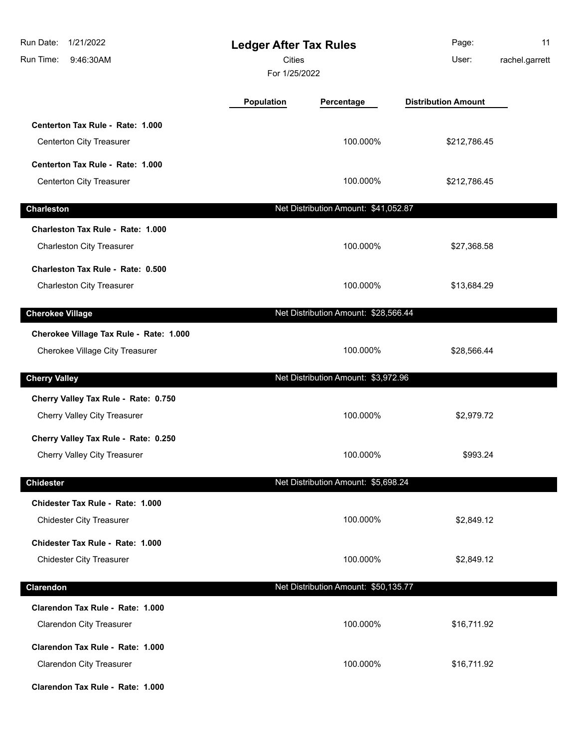| 1/21/2022<br>Run Date:<br>Run Time:<br>9:46:30AM                           | <b>Ledger After Tax Rules</b><br><b>Cities</b><br>For 1/25/2022 |                                      | Page:<br>User:             | 11<br>rachel.garrett |
|----------------------------------------------------------------------------|-----------------------------------------------------------------|--------------------------------------|----------------------------|----------------------|
|                                                                            | Population                                                      | Percentage                           | <b>Distribution Amount</b> |                      |
| Centerton Tax Rule - Rate: 1.000<br>Centerton City Treasurer               |                                                                 | 100.000%                             | \$212,786.45               |                      |
| Centerton Tax Rule - Rate: 1.000<br>Centerton City Treasurer               |                                                                 | 100.000%                             | \$212,786.45               |                      |
| <b>Charleston</b>                                                          |                                                                 | Net Distribution Amount: \$41,052.87 |                            |                      |
| Charleston Tax Rule - Rate: 1.000<br><b>Charleston City Treasurer</b>      |                                                                 | 100.000%                             | \$27,368.58                |                      |
| Charleston Tax Rule - Rate: 0.500<br><b>Charleston City Treasurer</b>      |                                                                 | 100.000%                             | \$13,684.29                |                      |
| <b>Cherokee Village</b>                                                    |                                                                 | Net Distribution Amount: \$28,566.44 |                            |                      |
| Cherokee Village Tax Rule - Rate: 1.000<br>Cherokee Village City Treasurer |                                                                 | 100.000%                             | \$28,566.44                |                      |
| <b>Cherry Valley</b>                                                       |                                                                 | Net Distribution Amount: \$3,972.96  |                            |                      |
| Cherry Valley Tax Rule - Rate: 0.750<br>Cherry Valley City Treasurer       |                                                                 | 100.000%                             | \$2,979.72                 |                      |
| Cherry Valley Tax Rule - Rate: 0.250<br>Cherry Valley City Treasurer       |                                                                 | 100.000%                             | \$993.24                   |                      |
| <b>Chidester</b>                                                           |                                                                 | Net Distribution Amount: \$5,698.24  |                            |                      |
| Chidester Tax Rule - Rate: 1.000<br><b>Chidester City Treasurer</b>        |                                                                 | 100.000%                             | \$2,849.12                 |                      |
| Chidester Tax Rule - Rate: 1.000<br><b>Chidester City Treasurer</b>        |                                                                 | 100.000%                             | \$2,849.12                 |                      |
| Clarendon                                                                  |                                                                 | Net Distribution Amount: \$50,135.77 |                            |                      |
| Clarendon Tax Rule - Rate: 1.000<br><b>Clarendon City Treasurer</b>        |                                                                 | 100.000%                             | \$16,711.92                |                      |
| Clarendon Tax Rule - Rate: 1.000<br><b>Clarendon City Treasurer</b>        |                                                                 | 100.000%                             | \$16,711.92                |                      |
| Clarendon Tax Rule - Rate: 1.000                                           |                                                                 |                                      |                            |                      |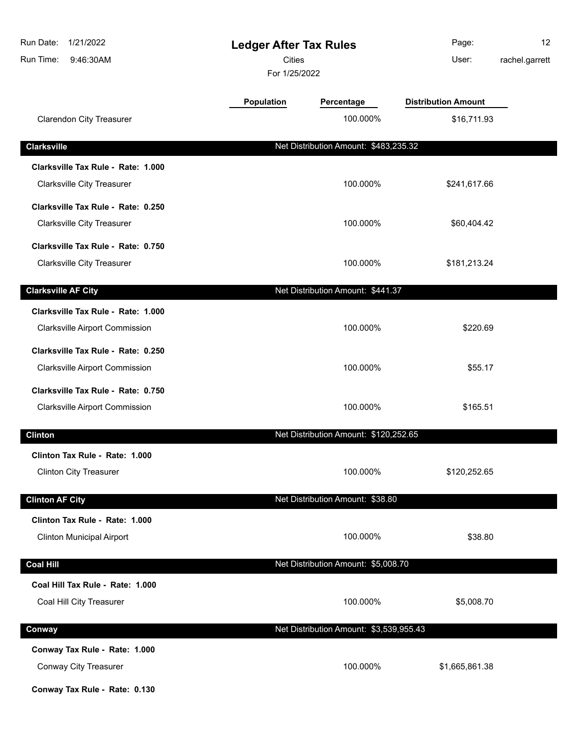| Run Date:<br>1/21/2022<br>Run Time:<br>9:46:30AM | <b>Ledger After Tax Rules</b><br><b>Cities</b><br>For 1/25/2022 |                                         | Page:<br>User:             | 12<br>rachel.garrett |
|--------------------------------------------------|-----------------------------------------------------------------|-----------------------------------------|----------------------------|----------------------|
|                                                  | <b>Population</b>                                               | Percentage                              | <b>Distribution Amount</b> |                      |
| <b>Clarendon City Treasurer</b>                  |                                                                 | 100.000%                                | \$16,711.93                |                      |
| <b>Clarksville</b>                               |                                                                 | Net Distribution Amount: \$483,235.32   |                            |                      |
| Clarksville Tax Rule - Rate: 1.000               |                                                                 |                                         |                            |                      |
| <b>Clarksville City Treasurer</b>                |                                                                 | 100.000%                                | \$241,617.66               |                      |
| Clarksville Tax Rule - Rate: 0.250               |                                                                 |                                         |                            |                      |
| <b>Clarksville City Treasurer</b>                |                                                                 | 100.000%                                | \$60,404.42                |                      |
| Clarksville Tax Rule - Rate: 0.750               |                                                                 |                                         |                            |                      |
| <b>Clarksville City Treasurer</b>                |                                                                 | 100.000%                                | \$181,213.24               |                      |
| <b>Clarksville AF City</b>                       |                                                                 | Net Distribution Amount: \$441.37       |                            |                      |
| Clarksville Tax Rule - Rate: 1.000               |                                                                 |                                         |                            |                      |
| <b>Clarksville Airport Commission</b>            |                                                                 | 100.000%                                | \$220.69                   |                      |
| Clarksville Tax Rule - Rate: 0.250               |                                                                 |                                         |                            |                      |
| <b>Clarksville Airport Commission</b>            |                                                                 | 100.000%                                | \$55.17                    |                      |
| Clarksville Tax Rule - Rate: 0.750               |                                                                 |                                         |                            |                      |
| <b>Clarksville Airport Commission</b>            |                                                                 | 100.000%                                | \$165.51                   |                      |
| <b>Clinton</b>                                   |                                                                 | Net Distribution Amount: \$120,252.65   |                            |                      |
| Clinton Tax Rule - Rate: 1.000                   |                                                                 |                                         |                            |                      |
| <b>Clinton City Treasurer</b>                    |                                                                 | 100.000%                                | \$120,252.65               |                      |
| <b>Clinton AF City</b>                           |                                                                 | Net Distribution Amount: \$38.80        |                            |                      |
| Clinton Tax Rule - Rate: 1.000                   |                                                                 |                                         |                            |                      |
| <b>Clinton Municipal Airport</b>                 |                                                                 | 100.000%                                | \$38.80                    |                      |
| <b>Coal Hill</b>                                 |                                                                 | Net Distribution Amount: \$5,008.70     |                            |                      |
| Coal Hill Tax Rule - Rate: 1.000                 |                                                                 |                                         |                            |                      |
| Coal Hill City Treasurer                         |                                                                 | 100.000%                                | \$5,008.70                 |                      |
| Conway                                           |                                                                 | Net Distribution Amount: \$3,539,955.43 |                            |                      |
| Conway Tax Rule - Rate: 1.000                    |                                                                 |                                         |                            |                      |
| Conway City Treasurer                            |                                                                 | 100.000%                                | \$1,665,861.38             |                      |
| Conway Tax Rule - Rate: 0.130                    |                                                                 |                                         |                            |                      |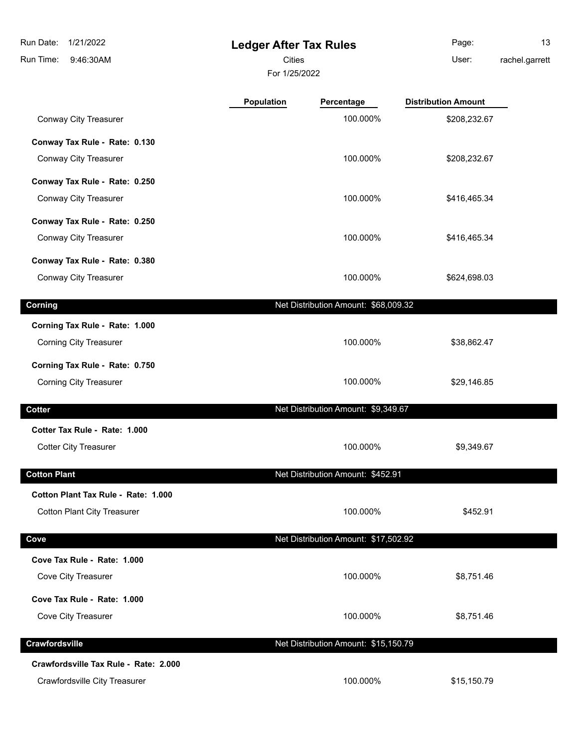# **Ledger After Tax Rules**

Cities User:

For 1/25/2022

Page: 13 rachel.garrett

|                                                    | Population | Percentage                           | <b>Distribution Amount</b> |  |
|----------------------------------------------------|------------|--------------------------------------|----------------------------|--|
| Conway City Treasurer                              |            | 100.000%                             | \$208,232.67               |  |
| Conway Tax Rule - Rate: 0.130                      |            |                                      |                            |  |
| Conway City Treasurer                              |            | 100.000%                             | \$208,232.67               |  |
| Conway Tax Rule - Rate: 0.250                      |            |                                      |                            |  |
| Conway City Treasurer                              |            | 100.000%                             | \$416,465.34               |  |
| Conway Tax Rule - Rate: 0.250                      |            |                                      |                            |  |
| Conway City Treasurer                              |            | 100.000%                             | \$416,465.34               |  |
| Conway Tax Rule - Rate: 0.380                      |            |                                      |                            |  |
| Conway City Treasurer                              |            | 100.000%                             | \$624,698.03               |  |
| Corning                                            |            | Net Distribution Amount: \$68,009.32 |                            |  |
| Corning Tax Rule - Rate: 1.000                     |            |                                      |                            |  |
| <b>Corning City Treasurer</b>                      |            | 100.000%                             | \$38,862.47                |  |
| Corning Tax Rule - Rate: 0.750                     |            |                                      |                            |  |
| <b>Corning City Treasurer</b>                      |            | 100.000%                             | \$29,146.85                |  |
| <b>Cotter</b>                                      |            | Net Distribution Amount: \$9,349.67  |                            |  |
| Cotter Tax Rule - Rate: 1.000                      |            |                                      |                            |  |
| <b>Cotter City Treasurer</b>                       |            | 100.000%                             | \$9,349.67                 |  |
| <b>Cotton Plant</b>                                |            | Net Distribution Amount: \$452.91    |                            |  |
| Cotton Plant Tax Rule - Rate: 1.000                |            |                                      |                            |  |
| <b>Cotton Plant City Treasurer</b>                 |            | 100.000%                             | \$452.91                   |  |
|                                                    |            | Net Distribution Amount: \$17,502.92 |                            |  |
| Cove                                               |            |                                      |                            |  |
| Cove Tax Rule - Rate: 1.000<br>Cove City Treasurer |            | 100.000%                             | \$8,751.46                 |  |
|                                                    |            |                                      |                            |  |
| Cove Tax Rule - Rate: 1.000                        |            |                                      |                            |  |
| Cove City Treasurer                                |            | 100.000%                             | \$8,751.46                 |  |
| Crawfordsville                                     |            | Net Distribution Amount: \$15,150.79 |                            |  |
| Crawfordsville Tax Rule - Rate: 2.000              |            |                                      |                            |  |
| Crawfordsville City Treasurer                      |            | 100.000%                             | \$15,150.79                |  |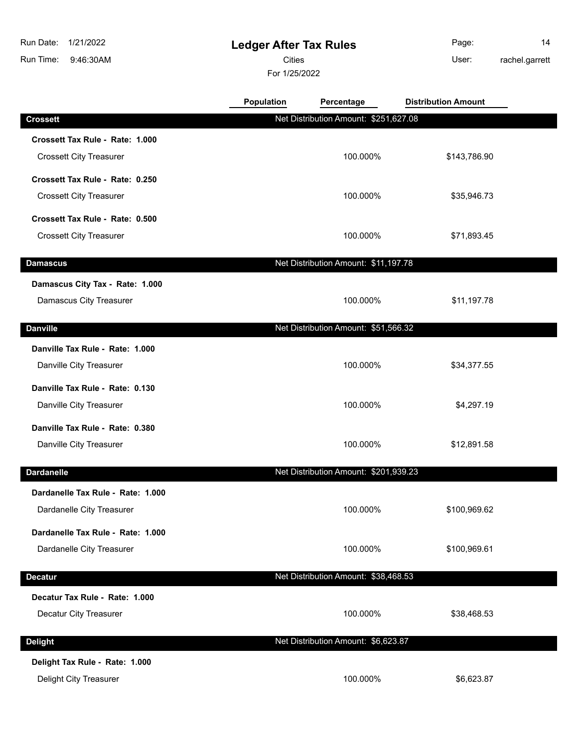# **Ledger After Tax Rules**

Cities User:

For 1/25/2022

Page: 14

rachel.garrett

|                                                            | <b>Population</b> | Percentage                            | <b>Distribution Amount</b> |  |
|------------------------------------------------------------|-------------------|---------------------------------------|----------------------------|--|
| <b>Crossett</b>                                            |                   | Net Distribution Amount: \$251,627.08 |                            |  |
| Crossett Tax Rule - Rate: 1.000                            |                   |                                       |                            |  |
| <b>Crossett City Treasurer</b>                             |                   | 100.000%                              | \$143,786.90               |  |
| Crossett Tax Rule - Rate: 0.250                            |                   |                                       |                            |  |
| <b>Crossett City Treasurer</b>                             |                   | 100.000%                              | \$35,946.73                |  |
| Crossett Tax Rule - Rate: 0.500                            |                   |                                       |                            |  |
| <b>Crossett City Treasurer</b>                             |                   | 100.000%                              | \$71,893.45                |  |
| <b>Damascus</b>                                            |                   | Net Distribution Amount: \$11,197.78  |                            |  |
| Damascus City Tax - Rate: 1.000                            |                   |                                       |                            |  |
| Damascus City Treasurer                                    |                   | 100.000%                              | \$11,197.78                |  |
| <b>Danville</b>                                            |                   | Net Distribution Amount: \$51,566.32  |                            |  |
| Danville Tax Rule - Rate: 1.000                            |                   |                                       |                            |  |
| Danville City Treasurer                                    |                   | 100.000%                              | \$34,377.55                |  |
|                                                            |                   |                                       |                            |  |
| Danville Tax Rule - Rate: 0.130<br>Danville City Treasurer |                   | 100.000%                              | \$4,297.19                 |  |
|                                                            |                   |                                       |                            |  |
| Danville Tax Rule - Rate: 0.380<br>Danville City Treasurer |                   | 100.000%                              |                            |  |
|                                                            |                   |                                       | \$12,891.58                |  |
| <b>Dardanelle</b>                                          |                   | Net Distribution Amount: \$201,939.23 |                            |  |
| Dardanelle Tax Rule - Rate: 1.000                          |                   |                                       |                            |  |
| Dardanelle City Treasurer                                  |                   | 100.000%                              | \$100,969.62               |  |
| Dardanelle Tax Rule - Rate: 1.000                          |                   |                                       |                            |  |
| Dardanelle City Treasurer                                  |                   | 100.000%                              | \$100,969.61               |  |
| <b>Decatur</b>                                             |                   | Net Distribution Amount: \$38,468.53  |                            |  |
| Decatur Tax Rule - Rate: 1.000                             |                   |                                       |                            |  |
| Decatur City Treasurer                                     |                   | 100.000%                              | \$38,468.53                |  |
| <b>Delight</b>                                             |                   | Net Distribution Amount: \$6,623.87   |                            |  |
|                                                            |                   |                                       |                            |  |
| Delight Tax Rule - Rate: 1.000<br>Delight City Treasurer   |                   | 100.000%                              | \$6,623.87                 |  |
|                                                            |                   |                                       |                            |  |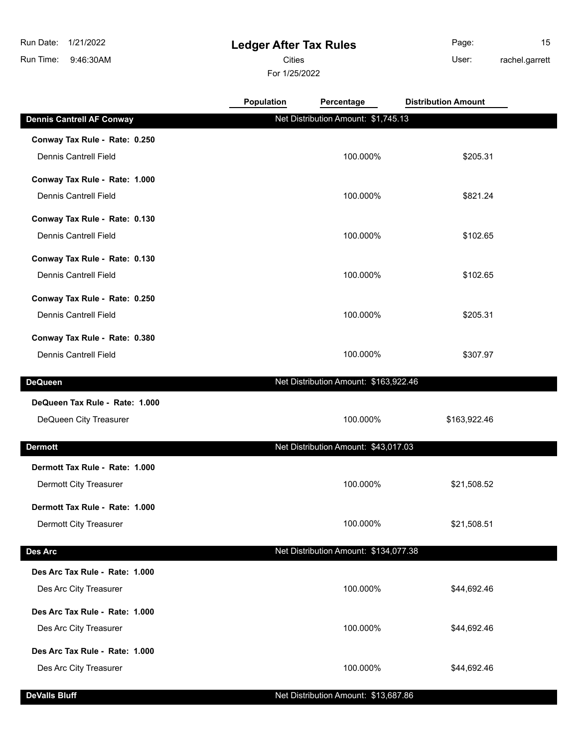**Conway Tax Rule - Rate: 0.250**

**Conway Tax Rule - Rate: 1.000**

**Conway Tax Rule - Rate: 0.130**

## **Ledger After Tax Rules**

**Cities Community Community Community** User:

For 1/25/2022

Dennis Cantrell Field 100.000% \$205.31

Dennis Cantrell Field 100.000% \$821.24

Dennis Cantrell Field 100.000% \$102.65

**Population Percentage Distribution Amount**

Page: 15 rachel.garrett

| Conway Tax Rule - Rate: 0.130  |                                       |              |
|--------------------------------|---------------------------------------|--------------|
| <b>Dennis Cantrell Field</b>   | 100.000%                              | \$102.65     |
| Conway Tax Rule - Rate: 0.250  |                                       |              |
| <b>Dennis Cantrell Field</b>   | 100.000%                              | \$205.31     |
| Conway Tax Rule - Rate: 0.380  |                                       |              |
| Dennis Cantrell Field          | 100.000%                              | \$307.97     |
|                                |                                       |              |
| DeQueen                        | Net Distribution Amount: \$163,922.46 |              |
| DeQueen Tax Rule - Rate: 1.000 |                                       |              |
| DeQueen City Treasurer         | 100.000%                              | \$163,922.46 |
|                                |                                       |              |
| Dermott                        | Net Distribution Amount: \$43,017.03  |              |
| Dermott Tax Rule - Rate: 1.000 |                                       |              |
| Dermott City Treasurer         | 100.000%                              | \$21,508.52  |
|                                |                                       |              |

**Dennis Cantrell AF Conway Net Distribution Amount: \$1,745.13** 

**Dermott Tax Rule - Rate: 1.000** Dermott City Treasurer **100.000%** \$21,508.51

### **Des Arc** Net Distribution Amount: \$134,077.38

| Des Arc Tax Rule - Rate: 1.000<br>Des Arc City Treasurer | 100.000% | \$44,692.46 |
|----------------------------------------------------------|----------|-------------|
| Des Arc Tax Rule - Rate: 1.000<br>Des Arc City Treasurer | 100.000% | \$44,692.46 |
| Des Arc Tax Rule - Rate: 1.000<br>Des Arc City Treasurer | 100.000% | \$44,692.46 |

#### **DeValls Bluff** Net Distribution Amount: \$13,687.86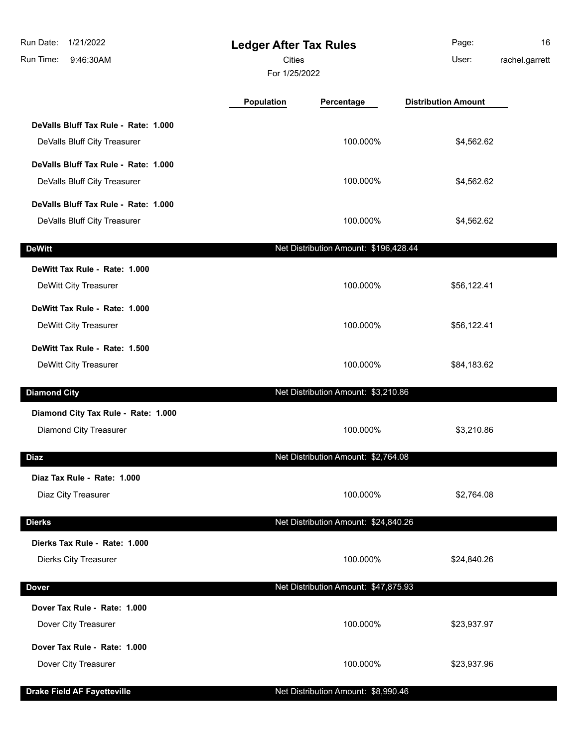| Run Date:<br>1/21/2022<br>Run Time:<br>9:46:30AM | <b>Cities</b>     | <b>Ledger After Tax Rules</b><br>For 1/25/2022 |                            | 16<br>rachel.garrett |
|--------------------------------------------------|-------------------|------------------------------------------------|----------------------------|----------------------|
|                                                  | <b>Population</b> | Percentage                                     | <b>Distribution Amount</b> |                      |
| DeValls Bluff Tax Rule - Rate: 1.000             |                   |                                                |                            |                      |
| DeValls Bluff City Treasurer                     |                   | 100.000%                                       | \$4,562.62                 |                      |
| DeValls Bluff Tax Rule - Rate: 1.000             |                   |                                                |                            |                      |
| DeValls Bluff City Treasurer                     |                   | 100.000%                                       | \$4,562.62                 |                      |
| DeValls Bluff Tax Rule - Rate: 1.000             |                   |                                                |                            |                      |
| DeValls Bluff City Treasurer                     |                   | 100.000%                                       | \$4,562.62                 |                      |
| <b>DeWitt</b>                                    |                   | Net Distribution Amount: \$196,428.44          |                            |                      |
| DeWitt Tax Rule - Rate: 1.000                    |                   |                                                |                            |                      |
| DeWitt City Treasurer                            |                   | 100.000%                                       | \$56,122.41                |                      |
| DeWitt Tax Rule - Rate: 1.000                    |                   |                                                |                            |                      |
| DeWitt City Treasurer                            |                   | 100.000%                                       | \$56,122.41                |                      |
| DeWitt Tax Rule - Rate: 1.500                    |                   |                                                |                            |                      |
| DeWitt City Treasurer                            |                   | 100.000%                                       | \$84,183.62                |                      |
| <b>Diamond City</b>                              |                   | Net Distribution Amount: \$3,210.86            |                            |                      |
| Diamond City Tax Rule - Rate: 1.000              |                   |                                                |                            |                      |
| Diamond City Treasurer                           |                   | 100.000%                                       | \$3,210.86                 |                      |
| <b>Diaz</b>                                      |                   | Net Distribution Amount: \$2,764.08            |                            |                      |
| Diaz Tax Rule - Rate: 1.000                      |                   |                                                |                            |                      |
| Diaz City Treasurer                              |                   | 100.000%                                       | \$2,764.08                 |                      |
| <b>Dierks</b>                                    |                   | Net Distribution Amount: \$24,840.26           |                            |                      |
| Dierks Tax Rule - Rate: 1.000                    |                   |                                                |                            |                      |
| <b>Dierks City Treasurer</b>                     |                   | 100.000%                                       | \$24,840.26                |                      |
|                                                  |                   |                                                |                            |                      |
| <b>Dover</b>                                     |                   | Net Distribution Amount: \$47,875.93           |                            |                      |
| Dover Tax Rule - Rate: 1.000                     |                   |                                                |                            |                      |
| Dover City Treasurer                             |                   | 100.000%                                       | \$23,937.97                |                      |
| Dover Tax Rule - Rate: 1.000                     |                   |                                                |                            |                      |
| Dover City Treasurer                             |                   | 100.000%                                       | \$23,937.96                |                      |
| <b>Drake Field AF Fayetteville</b>               |                   | Net Distribution Amount: \$8,990.46            |                            |                      |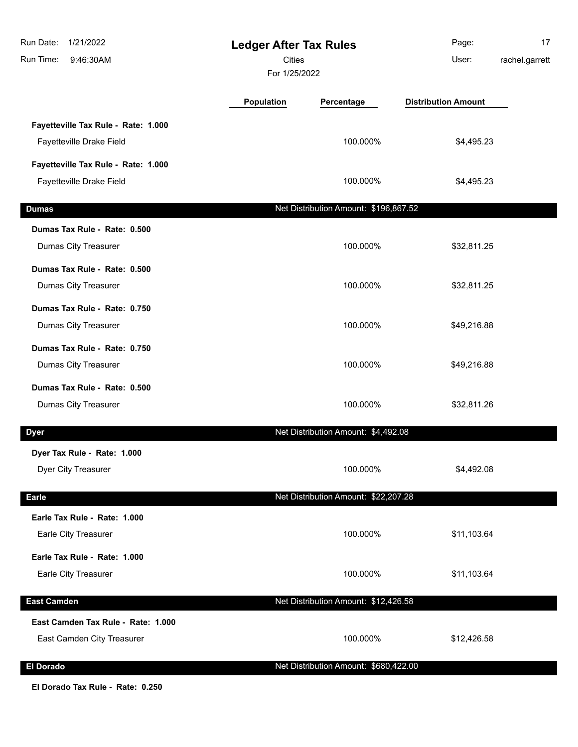| Run Date:<br>1/21/2022<br>Run Time:<br>9:46:30AM | <b>Ledger After Tax Rules</b><br>Cities<br>For 1/25/2022 |                                       | Page:<br>User:             | 17<br>rachel.garrett |
|--------------------------------------------------|----------------------------------------------------------|---------------------------------------|----------------------------|----------------------|
|                                                  | Population                                               | Percentage                            | <b>Distribution Amount</b> |                      |
| Fayetteville Tax Rule - Rate: 1.000              |                                                          |                                       |                            |                      |
| Fayetteville Drake Field                         |                                                          | 100.000%                              | \$4,495.23                 |                      |
| Fayetteville Tax Rule - Rate: 1.000              |                                                          |                                       |                            |                      |
| Fayetteville Drake Field                         |                                                          | 100.000%                              | \$4,495.23                 |                      |
| <b>Dumas</b>                                     |                                                          | Net Distribution Amount: \$196,867.52 |                            |                      |
| Dumas Tax Rule - Rate: 0.500                     |                                                          |                                       |                            |                      |
| Dumas City Treasurer                             |                                                          | 100.000%                              | \$32,811.25                |                      |
| Dumas Tax Rule - Rate: 0.500                     |                                                          |                                       |                            |                      |
| Dumas City Treasurer                             |                                                          | 100.000%                              | \$32,811.25                |                      |
| Dumas Tax Rule - Rate: 0.750                     |                                                          |                                       |                            |                      |
| Dumas City Treasurer                             |                                                          | 100.000%                              | \$49,216.88                |                      |
| Dumas Tax Rule - Rate: 0.750                     |                                                          |                                       |                            |                      |
| Dumas City Treasurer                             |                                                          | 100.000%                              | \$49,216.88                |                      |
| Dumas Tax Rule - Rate: 0.500                     |                                                          |                                       |                            |                      |
| Dumas City Treasurer                             |                                                          | 100.000%                              | \$32,811.26                |                      |
| <b>Dyer</b>                                      |                                                          | Net Distribution Amount: \$4,492.08   |                            |                      |
| Dyer Tax Rule - Rate: 1.000                      |                                                          |                                       |                            |                      |
| Dyer City Treasurer                              |                                                          | 100.000%                              | \$4,492.08                 |                      |
| <b>Earle</b>                                     |                                                          | Net Distribution Amount: \$22,207.28  |                            |                      |
| Earle Tax Rule - Rate: 1.000                     |                                                          |                                       |                            |                      |
| Earle City Treasurer                             |                                                          | 100.000%                              | \$11,103.64                |                      |
| Earle Tax Rule - Rate: 1.000                     |                                                          |                                       |                            |                      |
| Earle City Treasurer                             |                                                          | 100.000%                              | \$11,103.64                |                      |
| <b>East Camden</b>                               |                                                          | Net Distribution Amount: \$12,426.58  |                            |                      |
| East Camden Tax Rule - Rate: 1.000               |                                                          |                                       |                            |                      |
| East Camden City Treasurer                       |                                                          | 100.000%                              | \$12,426.58                |                      |
| <b>El Dorado</b>                                 |                                                          | Net Distribution Amount: \$680,422.00 |                            |                      |

**El Dorado Tax Rule - Rate: 0.250**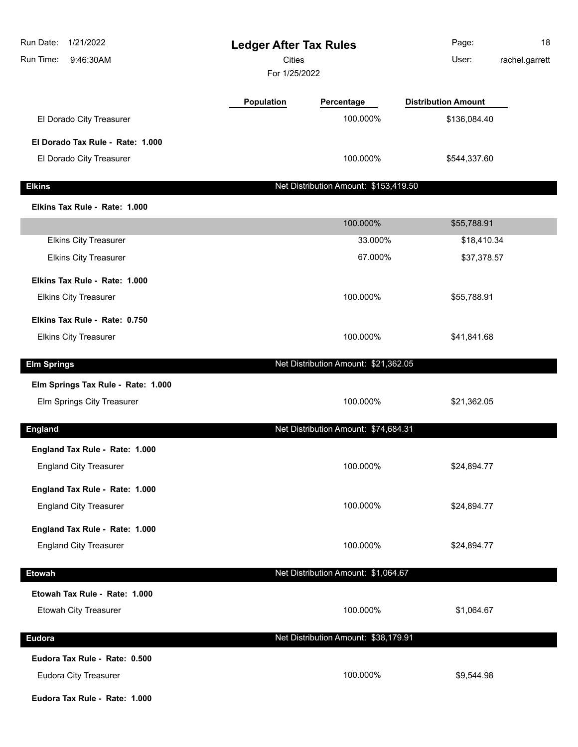| 1/21/2022<br>Run Date:<br>Run Time:<br>9:46:30AM | <b>Ledger After Tax Rules</b><br><b>Cities</b><br>For 1/25/2022 |                                       | 18<br>Page:<br>rachel.garrett<br>User: |
|--------------------------------------------------|-----------------------------------------------------------------|---------------------------------------|----------------------------------------|
|                                                  | Population                                                      | Percentage                            | <b>Distribution Amount</b>             |
| El Dorado City Treasurer                         |                                                                 | 100.000%                              | \$136,084.40                           |
| El Dorado Tax Rule - Rate: 1.000                 |                                                                 |                                       |                                        |
| El Dorado City Treasurer                         |                                                                 | 100.000%                              | \$544,337.60                           |
| <b>Elkins</b>                                    |                                                                 | Net Distribution Amount: \$153,419.50 |                                        |
| Elkins Tax Rule - Rate: 1.000                    |                                                                 |                                       |                                        |
|                                                  |                                                                 | 100.000%                              | \$55,788.91                            |
| <b>Elkins City Treasurer</b>                     |                                                                 | 33.000%                               | \$18,410.34                            |
| <b>Elkins City Treasurer</b>                     |                                                                 | 67.000%                               | \$37,378.57                            |
| Elkins Tax Rule - Rate: 1.000                    |                                                                 |                                       |                                        |
| <b>Elkins City Treasurer</b>                     |                                                                 | 100.000%                              | \$55,788.91                            |
| Elkins Tax Rule - Rate: 0.750                    |                                                                 |                                       |                                        |
| <b>Elkins City Treasurer</b>                     |                                                                 | 100.000%                              | \$41,841.68                            |
| <b>Elm Springs</b>                               |                                                                 | Net Distribution Amount: \$21,362.05  |                                        |
| Elm Springs Tax Rule - Rate: 1.000               |                                                                 |                                       |                                        |
| Elm Springs City Treasurer                       |                                                                 | 100.000%                              | \$21,362.05                            |
|                                                  |                                                                 |                                       |                                        |
| <b>England</b>                                   |                                                                 | Net Distribution Amount: \$74,684.31  |                                        |
| England Tax Rule - Rate: 1.000                   |                                                                 |                                       |                                        |
| <b>England City Treasurer</b>                    |                                                                 | 100.000%                              | \$24,894.77                            |
| England Tax Rule - Rate: 1.000                   |                                                                 |                                       |                                        |
| <b>England City Treasurer</b>                    |                                                                 | 100.000%                              | \$24,894.77                            |
| England Tax Rule - Rate: 1.000                   |                                                                 |                                       |                                        |
| <b>England City Treasurer</b>                    |                                                                 | 100.000%                              | \$24,894.77                            |
| <b>Etowah</b>                                    |                                                                 | Net Distribution Amount: \$1,064.67   |                                        |
| Etowah Tax Rule - Rate: 1.000                    |                                                                 |                                       |                                        |
| Etowah City Treasurer                            |                                                                 | 100.000%                              | \$1,064.67                             |
| <b>Eudora</b>                                    |                                                                 | Net Distribution Amount: \$38,179.91  |                                        |
| Eudora Tax Rule - Rate: 0.500                    |                                                                 |                                       |                                        |
| <b>Eudora City Treasurer</b>                     |                                                                 | 100.000%                              | \$9,544.98                             |
| Eudora Tax Rule - Rate: 1.000                    |                                                                 |                                       |                                        |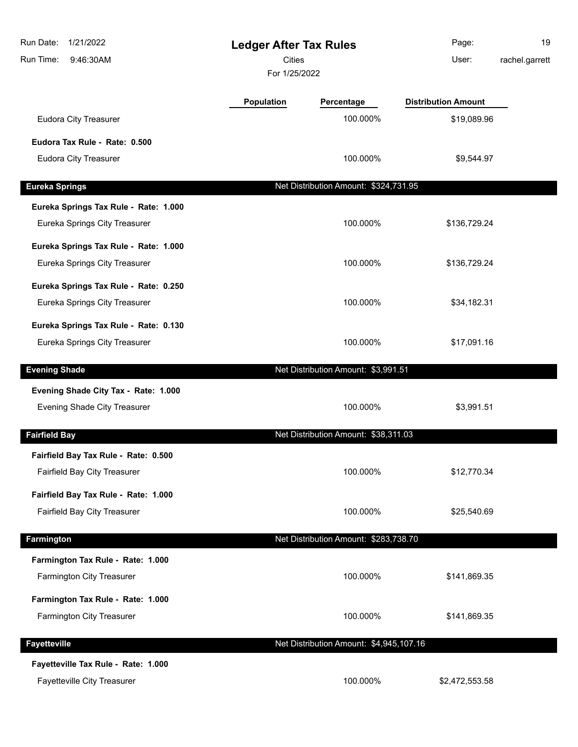| Run Date:<br>1/21/2022<br>Run Time:<br>9:46:30AM | <b>Ledger After Tax Rules</b><br><b>Cities</b><br>For 1/25/2022 |                                         | Page:<br>User:             | 19<br>rachel.garrett |
|--------------------------------------------------|-----------------------------------------------------------------|-----------------------------------------|----------------------------|----------------------|
|                                                  | <b>Population</b>                                               | Percentage                              | <b>Distribution Amount</b> |                      |
| Eudora City Treasurer                            |                                                                 | 100.000%                                | \$19,089.96                |                      |
| Eudora Tax Rule - Rate: 0.500                    |                                                                 |                                         |                            |                      |
| <b>Eudora City Treasurer</b>                     |                                                                 | 100.000%                                | \$9,544.97                 |                      |
| <b>Eureka Springs</b>                            |                                                                 | Net Distribution Amount: \$324,731.95   |                            |                      |
| Eureka Springs Tax Rule - Rate: 1.000            |                                                                 |                                         |                            |                      |
| Eureka Springs City Treasurer                    |                                                                 | 100.000%                                | \$136,729.24               |                      |
| Eureka Springs Tax Rule - Rate: 1.000            |                                                                 |                                         |                            |                      |
| Eureka Springs City Treasurer                    |                                                                 | 100.000%                                | \$136,729.24               |                      |
| Eureka Springs Tax Rule - Rate: 0.250            |                                                                 |                                         |                            |                      |
| Eureka Springs City Treasurer                    |                                                                 | 100.000%                                | \$34,182.31                |                      |
| Eureka Springs Tax Rule - Rate: 0.130            |                                                                 |                                         |                            |                      |
| Eureka Springs City Treasurer                    |                                                                 | 100.000%                                | \$17,091.16                |                      |
| <b>Evening Shade</b>                             |                                                                 | Net Distribution Amount: \$3,991.51     |                            |                      |
| Evening Shade City Tax - Rate: 1.000             |                                                                 |                                         |                            |                      |
| Evening Shade City Treasurer                     |                                                                 | 100.000%                                | \$3,991.51                 |                      |
| <b>Fairfield Bay</b>                             |                                                                 | Net Distribution Amount: \$38,311.03    |                            |                      |
| Fairfield Bay Tax Rule - Rate: 0.500             |                                                                 |                                         |                            |                      |
| Fairfield Bay City Treasurer                     |                                                                 | 100.000%                                | \$12,770.34                |                      |
| Fairfield Bay Tax Rule - Rate: 1.000             |                                                                 |                                         |                            |                      |
| Fairfield Bay City Treasurer                     |                                                                 | 100.000%                                | \$25,540.69                |                      |
| <b>Farmington</b>                                |                                                                 | Net Distribution Amount: \$283,738.70   |                            |                      |
| Farmington Tax Rule - Rate: 1.000                |                                                                 |                                         |                            |                      |
| Farmington City Treasurer                        |                                                                 | 100.000%                                | \$141,869.35               |                      |
| Farmington Tax Rule - Rate: 1.000                |                                                                 |                                         |                            |                      |
| Farmington City Treasurer                        |                                                                 | 100.000%                                | \$141,869.35               |                      |
| <b>Fayetteville</b>                              |                                                                 | Net Distribution Amount: \$4,945,107.16 |                            |                      |
| Fayetteville Tax Rule - Rate: 1.000              |                                                                 |                                         |                            |                      |
| Fayetteville City Treasurer                      |                                                                 | 100.000%                                | \$2,472,553.58             |                      |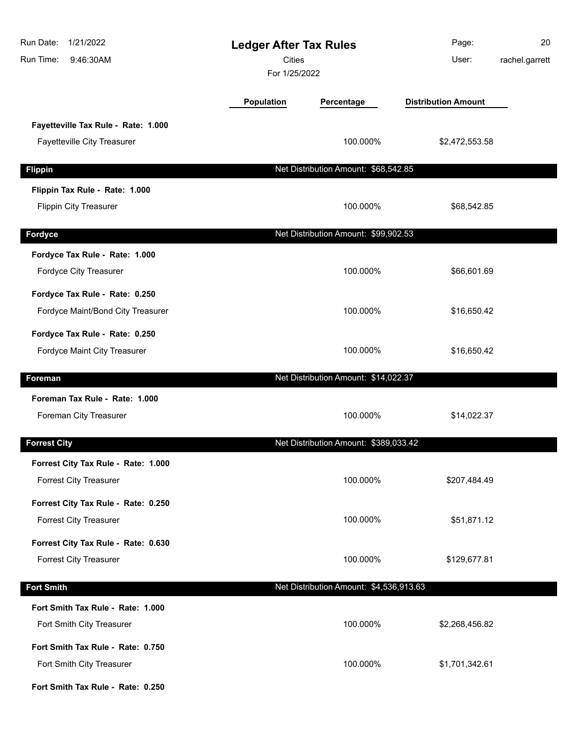| Run Date:<br>1/21/2022<br>Run Time:<br>9:46:30AM                     | <b>Ledger After Tax Rules</b><br>Cities<br>For 1/25/2022 |                                         | Page:<br>User:             | 20<br>rachel.garrett |
|----------------------------------------------------------------------|----------------------------------------------------------|-----------------------------------------|----------------------------|----------------------|
|                                                                      | Population                                               | Percentage                              | <b>Distribution Amount</b> |                      |
| Fayetteville Tax Rule - Rate: 1.000<br>Fayetteville City Treasurer   |                                                          | 100.000%                                | \$2,472,553.58             |                      |
| <b>Flippin</b>                                                       |                                                          | Net Distribution Amount: \$68,542.85    |                            |                      |
| Flippin Tax Rule - Rate: 1.000<br><b>Flippin City Treasurer</b>      |                                                          | 100.000%                                | \$68,542.85                |                      |
| Fordyce                                                              |                                                          | Net Distribution Amount: \$99,902.53    |                            |                      |
| Fordyce Tax Rule - Rate: 1.000<br>Fordyce City Treasurer             |                                                          | 100.000%                                | \$66,601.69                |                      |
| Fordyce Tax Rule - Rate: 0.250<br>Fordyce Maint/Bond City Treasurer  |                                                          | 100.000%                                | \$16,650.42                |                      |
| Fordyce Tax Rule - Rate: 0.250<br>Fordyce Maint City Treasurer       |                                                          | 100.000%                                | \$16,650.42                |                      |
| Foreman                                                              |                                                          | Net Distribution Amount: \$14,022.37    |                            |                      |
| Foreman Tax Rule - Rate: 1.000<br>Foreman City Treasurer             |                                                          | 100.000%                                | \$14,022.37                |                      |
| <b>Forrest City</b>                                                  |                                                          | Net Distribution Amount: \$389,033.42   |                            |                      |
| Forrest City Tax Rule - Rate: 1.000<br><b>Forrest City Treasurer</b> |                                                          | 100.000%                                | \$207,484.49               |                      |
| Forrest City Tax Rule - Rate: 0.250<br><b>Forrest City Treasurer</b> |                                                          | 100.000%                                | \$51,871.12                |                      |
| Forrest City Tax Rule - Rate: 0.630<br><b>Forrest City Treasurer</b> |                                                          | 100.000%                                | \$129,677.81               |                      |
| <b>Fort Smith</b>                                                    |                                                          | Net Distribution Amount: \$4,536,913.63 |                            |                      |
| Fort Smith Tax Rule - Rate: 1.000<br>Fort Smith City Treasurer       |                                                          | 100.000%                                | \$2,268,456.82             |                      |
| Fort Smith Tax Rule - Rate: 0.750<br>Fort Smith City Treasurer       |                                                          | 100.000%                                | \$1,701,342.61             |                      |
| Fort Smith Tax Rule - Rate: 0.250                                    |                                                          |                                         |                            |                      |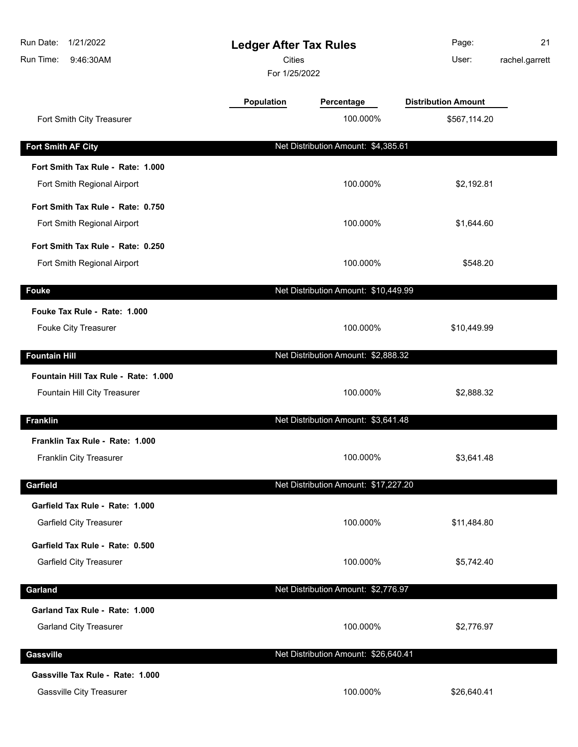| Run Date:<br>1/21/2022<br>Run Time:<br>9:46:30AM                | <b>Ledger After Tax Rules</b><br>Cities<br>For 1/25/2022 |                                      | Page:<br>User:             | 21<br>rachel.garrett |
|-----------------------------------------------------------------|----------------------------------------------------------|--------------------------------------|----------------------------|----------------------|
|                                                                 | Population                                               | Percentage                           | <b>Distribution Amount</b> |                      |
| Fort Smith City Treasurer                                       |                                                          | 100.000%                             | \$567,114.20               |                      |
| <b>Fort Smith AF City</b>                                       |                                                          | Net Distribution Amount: \$4,385.61  |                            |                      |
| Fort Smith Tax Rule - Rate: 1.000                               |                                                          |                                      |                            |                      |
| Fort Smith Regional Airport                                     |                                                          | 100.000%                             | \$2,192.81                 |                      |
| Fort Smith Tax Rule - Rate: 0.750                               |                                                          |                                      |                            |                      |
| Fort Smith Regional Airport                                     |                                                          | 100.000%                             | \$1,644.60                 |                      |
| Fort Smith Tax Rule - Rate: 0.250                               |                                                          |                                      |                            |                      |
| Fort Smith Regional Airport                                     |                                                          | 100.000%                             | \$548.20                   |                      |
| <b>Fouke</b>                                                    |                                                          | Net Distribution Amount: \$10,449.99 |                            |                      |
| Fouke Tax Rule - Rate: 1.000                                    |                                                          |                                      |                            |                      |
| Fouke City Treasurer                                            |                                                          | 100.000%                             | \$10,449.99                |                      |
| <b>Fountain Hill</b>                                            |                                                          | Net Distribution Amount: \$2,888.32  |                            |                      |
| Fountain Hill Tax Rule - Rate: 1.000                            |                                                          |                                      |                            |                      |
| Fountain Hill City Treasurer                                    |                                                          | 100.000%                             | \$2,888.32                 |                      |
| <b>Franklin</b>                                                 |                                                          | Net Distribution Amount: \$3,641.48  |                            |                      |
| Franklin Tax Rule - Rate: 1.000                                 |                                                          |                                      |                            |                      |
| Franklin City Treasurer                                         |                                                          | 100.000%                             | \$3,641.48                 |                      |
| Garfield                                                        |                                                          | Net Distribution Amount: \$17,227.20 |                            |                      |
| Garfield Tax Rule - Rate: 1.000                                 |                                                          |                                      |                            |                      |
| <b>Garfield City Treasurer</b>                                  |                                                          | 100.000%                             | \$11,484.80                |                      |
| Garfield Tax Rule - Rate: 0.500                                 |                                                          |                                      |                            |                      |
| <b>Garfield City Treasurer</b>                                  |                                                          | 100.000%                             | \$5,742.40                 |                      |
|                                                                 |                                                          | Net Distribution Amount: \$2,776.97  |                            |                      |
| Garland                                                         |                                                          |                                      |                            |                      |
| Garland Tax Rule - Rate: 1.000<br><b>Garland City Treasurer</b> |                                                          | 100.000%                             | \$2,776.97                 |                      |
|                                                                 |                                                          |                                      |                            |                      |
| Gassville                                                       |                                                          | Net Distribution Amount: \$26,640.41 |                            |                      |
| Gassville Tax Rule - Rate: 1.000                                |                                                          |                                      |                            |                      |
| <b>Gassville City Treasurer</b>                                 |                                                          | 100.000%                             | \$26,640.41                |                      |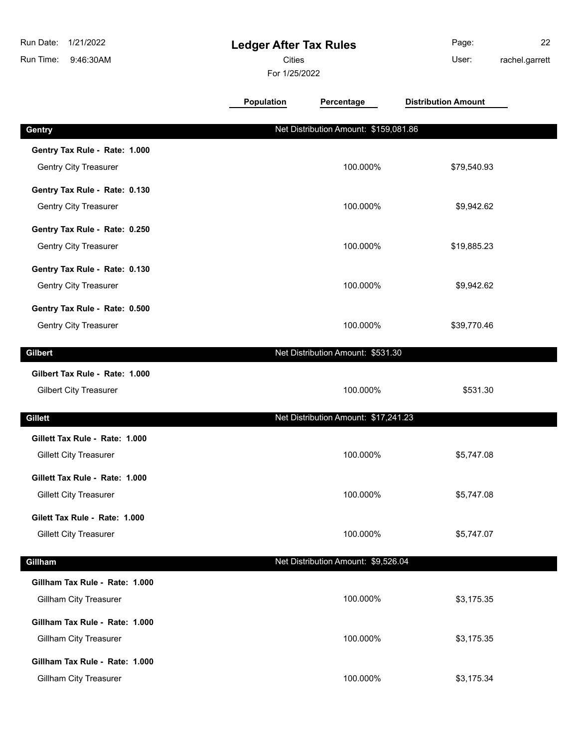| Run Date:<br>1/21/2022<br>Run Time:<br>9:46:30AM                | <b>Ledger After Tax Rules</b><br>Cities<br>For 1/25/2022 |                                       | Page:<br>User:             | 22<br>rachel.garrett |
|-----------------------------------------------------------------|----------------------------------------------------------|---------------------------------------|----------------------------|----------------------|
|                                                                 | Population                                               | Percentage                            | <b>Distribution Amount</b> |                      |
| Gentry                                                          |                                                          | Net Distribution Amount: \$159,081.86 |                            |                      |
| Gentry Tax Rule - Rate: 1.000<br><b>Gentry City Treasurer</b>   |                                                          | 100.000%                              | \$79,540.93                |                      |
| Gentry Tax Rule - Rate: 0.130<br><b>Gentry City Treasurer</b>   |                                                          | 100.000%                              | \$9,942.62                 |                      |
| Gentry Tax Rule - Rate: 0.250<br><b>Gentry City Treasurer</b>   |                                                          | 100.000%                              | \$19,885.23                |                      |
| Gentry Tax Rule - Rate: 0.130<br><b>Gentry City Treasurer</b>   |                                                          | 100.000%                              | \$9,942.62                 |                      |
| Gentry Tax Rule - Rate: 0.500<br><b>Gentry City Treasurer</b>   |                                                          | 100.000%                              | \$39,770.46                |                      |
| <b>Gilbert</b>                                                  |                                                          | Net Distribution Amount: \$531.30     |                            |                      |
| Gilbert Tax Rule - Rate: 1.000<br><b>Gilbert City Treasurer</b> |                                                          | 100.000%                              | \$531.30                   |                      |
| <b>Gillett</b>                                                  |                                                          | Net Distribution Amount: \$17,241.23  |                            |                      |
| Gillett Tax Rule - Rate: 1.000<br><b>Gillett City Treasurer</b> |                                                          | 100.000%                              | \$5,747.08                 |                      |
| Gillett Tax Rule - Rate: 1.000<br><b>Gillett City Treasurer</b> |                                                          | 100.000%                              | \$5,747.08                 |                      |
| Gilett Tax Rule - Rate: 1.000<br><b>Gillett City Treasurer</b>  |                                                          | 100.000%                              | \$5,747.07                 |                      |
| Gillham                                                         |                                                          | Net Distribution Amount: \$9,526.04   |                            |                      |
| Gillham Tax Rule - Rate: 1.000<br>Gillham City Treasurer        |                                                          | 100.000%                              | \$3,175.35                 |                      |
| Gillham Tax Rule - Rate: 1.000<br><b>Gillham City Treasurer</b> |                                                          | 100.000%                              | \$3,175.35                 |                      |
| Gillham Tax Rule - Rate: 1.000<br>Gillham City Treasurer        |                                                          | 100.000%                              | \$3,175.34                 |                      |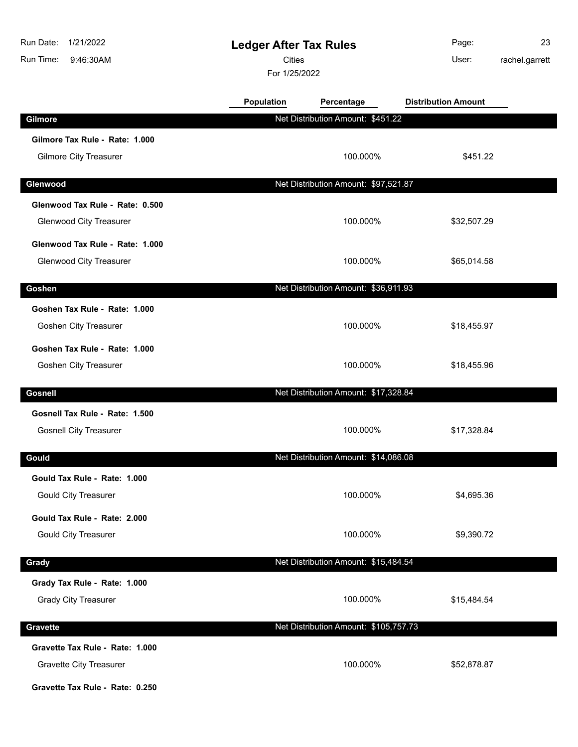| Run Date:<br>1/21/2022<br>Run Time:<br>9:46:30AM                                                     | <b>Ledger After Tax Rules</b><br><b>Cities</b><br>For 1/25/2022 |                                       | Page:<br>User:             | 23<br>rachel.garrett |
|------------------------------------------------------------------------------------------------------|-----------------------------------------------------------------|---------------------------------------|----------------------------|----------------------|
|                                                                                                      | <b>Population</b>                                               | Percentage                            | <b>Distribution Amount</b> |                      |
| Gilmore                                                                                              |                                                                 | Net Distribution Amount: \$451.22     |                            |                      |
| Gilmore Tax Rule - Rate: 1.000<br><b>Gilmore City Treasurer</b>                                      |                                                                 | 100.000%                              | \$451.22                   |                      |
| Glenwood                                                                                             |                                                                 | Net Distribution Amount: \$97,521.87  |                            |                      |
| Glenwood Tax Rule - Rate: 0.500<br><b>Glenwood City Treasurer</b>                                    |                                                                 | 100.000%                              | \$32,507.29                |                      |
| Glenwood Tax Rule - Rate: 1.000<br><b>Glenwood City Treasurer</b>                                    |                                                                 | 100.000%                              | \$65,014.58                |                      |
| Goshen                                                                                               |                                                                 | Net Distribution Amount: \$36,911.93  |                            |                      |
| Goshen Tax Rule - Rate: 1.000<br>Goshen City Treasurer                                               |                                                                 | 100.000%                              | \$18,455.97                |                      |
| Goshen Tax Rule - Rate: 1.000<br>Goshen City Treasurer                                               |                                                                 | 100.000%                              | \$18,455.96                |                      |
| <b>Gosnell</b>                                                                                       |                                                                 | Net Distribution Amount: \$17,328.84  |                            |                      |
| Gosnell Tax Rule - Rate: 1.500<br><b>Gosnell City Treasurer</b>                                      |                                                                 | 100.000%                              | \$17,328.84                |                      |
| Gould                                                                                                |                                                                 | Net Distribution Amount: \$14,086.08  |                            |                      |
| Gould Tax Rule - Rate: 1.000<br><b>Gould City Treasurer</b>                                          |                                                                 | 100.000%                              | \$4,695.36                 |                      |
| Gould Tax Rule - Rate: 2.000<br><b>Gould City Treasurer</b>                                          |                                                                 | 100.000%                              | \$9,390.72                 |                      |
| Grady                                                                                                |                                                                 | Net Distribution Amount: \$15,484.54  |                            |                      |
| Grady Tax Rule - Rate: 1.000<br><b>Grady City Treasurer</b>                                          |                                                                 | 100.000%                              | \$15,484.54                |                      |
| Gravette                                                                                             |                                                                 | Net Distribution Amount: \$105,757.73 |                            |                      |
| Gravette Tax Rule - Rate: 1.000<br><b>Gravette City Treasurer</b><br>Gravette Tax Rule - Rate: 0.250 |                                                                 | 100.000%                              | \$52,878.87                |                      |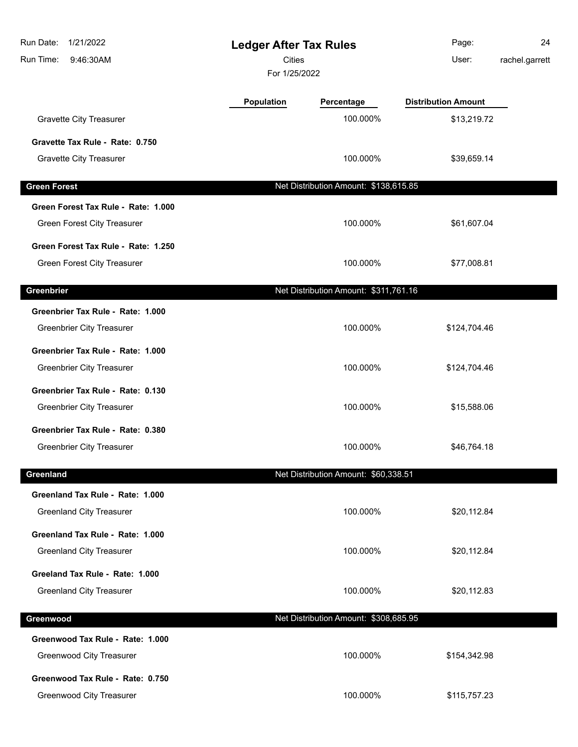| Run Date:<br>1/21/2022<br>Run Time:<br>9:46:30AM                          | <b>Ledger After Tax Rules</b><br>Cities<br>For 1/25/2022 |                                       | Page:<br>User:             | 24<br>rachel.garrett |
|---------------------------------------------------------------------------|----------------------------------------------------------|---------------------------------------|----------------------------|----------------------|
|                                                                           | <b>Population</b>                                        | Percentage                            | <b>Distribution Amount</b> |                      |
| <b>Gravette City Treasurer</b>                                            |                                                          | 100.000%                              | \$13,219.72                |                      |
| Gravette Tax Rule - Rate: 0.750                                           |                                                          |                                       |                            |                      |
| <b>Gravette City Treasurer</b>                                            |                                                          | 100.000%                              | \$39,659.14                |                      |
| <b>Green Forest</b>                                                       |                                                          | Net Distribution Amount: \$138,615.85 |                            |                      |
| Green Forest Tax Rule - Rate: 1.000                                       |                                                          |                                       |                            |                      |
| <b>Green Forest City Treasurer</b>                                        |                                                          | 100.000%                              | \$61,607.04                |                      |
| Green Forest Tax Rule - Rate: 1.250<br><b>Green Forest City Treasurer</b> |                                                          | 100.000%                              | \$77,008.81                |                      |
| Greenbrier                                                                |                                                          | Net Distribution Amount: \$311,761.16 |                            |                      |
| Greenbrier Tax Rule - Rate: 1.000                                         |                                                          |                                       |                            |                      |
| <b>Greenbrier City Treasurer</b>                                          |                                                          | 100.000%                              | \$124,704.46               |                      |
| Greenbrier Tax Rule - Rate: 1.000                                         |                                                          |                                       |                            |                      |
| <b>Greenbrier City Treasurer</b>                                          |                                                          | 100.000%                              | \$124,704.46               |                      |
| Greenbrier Tax Rule - Rate: 0.130                                         |                                                          |                                       |                            |                      |
| <b>Greenbrier City Treasurer</b>                                          |                                                          | 100.000%                              | \$15,588.06                |                      |
| Greenbrier Tax Rule - Rate: 0.380                                         |                                                          |                                       |                            |                      |
| <b>Greenbrier City Treasurer</b>                                          |                                                          | 100.000%                              | \$46,764.18                |                      |
| Greenland                                                                 |                                                          | Net Distribution Amount: \$60,338.51  |                            |                      |
| Greenland Tax Rule - Rate: 1.000                                          |                                                          |                                       |                            |                      |
| <b>Greenland City Treasurer</b>                                           |                                                          | 100.000%                              | \$20,112.84                |                      |
| Greenland Tax Rule - Rate: 1.000                                          |                                                          |                                       |                            |                      |
| <b>Greenland City Treasurer</b>                                           |                                                          | 100.000%                              | \$20,112.84                |                      |
| Greeland Tax Rule - Rate: 1.000                                           |                                                          |                                       |                            |                      |
| <b>Greenland City Treasurer</b>                                           |                                                          | 100.000%                              | \$20,112.83                |                      |
| Greenwood                                                                 |                                                          | Net Distribution Amount: \$308,685.95 |                            |                      |
| Greenwood Tax Rule - Rate: 1.000                                          |                                                          |                                       |                            |                      |
| <b>Greenwood City Treasurer</b>                                           |                                                          | 100.000%                              | \$154,342.98               |                      |
| Greenwood Tax Rule - Rate: 0.750                                          |                                                          |                                       |                            |                      |
| <b>Greenwood City Treasurer</b>                                           |                                                          | 100.000%                              | \$115,757.23               |                      |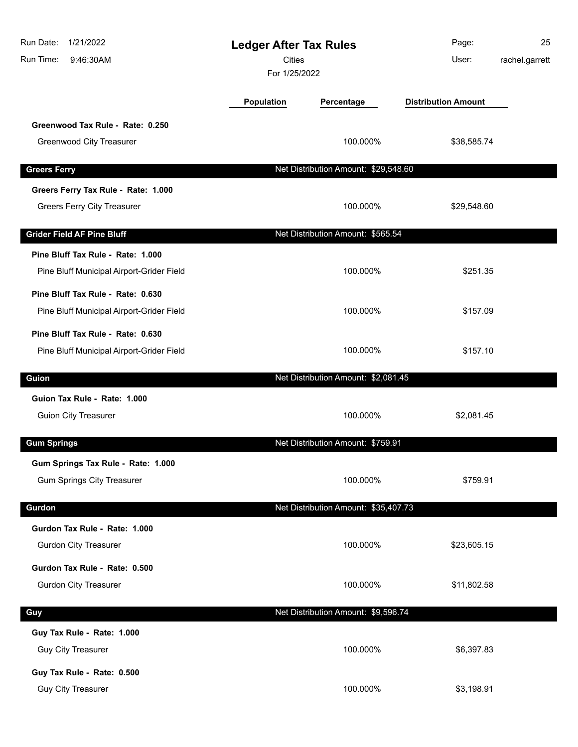| 1/21/2022<br>Run Date:<br>Run Time:<br>9:46:30AM | <b>Ledger After Tax Rules</b><br><b>Cities</b><br>For 1/25/2022 |                                      | Page:<br>User:             | 25<br>rachel.garrett |
|--------------------------------------------------|-----------------------------------------------------------------|--------------------------------------|----------------------------|----------------------|
|                                                  | Population                                                      | Percentage                           | <b>Distribution Amount</b> |                      |
| Greenwood Tax Rule - Rate: 0.250                 |                                                                 |                                      |                            |                      |
| <b>Greenwood City Treasurer</b>                  |                                                                 | 100.000%                             | \$38,585.74                |                      |
| <b>Greers Ferry</b>                              |                                                                 | Net Distribution Amount: \$29,548.60 |                            |                      |
| Greers Ferry Tax Rule - Rate: 1.000              |                                                                 |                                      |                            |                      |
| <b>Greers Ferry City Treasurer</b>               |                                                                 | 100.000%                             | \$29,548.60                |                      |
| <b>Grider Field AF Pine Bluff</b>                |                                                                 | Net Distribution Amount: \$565.54    |                            |                      |
| Pine Bluff Tax Rule - Rate: 1.000                |                                                                 |                                      |                            |                      |
| Pine Bluff Municipal Airport-Grider Field        |                                                                 | 100.000%                             | \$251.35                   |                      |
| Pine Bluff Tax Rule - Rate: 0.630                |                                                                 |                                      |                            |                      |
| Pine Bluff Municipal Airport-Grider Field        |                                                                 | 100.000%                             | \$157.09                   |                      |
| Pine Bluff Tax Rule - Rate: 0.630                |                                                                 |                                      |                            |                      |
| Pine Bluff Municipal Airport-Grider Field        |                                                                 | 100.000%                             | \$157.10                   |                      |
| Guion                                            |                                                                 | Net Distribution Amount: \$2,081.45  |                            |                      |
| Guion Tax Rule - Rate: 1.000                     |                                                                 |                                      |                            |                      |
| <b>Guion City Treasurer</b>                      |                                                                 | 100.000%                             | \$2,081.45                 |                      |
| <b>Gum Springs</b>                               |                                                                 | Net Distribution Amount: \$759.91    |                            |                      |
| Gum Springs Tax Rule - Rate: 1.000               |                                                                 |                                      |                            |                      |
| <b>Gum Springs City Treasurer</b>                |                                                                 | 100.000%                             | \$759.91                   |                      |
| Gurdon                                           |                                                                 | Net Distribution Amount: \$35,407.73 |                            |                      |
| Gurdon Tax Rule - Rate: 1.000                    |                                                                 |                                      |                            |                      |
| <b>Gurdon City Treasurer</b>                     |                                                                 | 100.000%                             | \$23,605.15                |                      |
| Gurdon Tax Rule - Rate: 0.500                    |                                                                 |                                      |                            |                      |
| <b>Gurdon City Treasurer</b>                     |                                                                 | 100.000%                             | \$11,802.58                |                      |
| Guy                                              |                                                                 | Net Distribution Amount: \$9,596.74  |                            |                      |
| Guy Tax Rule - Rate: 1.000                       |                                                                 |                                      |                            |                      |
| <b>Guy City Treasurer</b>                        |                                                                 | 100.000%                             | \$6,397.83                 |                      |
| Guy Tax Rule - Rate: 0.500                       |                                                                 |                                      |                            |                      |
| Guy City Treasurer                               |                                                                 | 100.000%                             | \$3,198.91                 |                      |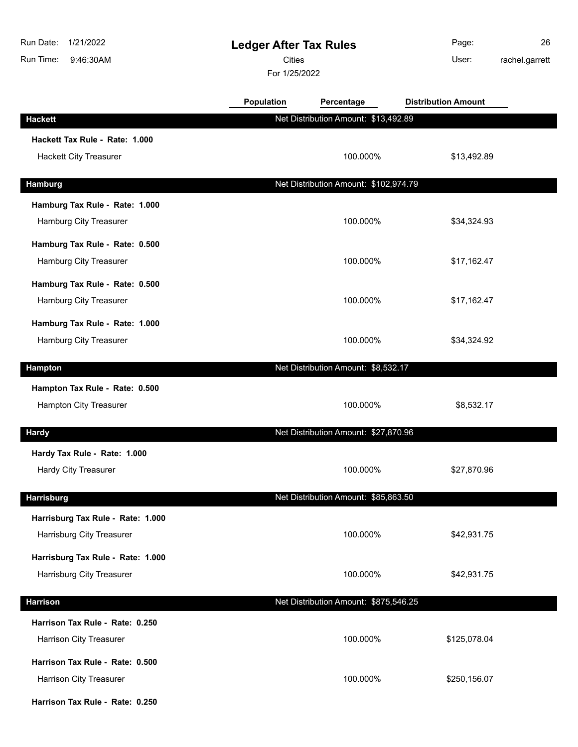| Run Date:<br>1/21/2022<br>Run Time:<br>9:46:30AM               | <b>Ledger After Tax Rules</b><br><b>Cities</b><br>For 1/25/2022 |                                       | Page:<br>User:             | 26<br>rachel.garrett |
|----------------------------------------------------------------|-----------------------------------------------------------------|---------------------------------------|----------------------------|----------------------|
|                                                                | Population                                                      | Percentage                            | <b>Distribution Amount</b> |                      |
| <b>Hackett</b>                                                 |                                                                 | Net Distribution Amount: \$13,492.89  |                            |                      |
| Hackett Tax Rule - Rate: 1.000                                 |                                                                 |                                       |                            |                      |
| Hackett City Treasurer                                         |                                                                 | 100.000%                              | \$13,492.89                |                      |
| <b>Hamburg</b>                                                 |                                                                 | Net Distribution Amount: \$102,974.79 |                            |                      |
| Hamburg Tax Rule - Rate: 1.000                                 |                                                                 |                                       |                            |                      |
| Hamburg City Treasurer                                         |                                                                 | 100.000%                              | \$34,324.93                |                      |
| Hamburg Tax Rule - Rate: 0.500                                 |                                                                 |                                       |                            |                      |
| Hamburg City Treasurer                                         |                                                                 | 100.000%                              | \$17,162.47                |                      |
| Hamburg Tax Rule - Rate: 0.500                                 |                                                                 |                                       |                            |                      |
| Hamburg City Treasurer                                         |                                                                 | 100.000%                              | \$17,162.47                |                      |
| Hamburg Tax Rule - Rate: 1.000                                 |                                                                 |                                       |                            |                      |
| Hamburg City Treasurer                                         |                                                                 | 100.000%                              | \$34,324.92                |                      |
| <b>Hampton</b>                                                 |                                                                 | Net Distribution Amount: \$8,532.17   |                            |                      |
| Hampton Tax Rule - Rate: 0.500                                 |                                                                 |                                       |                            |                      |
| <b>Hampton City Treasurer</b>                                  |                                                                 | 100.000%                              | \$8,532.17                 |                      |
|                                                                |                                                                 | Net Distribution Amount: \$27,870.96  |                            |                      |
| <b>Hardy</b>                                                   |                                                                 |                                       |                            |                      |
| Hardy Tax Rule - Rate: 1.000<br><b>Hardy City Treasurer</b>    |                                                                 | 100.000%                              | \$27,870.96                |                      |
|                                                                |                                                                 |                                       |                            |                      |
| <b>Harrisburg</b>                                              |                                                                 | Net Distribution Amount: \$85,863.50  |                            |                      |
| Harrisburg Tax Rule - Rate: 1.000<br>Harrisburg City Treasurer |                                                                 | 100.000%                              | \$42,931.75                |                      |
|                                                                |                                                                 |                                       |                            |                      |
| Harrisburg Tax Rule - Rate: 1.000<br>Harrisburg City Treasurer |                                                                 | 100.000%                              | \$42,931.75                |                      |
|                                                                |                                                                 |                                       |                            |                      |
| <b>Harrison</b>                                                |                                                                 | Net Distribution Amount: \$875,546.25 |                            |                      |
| Harrison Tax Rule - Rate: 0.250                                |                                                                 |                                       |                            |                      |
| Harrison City Treasurer                                        |                                                                 | 100.000%                              | \$125,078.04               |                      |
| Harrison Tax Rule - Rate: 0.500                                |                                                                 |                                       |                            |                      |
| Harrison City Treasurer                                        |                                                                 | 100.000%                              | \$250,156.07               |                      |
| Harrison Tax Rule - Rate: 0.250                                |                                                                 |                                       |                            |                      |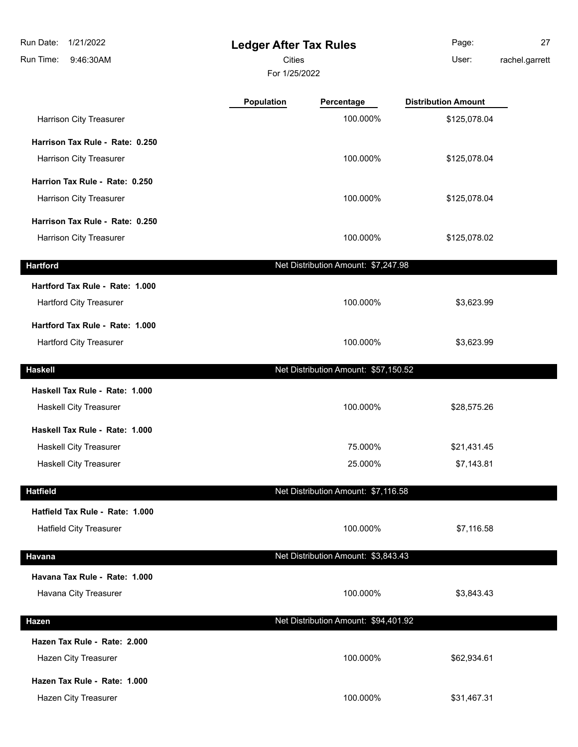**Ledger After Tax Rules** 9:46:30AM Run Date: 1/21/2022 Run Time: For 1/25/2022 **Cities Community Community Community** User: Page: 27 rachel.garrett **Population Percentage Distribution Amount** Harrison City Treasurer 100.000% \$125,078.04 **Harrison Tax Rule - Rate: 0.250** Harrison City Treasurer 100.000% \$125,078.04 **Harrion Tax Rule - Rate: 0.250**

Harrison City Treasurer 100.000% \$125,078.04 **Harrison Tax Rule - Rate: 0.250** Harrison City Treasurer 100.000% \$125,078.02 **Hartford Net Distribution Amount: \$7,247.98 Hartford Tax Rule - Rate: 1.000** Hartford City Treasurer 100.000% \$3,623.99 **Hartford Tax Rule - Rate: 1.000** Hartford City Treasurer **100.000%** \$3,623.99 **Haskell** Net Distribution Amount: \$57,150.52 **Haskell Tax Rule - Rate: 1.000** Haskell City Treasurer **100.000%** \$28,575.26 **Haskell Tax Rule - Rate: 1.000** Haskell City Treasurer **1988** S21,431.45 Haskell City Treasurer **25.000%** \$7,143.81 **Hatfield** Net Distribution Amount: \$7,116.58 **Hatfield Tax Rule - Rate: 1.000** Hatfield City Treasurer **100.000%** \$7,116.58 **Havana Net Distribution Amount: \$3,843.43** 

**Havana Tax Rule - Rate: 1.000** Havana City Treasurer 100.000% \$3,843.43 **Hazen** Net Distribution Amount: \$94,401.92 **Hazen Tax Rule - Rate: 2.000** Hazen City Treasurer **100.000%** \$62,934.61 **Hazen Tax Rule - Rate: 1.000** Hazen City Treasurer 100.000% \$31,467.31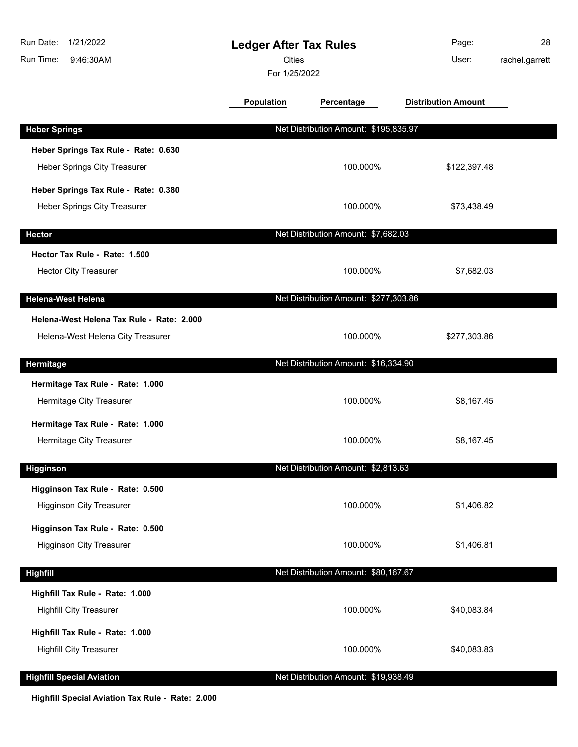| Run Date:<br>1/21/2022<br>Run Time:<br>9:46:30AM                               | <b>Ledger After Tax Rules</b><br><b>Cities</b><br>For 1/25/2022 |                                       | Page:<br>User:             | 28<br>rachel.garrett |
|--------------------------------------------------------------------------------|-----------------------------------------------------------------|---------------------------------------|----------------------------|----------------------|
|                                                                                | <b>Population</b>                                               | Percentage                            | <b>Distribution Amount</b> |                      |
| <b>Heber Springs</b>                                                           |                                                                 | Net Distribution Amount: \$195,835.97 |                            |                      |
| Heber Springs Tax Rule - Rate: 0.630<br><b>Heber Springs City Treasurer</b>    |                                                                 | 100.000%                              | \$122,397.48               |                      |
| Heber Springs Tax Rule - Rate: 0.380<br>Heber Springs City Treasurer           |                                                                 | 100.000%                              | \$73,438.49                |                      |
| <b>Hector</b>                                                                  |                                                                 | Net Distribution Amount: \$7,682.03   |                            |                      |
| Hector Tax Rule - Rate: 1.500<br><b>Hector City Treasurer</b>                  |                                                                 | 100.000%                              | \$7,682.03                 |                      |
| <b>Helena-West Helena</b>                                                      |                                                                 | Net Distribution Amount: \$277,303.86 |                            |                      |
| Helena-West Helena Tax Rule - Rate: 2.000<br>Helena-West Helena City Treasurer |                                                                 | 100.000%                              | \$277,303.86               |                      |
| Hermitage                                                                      |                                                                 | Net Distribution Amount: \$16,334.90  |                            |                      |
| Hermitage Tax Rule - Rate: 1.000<br>Hermitage City Treasurer                   |                                                                 | 100.000%                              | \$8,167.45                 |                      |
| Hermitage Tax Rule - Rate: 1.000<br>Hermitage City Treasurer                   |                                                                 | 100.000%                              | \$8,167.45                 |                      |
| Higginson                                                                      |                                                                 | Net Distribution Amount: \$2,813.63   |                            |                      |
| Higginson Tax Rule - Rate: 0.500<br><b>Higginson City Treasurer</b>            |                                                                 | 100.000%                              | \$1,406.82                 |                      |
| Higginson Tax Rule - Rate: 0.500<br><b>Higginson City Treasurer</b>            |                                                                 | 100.000%                              | \$1,406.81                 |                      |
| <b>Highfill</b>                                                                |                                                                 | Net Distribution Amount: \$80,167.67  |                            |                      |
| Highfill Tax Rule - Rate: 1.000<br><b>Highfill City Treasurer</b>              |                                                                 | 100.000%                              | \$40,083.84                |                      |
| Highfill Tax Rule - Rate: 1.000<br><b>Highfill City Treasurer</b>              |                                                                 | 100.000%                              | \$40,083.83                |                      |
| <b>Highfill Special Aviation</b>                                               |                                                                 | Net Distribution Amount: \$19,938.49  |                            |                      |

**Highfill Special Aviation Tax Rule - Rate: 2.000**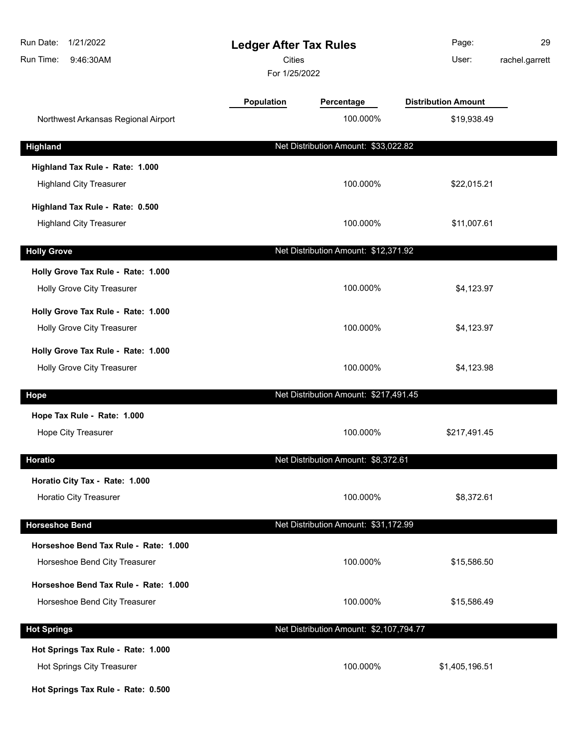| Run Date:<br>1/21/2022<br>Run Time:<br>9:46:30AM | <b>Ledger After Tax Rules</b><br><b>Cities</b><br>For 1/25/2022 |                                         | Page:<br>User:             | 29<br>rachel.garrett |
|--------------------------------------------------|-----------------------------------------------------------------|-----------------------------------------|----------------------------|----------------------|
|                                                  | <b>Population</b>                                               | Percentage                              | <b>Distribution Amount</b> |                      |
| Northwest Arkansas Regional Airport              |                                                                 | 100.000%                                | \$19,938.49                |                      |
| <b>Highland</b>                                  |                                                                 | Net Distribution Amount: \$33,022.82    |                            |                      |
| Highland Tax Rule - Rate: 1.000                  |                                                                 |                                         |                            |                      |
| <b>Highland City Treasurer</b>                   |                                                                 | 100.000%                                | \$22,015.21                |                      |
| Highland Tax Rule - Rate: 0.500                  |                                                                 |                                         |                            |                      |
| <b>Highland City Treasurer</b>                   |                                                                 | 100.000%                                | \$11,007.61                |                      |
| <b>Holly Grove</b>                               |                                                                 | Net Distribution Amount: \$12,371.92    |                            |                      |
| Holly Grove Tax Rule - Rate: 1.000               |                                                                 |                                         |                            |                      |
| Holly Grove City Treasurer                       |                                                                 | 100.000%                                | \$4,123.97                 |                      |
| Holly Grove Tax Rule - Rate: 1.000               |                                                                 |                                         |                            |                      |
| Holly Grove City Treasurer                       |                                                                 | 100.000%                                | \$4,123.97                 |                      |
| Holly Grove Tax Rule - Rate: 1.000               |                                                                 |                                         |                            |                      |
| Holly Grove City Treasurer                       |                                                                 | 100.000%                                | \$4,123.98                 |                      |
| Hope                                             |                                                                 | Net Distribution Amount: \$217,491.45   |                            |                      |
| Hope Tax Rule - Rate: 1.000                      |                                                                 |                                         |                            |                      |
| Hope City Treasurer                              |                                                                 | 100.000%                                | \$217,491.45               |                      |
| <b>Horatio</b>                                   |                                                                 | Net Distribution Amount: \$8,372.61     |                            |                      |
| Horatio City Tax - Rate: 1.000                   |                                                                 |                                         |                            |                      |
| Horatio City Treasurer                           |                                                                 | 100.000%                                | \$8,372.61                 |                      |
| <b>Horseshoe Bend</b>                            |                                                                 | Net Distribution Amount: \$31,172.99    |                            |                      |
| Horseshoe Bend Tax Rule - Rate: 1.000            |                                                                 |                                         |                            |                      |
| Horseshoe Bend City Treasurer                    |                                                                 | 100.000%                                | \$15,586.50                |                      |
| Horseshoe Bend Tax Rule - Rate: 1.000            |                                                                 |                                         |                            |                      |
| Horseshoe Bend City Treasurer                    |                                                                 | 100.000%                                | \$15,586.49                |                      |
| <b>Hot Springs</b>                               |                                                                 | Net Distribution Amount: \$2,107,794.77 |                            |                      |
| Hot Springs Tax Rule - Rate: 1.000               |                                                                 |                                         |                            |                      |
| Hot Springs City Treasurer                       |                                                                 | 100.000%                                | \$1,405,196.51             |                      |
| Hot Springs Tax Rule - Rate: 0.500               |                                                                 |                                         |                            |                      |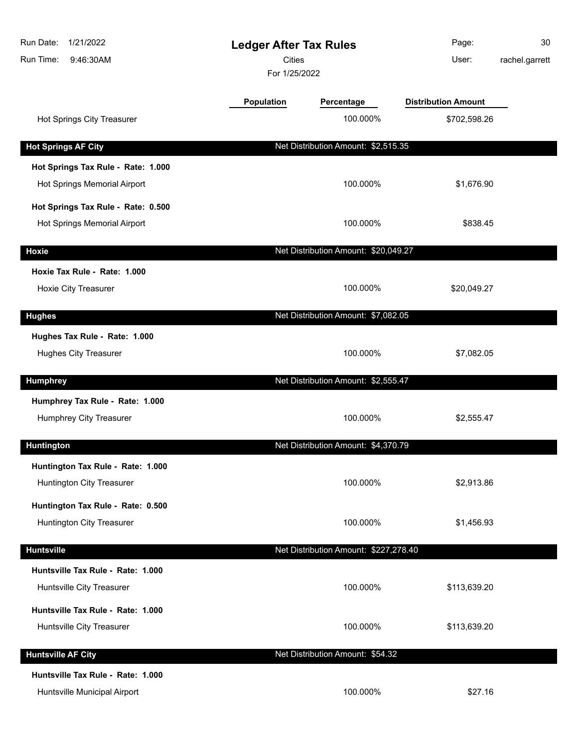| Run Date:<br>1/21/2022<br>Run Time:<br>9:46:30AM |                   | <b>Ledger After Tax Rules</b><br><b>Cities</b><br>For 1/25/2022 |                            | 30<br>rachel.garrett |
|--------------------------------------------------|-------------------|-----------------------------------------------------------------|----------------------------|----------------------|
|                                                  | <b>Population</b> | Percentage                                                      | <b>Distribution Amount</b> |                      |
| Hot Springs City Treasurer                       |                   | 100.000%                                                        | \$702,598.26               |                      |
| <b>Hot Springs AF City</b>                       |                   | Net Distribution Amount: \$2,515.35                             |                            |                      |
| Hot Springs Tax Rule - Rate: 1.000               |                   |                                                                 |                            |                      |
| Hot Springs Memorial Airport                     |                   | 100.000%                                                        | \$1,676.90                 |                      |
| Hot Springs Tax Rule - Rate: 0.500               |                   |                                                                 |                            |                      |
| Hot Springs Memorial Airport                     |                   | 100.000%                                                        | \$838.45                   |                      |
| <b>Hoxie</b>                                     |                   | Net Distribution Amount: \$20,049.27                            |                            |                      |
| Hoxie Tax Rule - Rate: 1.000                     |                   |                                                                 |                            |                      |
| Hoxie City Treasurer                             |                   | 100.000%                                                        | \$20,049.27                |                      |
| <b>Hughes</b>                                    |                   | Net Distribution Amount: \$7,082.05                             |                            |                      |
| Hughes Tax Rule - Rate: 1.000                    |                   |                                                                 |                            |                      |
| <b>Hughes City Treasurer</b>                     |                   | 100.000%                                                        | \$7,082.05                 |                      |
| <b>Humphrey</b>                                  |                   | Net Distribution Amount: \$2,555.47                             |                            |                      |
| Humphrey Tax Rule - Rate: 1.000                  |                   |                                                                 |                            |                      |
| Humphrey City Treasurer                          |                   | 100.000%                                                        | \$2,555.47                 |                      |
| Huntington                                       |                   | Net Distribution Amount: \$4,370.79                             |                            |                      |
| Huntington Tax Rule - Rate: 1.000                |                   |                                                                 |                            |                      |
| Huntington City Treasurer                        |                   | 100.000%                                                        | \$2,913.86                 |                      |
| Huntington Tax Rule - Rate: 0.500                |                   |                                                                 |                            |                      |
| Huntington City Treasurer                        |                   | 100.000%                                                        | \$1,456.93                 |                      |
| <b>Huntsville</b>                                |                   | Net Distribution Amount: \$227,278.40                           |                            |                      |
| Huntsville Tax Rule - Rate: 1.000                |                   |                                                                 |                            |                      |
| Huntsville City Treasurer                        |                   | 100.000%                                                        | \$113,639.20               |                      |
| Huntsville Tax Rule - Rate: 1.000                |                   |                                                                 |                            |                      |
| Huntsville City Treasurer                        |                   | 100.000%                                                        | \$113,639.20               |                      |
| <b>Huntsville AF City</b>                        |                   | Net Distribution Amount: \$54.32                                |                            |                      |
| Huntsville Tax Rule - Rate: 1.000                |                   |                                                                 |                            |                      |
| Huntsville Municipal Airport                     |                   | 100.000%                                                        | \$27.16                    |                      |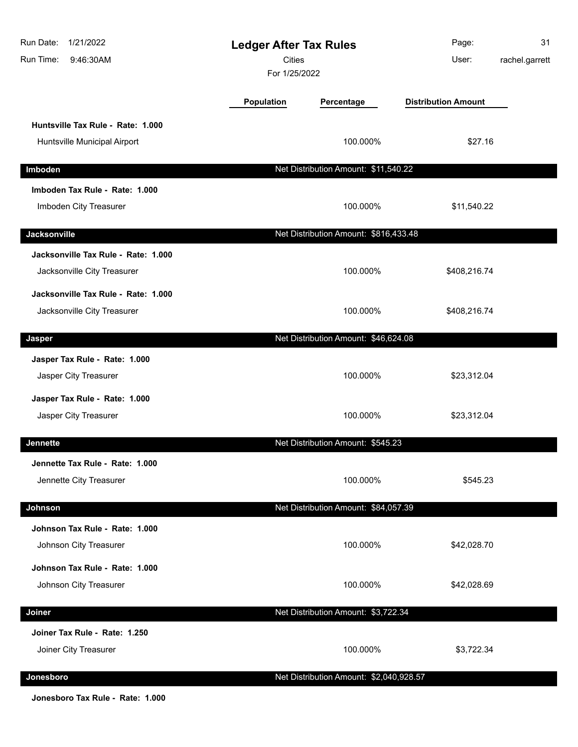| Run Date:<br>1/21/2022<br>Run Time:<br>9:46:30AM                   | <b>Ledger After Tax Rules</b><br><b>Cities</b><br>For 1/25/2022 |                                         | Page:<br>User:             | 31<br>rachel.garrett |
|--------------------------------------------------------------------|-----------------------------------------------------------------|-----------------------------------------|----------------------------|----------------------|
|                                                                    | Population                                                      | Percentage                              | <b>Distribution Amount</b> |                      |
| Huntsville Tax Rule - Rate: 1.000<br>Huntsville Municipal Airport  |                                                                 | 100.000%                                | \$27.16                    |                      |
| Imboden                                                            |                                                                 | Net Distribution Amount: \$11,540.22    |                            |                      |
| Imboden Tax Rule - Rate: 1.000<br>Imboden City Treasurer           |                                                                 | 100.000%                                | \$11,540.22                |                      |
| Jacksonville                                                       |                                                                 | Net Distribution Amount: \$816,433.48   |                            |                      |
| Jacksonville Tax Rule - Rate: 1.000<br>Jacksonville City Treasurer |                                                                 | 100.000%                                | \$408,216.74               |                      |
| Jacksonville Tax Rule - Rate: 1.000<br>Jacksonville City Treasurer |                                                                 | 100.000%                                | \$408,216.74               |                      |
| Jasper                                                             |                                                                 | Net Distribution Amount: \$46,624.08    |                            |                      |
| Jasper Tax Rule - Rate: 1.000<br>Jasper City Treasurer             |                                                                 | 100.000%                                | \$23,312.04                |                      |
| Jasper Tax Rule - Rate: 1.000<br>Jasper City Treasurer             |                                                                 | 100.000%                                | \$23,312.04                |                      |
| <b>Jennette</b>                                                    |                                                                 | Net Distribution Amount: \$545.23       |                            |                      |
| Jennette Tax Rule - Rate: 1.000<br>Jennette City Treasurer         |                                                                 | 100.000%                                | \$545.23                   |                      |
| Johnson                                                            |                                                                 | Net Distribution Amount: \$84,057.39    |                            |                      |
| Johnson Tax Rule - Rate: 1.000<br>Johnson City Treasurer           |                                                                 | 100.000%                                | \$42,028.70                |                      |
| Johnson Tax Rule - Rate: 1.000<br>Johnson City Treasurer           |                                                                 | 100.000%                                | \$42,028.69                |                      |
| Joiner                                                             |                                                                 | Net Distribution Amount: \$3,722.34     |                            |                      |
| Joiner Tax Rule - Rate: 1.250<br>Joiner City Treasurer             |                                                                 | 100.000%                                | \$3,722.34                 |                      |
| Jonesboro                                                          |                                                                 | Net Distribution Amount: \$2,040,928.57 |                            |                      |

**Jonesboro Tax Rule - Rate: 1.000**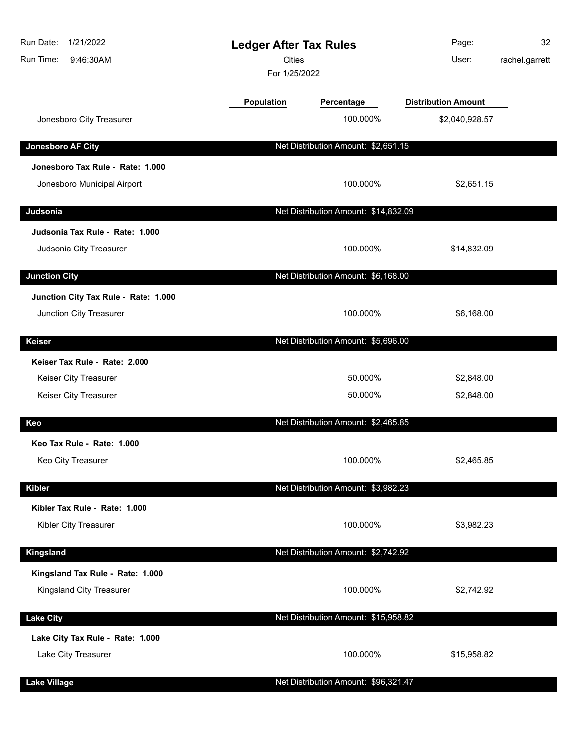| Run Date:<br>1/21/2022<br>Run Time:<br>9:46:30AM | <b>Ledger After Tax Rules</b><br>Cities<br>For 1/25/2022 |                                      | Page:<br>User:             | 32<br>rachel.garrett |
|--------------------------------------------------|----------------------------------------------------------|--------------------------------------|----------------------------|----------------------|
|                                                  | <b>Population</b>                                        | Percentage                           | <b>Distribution Amount</b> |                      |
| Jonesboro City Treasurer                         |                                                          | 100.000%                             | \$2,040,928.57             |                      |
| Jonesboro AF City                                |                                                          | Net Distribution Amount: \$2,651.15  |                            |                      |
| Jonesboro Tax Rule - Rate: 1.000                 |                                                          |                                      |                            |                      |
| Jonesboro Municipal Airport                      |                                                          | 100.000%                             | \$2,651.15                 |                      |
| Judsonia                                         |                                                          | Net Distribution Amount: \$14,832.09 |                            |                      |
| Judsonia Tax Rule - Rate: 1.000                  |                                                          |                                      |                            |                      |
| Judsonia City Treasurer                          |                                                          | 100.000%                             | \$14,832.09                |                      |
| <b>Junction City</b>                             |                                                          | Net Distribution Amount: \$6,168.00  |                            |                      |
| Junction City Tax Rule - Rate: 1.000             |                                                          |                                      |                            |                      |
| Junction City Treasurer                          |                                                          | 100.000%                             | \$6,168.00                 |                      |
| <b>Keiser</b>                                    |                                                          | Net Distribution Amount: \$5,696.00  |                            |                      |
| Keiser Tax Rule - Rate: 2.000                    |                                                          |                                      |                            |                      |
| Keiser City Treasurer                            |                                                          | 50.000%                              | \$2,848.00                 |                      |
| Keiser City Treasurer                            |                                                          | 50.000%                              | \$2,848.00                 |                      |
| Keo                                              |                                                          | Net Distribution Amount: \$2,465.85  |                            |                      |
| Keo Tax Rule - Rate: 1.000                       |                                                          |                                      |                            |                      |
| Keo City Treasurer                               |                                                          | 100.000%                             | \$2,465.85                 |                      |
| <b>Kibler</b>                                    |                                                          | Net Distribution Amount: \$3,982.23  |                            |                      |
| Kibler Tax Rule - Rate: 1.000                    |                                                          |                                      |                            |                      |
| Kibler City Treasurer                            |                                                          | 100.000%                             | \$3,982.23                 |                      |
| Kingsland                                        |                                                          | Net Distribution Amount: \$2,742.92  |                            |                      |
| Kingsland Tax Rule - Rate: 1.000                 |                                                          |                                      |                            |                      |
| Kingsland City Treasurer                         |                                                          | 100.000%                             | \$2,742.92                 |                      |
| <b>Lake City</b>                                 |                                                          | Net Distribution Amount: \$15,958.82 |                            |                      |
| Lake City Tax Rule - Rate: 1.000                 |                                                          |                                      |                            |                      |
| Lake City Treasurer                              |                                                          | 100.000%                             | \$15,958.82                |                      |
| <b>Lake Village</b>                              |                                                          | Net Distribution Amount: \$96,321.47 |                            |                      |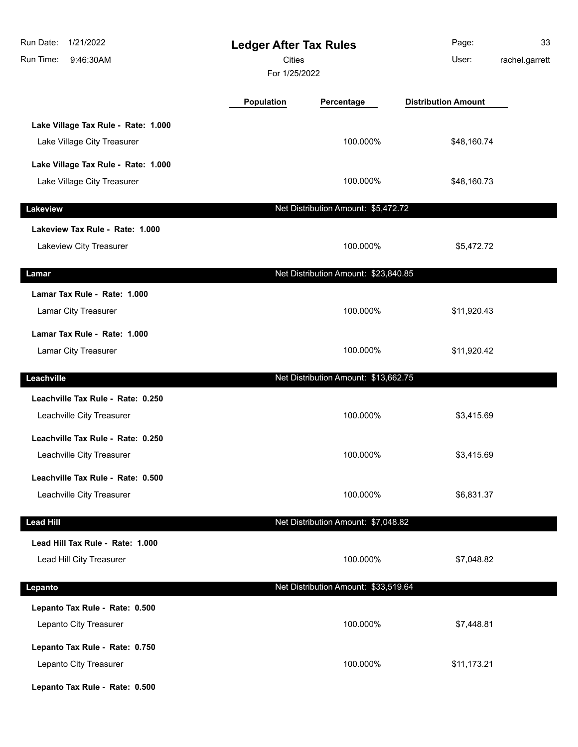| Run Date:<br>1/21/2022<br>Run Time:<br>9:46:30AM                   | <b>Ledger After Tax Rules</b><br><b>Cities</b><br>For 1/25/2022 |                                      | Page:<br>User:             | 33<br>rachel.garrett |
|--------------------------------------------------------------------|-----------------------------------------------------------------|--------------------------------------|----------------------------|----------------------|
|                                                                    | Population                                                      | Percentage                           | <b>Distribution Amount</b> |                      |
| Lake Village Tax Rule - Rate: 1.000<br>Lake Village City Treasurer |                                                                 | 100.000%                             | \$48,160.74                |                      |
| Lake Village Tax Rule - Rate: 1.000<br>Lake Village City Treasurer |                                                                 | 100.000%                             | \$48,160.73                |                      |
| Lakeview                                                           |                                                                 | Net Distribution Amount: \$5,472.72  |                            |                      |
| Lakeview Tax Rule - Rate: 1.000<br>Lakeview City Treasurer         |                                                                 | 100.000%                             | \$5,472.72                 |                      |
| Lamar                                                              |                                                                 | Net Distribution Amount: \$23,840.85 |                            |                      |
| Lamar Tax Rule - Rate: 1.000<br>Lamar City Treasurer               |                                                                 | 100.000%                             | \$11,920.43                |                      |
| Lamar Tax Rule - Rate: 1.000<br>Lamar City Treasurer               |                                                                 | 100.000%                             | \$11,920.42                |                      |
| Leachville                                                         |                                                                 | Net Distribution Amount: \$13,662.75 |                            |                      |
| Leachville Tax Rule - Rate: 0.250<br>Leachville City Treasurer     |                                                                 | 100.000%                             | \$3,415.69                 |                      |
| Leachville Tax Rule - Rate: 0.250<br>Leachville City Treasurer     |                                                                 | 100.000%                             | \$3,415.69                 |                      |
| Leachville Tax Rule - Rate: 0.500<br>Leachville City Treasurer     |                                                                 | 100.000%                             | \$6,831.37                 |                      |
| <b>Lead Hill</b>                                                   |                                                                 | Net Distribution Amount: \$7,048.82  |                            |                      |
| Lead Hill Tax Rule - Rate: 1.000<br>Lead Hill City Treasurer       |                                                                 | 100.000%                             | \$7,048.82                 |                      |
| Lepanto                                                            |                                                                 | Net Distribution Amount: \$33,519.64 |                            |                      |
| Lepanto Tax Rule - Rate: 0.500<br>Lepanto City Treasurer           |                                                                 | 100.000%                             | \$7,448.81                 |                      |
| Lepanto Tax Rule - Rate: 0.750<br>Lepanto City Treasurer           |                                                                 | 100.000%                             | \$11,173.21                |                      |
| Lepanto Tax Rule - Rate: 0.500                                     |                                                                 |                                      |                            |                      |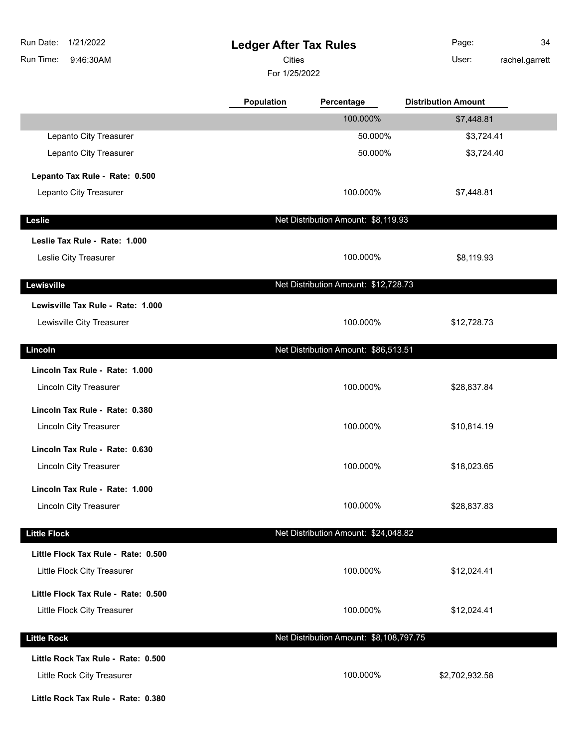| Run Date:           | 1/21/2022                           | <b>Ledger After Tax Rules</b> |                                         | Page:                      | 34             |
|---------------------|-------------------------------------|-------------------------------|-----------------------------------------|----------------------------|----------------|
| Run Time:           | 9:46:30AM                           | Cities                        |                                         | User:                      | rachel.garrett |
|                     |                                     | For 1/25/2022                 |                                         |                            |                |
|                     |                                     | <b>Population</b>             | Percentage                              | <b>Distribution Amount</b> |                |
|                     |                                     |                               | 100.000%                                | \$7,448.81                 |                |
|                     | Lepanto City Treasurer              |                               | 50.000%                                 | \$3,724.41                 |                |
|                     | Lepanto City Treasurer              |                               | 50.000%                                 | \$3,724.40                 |                |
|                     | Lepanto Tax Rule - Rate: 0.500      |                               |                                         |                            |                |
|                     | Lepanto City Treasurer              |                               | 100.000%                                | \$7,448.81                 |                |
| Leslie              |                                     |                               | Net Distribution Amount: \$8,119.93     |                            |                |
|                     | Leslie Tax Rule - Rate: 1.000       |                               |                                         |                            |                |
|                     | Leslie City Treasurer               |                               | 100.000%                                | \$8,119.93                 |                |
| Lewisville          |                                     |                               | Net Distribution Amount: \$12,728.73    |                            |                |
|                     | Lewisville Tax Rule - Rate: 1.000   |                               |                                         |                            |                |
|                     | Lewisville City Treasurer           |                               | 100.000%                                | \$12,728.73                |                |
| Lincoln             |                                     |                               | Net Distribution Amount: \$86,513.51    |                            |                |
|                     | Lincoln Tax Rule - Rate: 1.000      |                               |                                         |                            |                |
|                     | Lincoln City Treasurer              |                               | 100.000%                                | \$28,837.84                |                |
|                     | Lincoln Tax Rule - Rate: 0.380      |                               |                                         |                            |                |
|                     | <b>Lincoln City Treasurer</b>       |                               | 100.000%                                | \$10,814.19                |                |
|                     | Lincoln Tax Rule - Rate: 0.630      |                               |                                         |                            |                |
|                     | Lincoln City Treasurer              |                               | 100.000%                                | \$18,023.65                |                |
|                     | Lincoln Tax Rule - Rate: 1.000      |                               |                                         |                            |                |
|                     | <b>Lincoln City Treasurer</b>       |                               | 100.000%                                | \$28,837.83                |                |
| <b>Little Flock</b> |                                     |                               | Net Distribution Amount: \$24,048.82    |                            |                |
|                     | Little Flock Tax Rule - Rate: 0.500 |                               |                                         |                            |                |
|                     | Little Flock City Treasurer         |                               | 100.000%                                | \$12,024.41                |                |
|                     | Little Flock Tax Rule - Rate: 0.500 |                               |                                         |                            |                |
|                     | Little Flock City Treasurer         |                               | 100.000%                                | \$12,024.41                |                |
| <b>Little Rock</b>  |                                     |                               | Net Distribution Amount: \$8,108,797.75 |                            |                |
|                     | Little Rock Tax Rule - Rate: 0.500  |                               |                                         |                            |                |
|                     | Little Rock City Treasurer          |                               | 100.000%                                | \$2,702,932.58             |                |
|                     | Little Rock Tax Rule - Rate: 0.380  |                               |                                         |                            |                |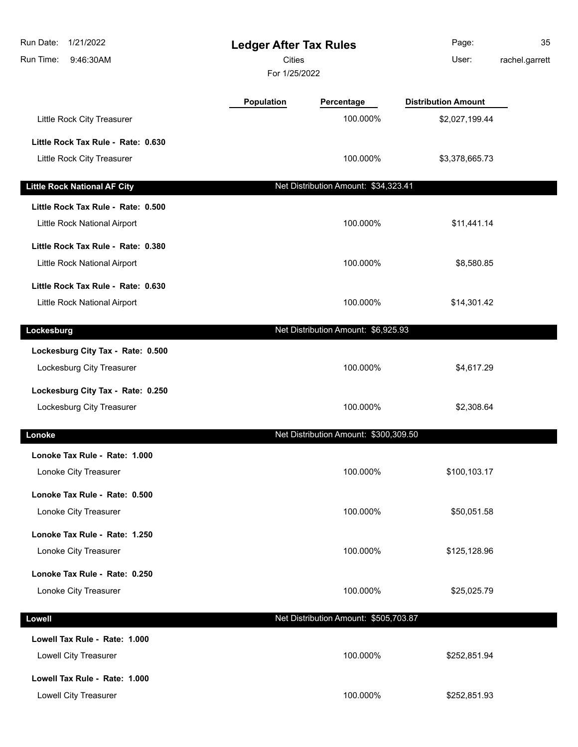| Run Date:<br>1/21/2022<br>Run Time:<br>9:46:30AM | <b>Ledger After Tax Rules</b><br><b>Cities</b><br>For 1/25/2022 |                                       | Page:<br>User:             | 35<br>rachel.garrett |
|--------------------------------------------------|-----------------------------------------------------------------|---------------------------------------|----------------------------|----------------------|
|                                                  | Population                                                      | Percentage                            | <b>Distribution Amount</b> |                      |
| Little Rock City Treasurer                       |                                                                 | 100.000%                              | \$2,027,199.44             |                      |
| Little Rock Tax Rule - Rate: 0.630               |                                                                 |                                       |                            |                      |
| Little Rock City Treasurer                       |                                                                 | 100.000%                              | \$3,378,665.73             |                      |
| <b>Little Rock National AF City</b>              |                                                                 | Net Distribution Amount: \$34,323.41  |                            |                      |
| Little Rock Tax Rule - Rate: 0.500               |                                                                 |                                       |                            |                      |
| Little Rock National Airport                     |                                                                 | 100.000%                              | \$11,441.14                |                      |
| Little Rock Tax Rule - Rate: 0.380               |                                                                 |                                       |                            |                      |
| Little Rock National Airport                     |                                                                 | 100.000%                              | \$8,580.85                 |                      |
| Little Rock Tax Rule - Rate: 0.630               |                                                                 |                                       |                            |                      |
| Little Rock National Airport                     |                                                                 | 100.000%                              | \$14,301.42                |                      |
| Lockesburg                                       |                                                                 | Net Distribution Amount: \$6,925.93   |                            |                      |
| Lockesburg City Tax - Rate: 0.500                |                                                                 |                                       |                            |                      |
| Lockesburg City Treasurer                        |                                                                 | 100.000%                              | \$4,617.29                 |                      |
| Lockesburg City Tax - Rate: 0.250                |                                                                 |                                       |                            |                      |
| Lockesburg City Treasurer                        |                                                                 | 100.000%                              | \$2,308.64                 |                      |
| Lonoke                                           |                                                                 | Net Distribution Amount: \$300,309.50 |                            |                      |
| Lonoke Tax Rule - Rate: 1.000                    |                                                                 |                                       |                            |                      |
| Lonoke City Treasurer                            |                                                                 | 100.000%                              | \$100,103.17               |                      |
| Lonoke Tax Rule - Rate: 0.500                    |                                                                 |                                       |                            |                      |
| Lonoke City Treasurer                            |                                                                 | 100.000%                              | \$50,051.58                |                      |
| Lonoke Tax Rule - Rate: 1.250                    |                                                                 |                                       |                            |                      |
| Lonoke City Treasurer                            |                                                                 | 100.000%                              | \$125,128.96               |                      |
| Lonoke Tax Rule - Rate: 0.250                    |                                                                 |                                       |                            |                      |
| Lonoke City Treasurer                            |                                                                 | 100.000%                              | \$25,025.79                |                      |
| Lowell                                           |                                                                 | Net Distribution Amount: \$505,703.87 |                            |                      |
| Lowell Tax Rule - Rate: 1.000                    |                                                                 |                                       |                            |                      |
| Lowell City Treasurer                            |                                                                 | 100.000%                              | \$252,851.94               |                      |
| Lowell Tax Rule - Rate: 1.000                    |                                                                 |                                       |                            |                      |
| Lowell City Treasurer                            |                                                                 | 100.000%                              | \$252,851.93               |                      |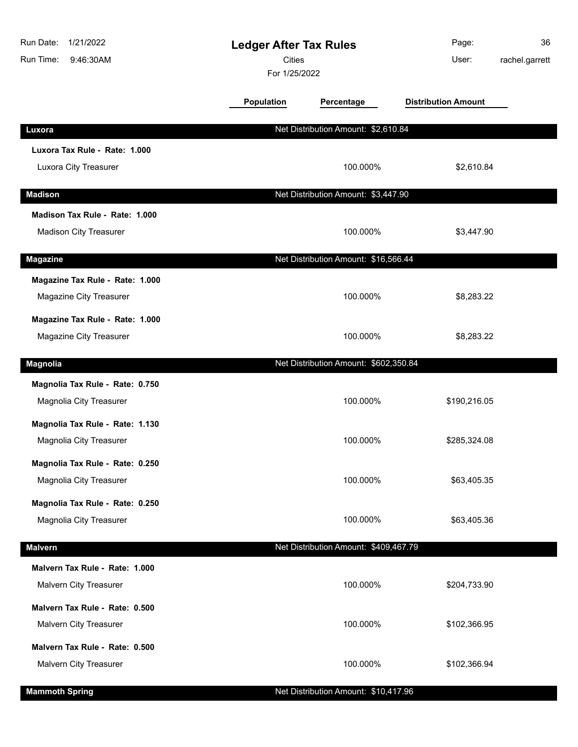| Run Date:<br>1/21/2022<br>Run Time:<br>9:46:30AM           | <b>Ledger After Tax Rules</b><br><b>Cities</b><br>For 1/25/2022 |                                       | Page:<br>User:             | 36<br>rachel.garrett |
|------------------------------------------------------------|-----------------------------------------------------------------|---------------------------------------|----------------------------|----------------------|
|                                                            | Population                                                      | Percentage                            | <b>Distribution Amount</b> |                      |
| Luxora                                                     |                                                                 | Net Distribution Amount: \$2,610.84   |                            |                      |
| Luxora Tax Rule - Rate: 1.000                              |                                                                 |                                       |                            |                      |
| Luxora City Treasurer                                      |                                                                 | 100.000%                              | \$2,610.84                 |                      |
| <b>Madison</b>                                             |                                                                 | Net Distribution Amount: \$3,447.90   |                            |                      |
| Madison Tax Rule - Rate: 1.000                             |                                                                 |                                       |                            |                      |
| Madison City Treasurer                                     |                                                                 | 100.000%                              | \$3,447.90                 |                      |
| <b>Magazine</b>                                            |                                                                 | Net Distribution Amount: \$16,566.44  |                            |                      |
| Magazine Tax Rule - Rate: 1.000<br>Magazine City Treasurer |                                                                 | 100.000%                              | \$8,283.22                 |                      |
| Magazine Tax Rule - Rate: 1.000<br>Magazine City Treasurer |                                                                 | 100.000%                              | \$8,283.22                 |                      |
| <b>Magnolia</b>                                            |                                                                 | Net Distribution Amount: \$602,350.84 |                            |                      |
| Magnolia Tax Rule - Rate: 0.750                            |                                                                 |                                       |                            |                      |
| Magnolia City Treasurer                                    |                                                                 | 100.000%                              | \$190,216.05               |                      |
| Magnolia Tax Rule - Rate: 1.130                            |                                                                 |                                       |                            |                      |
| Magnolia City Treasurer                                    |                                                                 | 100.000%                              | \$285,324.08               |                      |
| Magnolia Tax Rule - Rate: 0.250                            |                                                                 |                                       |                            |                      |
| Magnolia City Treasurer                                    |                                                                 | 100.000%                              | \$63,405.35                |                      |
| Magnolia Tax Rule - Rate: 0.250                            |                                                                 |                                       |                            |                      |
| Magnolia City Treasurer                                    |                                                                 | 100.000%                              | \$63,405.36                |                      |
| <b>Malvern</b>                                             |                                                                 | Net Distribution Amount: \$409,467.79 |                            |                      |
| Malvern Tax Rule - Rate: 1.000                             |                                                                 |                                       |                            |                      |
| Malvern City Treasurer                                     |                                                                 | 100.000%                              | \$204,733.90               |                      |
| Malvern Tax Rule - Rate: 0.500                             |                                                                 |                                       |                            |                      |
| Malvern City Treasurer                                     |                                                                 | 100.000%                              | \$102,366.95               |                      |
| Malvern Tax Rule - Rate: 0.500                             |                                                                 |                                       |                            |                      |
| Malvern City Treasurer                                     |                                                                 | 100.000%                              | \$102,366.94               |                      |
| <b>Mammoth Spring</b>                                      |                                                                 | Net Distribution Amount: \$10,417.96  |                            |                      |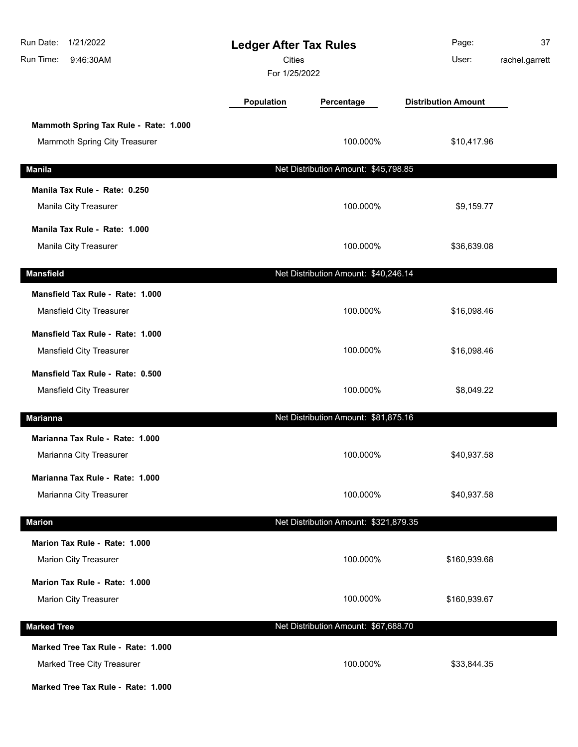| Run Date:<br>1/21/2022<br>Run Time:<br>9:46:30AM                                                       | <b>Ledger After Tax Rules</b><br><b>Cities</b><br>For 1/25/2022 |                                       | Page:<br>User:             | 37<br>rachel.garrett |
|--------------------------------------------------------------------------------------------------------|-----------------------------------------------------------------|---------------------------------------|----------------------------|----------------------|
|                                                                                                        | Population                                                      | Percentage                            | <b>Distribution Amount</b> |                      |
| Mammoth Spring Tax Rule - Rate: 1.000<br>Mammoth Spring City Treasurer                                 |                                                                 | 100.000%                              | \$10,417.96                |                      |
| <b>Manila</b>                                                                                          |                                                                 | Net Distribution Amount: \$45,798.85  |                            |                      |
| Manila Tax Rule - Rate: 0.250<br>Manila City Treasurer                                                 |                                                                 | 100.000%                              | \$9,159.77                 |                      |
| Manila Tax Rule - Rate: 1.000<br>Manila City Treasurer                                                 |                                                                 | 100.000%                              | \$36,639.08                |                      |
| <b>Mansfield</b>                                                                                       |                                                                 | Net Distribution Amount: \$40,246.14  |                            |                      |
| Mansfield Tax Rule - Rate: 1.000<br>Mansfield City Treasurer                                           |                                                                 | 100.000%                              | \$16,098.46                |                      |
| Mansfield Tax Rule - Rate: 1.000<br>Mansfield City Treasurer                                           |                                                                 | 100.000%                              | \$16,098.46                |                      |
| Mansfield Tax Rule - Rate: 0.500<br>Mansfield City Treasurer                                           |                                                                 | 100.000%                              | \$8,049.22                 |                      |
| <b>Marianna</b>                                                                                        |                                                                 | Net Distribution Amount: \$81,875.16  |                            |                      |
| Marianna Tax Rule - Rate: 1.000<br>Marianna City Treasurer                                             |                                                                 | 100.000%                              | \$40,937.58                |                      |
| Marianna Tax Rule - Rate: 1.000<br>Marianna City Treasurer                                             |                                                                 | 100.000%                              | \$40,937.58                |                      |
| <b>Marion</b>                                                                                          |                                                                 | Net Distribution Amount: \$321,879.35 |                            |                      |
| Marion Tax Rule - Rate: 1.000<br><b>Marion City Treasurer</b>                                          |                                                                 | 100.000%                              | \$160,939.68               |                      |
| Marion Tax Rule - Rate: 1.000<br><b>Marion City Treasurer</b>                                          |                                                                 | 100.000%                              | \$160,939.67               |                      |
| <b>Marked Tree</b>                                                                                     |                                                                 | Net Distribution Amount: \$67,688.70  |                            |                      |
| Marked Tree Tax Rule - Rate: 1.000<br>Marked Tree City Treasurer<br>Marked Tree Tax Rule - Rate: 1.000 |                                                                 | 100.000%                              | \$33,844.35                |                      |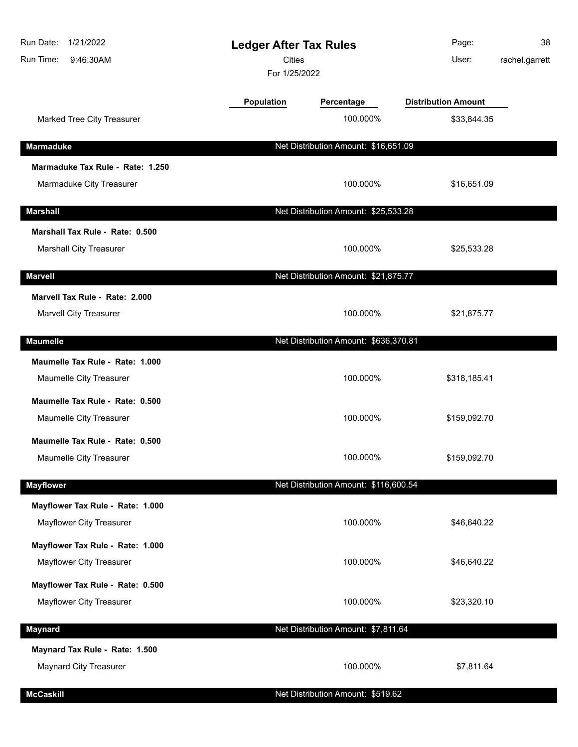| Run Date:<br>1/21/2022<br>Run Time:<br>9:46:30AM             | <b>Ledger After Tax Rules</b><br><b>Cities</b><br>For 1/25/2022 |                                       | Page:<br>User:             | 38<br>rachel.garrett |
|--------------------------------------------------------------|-----------------------------------------------------------------|---------------------------------------|----------------------------|----------------------|
|                                                              | <b>Population</b>                                               | Percentage                            | <b>Distribution Amount</b> |                      |
| Marked Tree City Treasurer                                   |                                                                 | 100.000%                              | \$33,844.35                |                      |
| <b>Marmaduke</b>                                             |                                                                 | Net Distribution Amount: \$16,651.09  |                            |                      |
| Marmaduke Tax Rule - Rate: 1.250                             |                                                                 |                                       |                            |                      |
| Marmaduke City Treasurer                                     |                                                                 | 100.000%                              | \$16,651.09                |                      |
| <b>Marshall</b>                                              |                                                                 | Net Distribution Amount: \$25,533.28  |                            |                      |
| Marshall Tax Rule - Rate: 0.500                              |                                                                 |                                       |                            |                      |
| <b>Marshall City Treasurer</b>                               |                                                                 | 100.000%                              | \$25,533.28                |                      |
| <b>Marvell</b>                                               |                                                                 | Net Distribution Amount: \$21,875.77  |                            |                      |
| Marvell Tax Rule - Rate: 2.000<br>Marvell City Treasurer     |                                                                 | 100.000%                              | \$21,875.77                |                      |
| <b>Maumelle</b>                                              |                                                                 | Net Distribution Amount: \$636,370.81 |                            |                      |
| Maumelle Tax Rule - Rate: 1.000                              |                                                                 |                                       |                            |                      |
| Maumelle City Treasurer                                      |                                                                 | 100.000%                              | \$318,185.41               |                      |
| Maumelle Tax Rule - Rate: 0.500                              |                                                                 |                                       |                            |                      |
| Maumelle City Treasurer                                      |                                                                 | 100.000%                              | \$159,092.70               |                      |
| Maumelle Tax Rule - Rate: 0.500                              |                                                                 |                                       |                            |                      |
| Maumelle City Treasurer                                      |                                                                 | 100.000%                              | \$159,092.70               |                      |
| <b>Mayflower</b>                                             |                                                                 | Net Distribution Amount: \$116,600.54 |                            |                      |
| Mayflower Tax Rule - Rate: 1.000<br>Mayflower City Treasurer |                                                                 | 100.000%                              | \$46,640.22                |                      |
| Mayflower Tax Rule - Rate: 1.000                             |                                                                 |                                       |                            |                      |
| <b>Mayflower City Treasurer</b>                              |                                                                 | 100.000%                              | \$46,640.22                |                      |
| Mayflower Tax Rule - Rate: 0.500                             |                                                                 |                                       |                            |                      |
| Mayflower City Treasurer                                     |                                                                 | 100.000%                              | \$23,320.10                |                      |
| <b>Maynard</b>                                               |                                                                 | Net Distribution Amount: \$7,811.64   |                            |                      |
| Maynard Tax Rule - Rate: 1.500                               |                                                                 |                                       |                            |                      |
| <b>Maynard City Treasurer</b>                                |                                                                 | 100.000%                              | \$7,811.64                 |                      |
| <b>McCaskill</b>                                             |                                                                 | Net Distribution Amount: \$519.62     |                            |                      |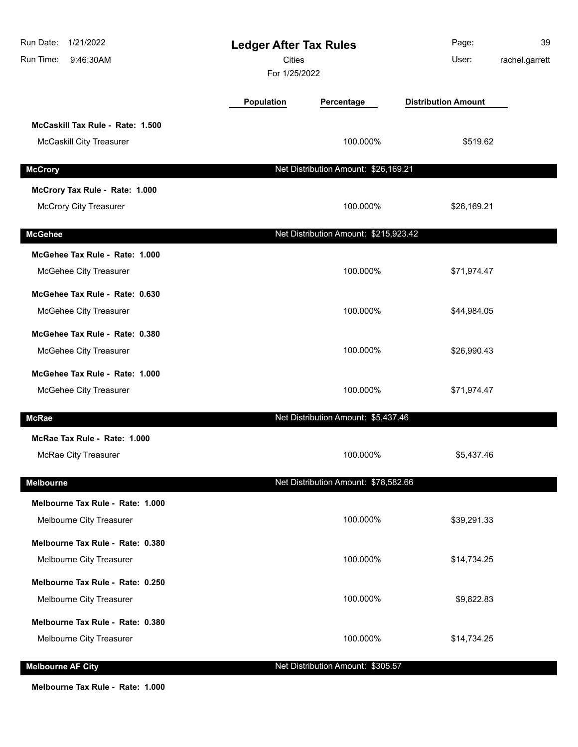| Run Date:<br>1/21/2022<br>9:46:30AM<br>Run Time: | <b>Ledger After Tax Rules</b><br><b>Cities</b><br>For 1/25/2022 |                                       | Page:<br>User:             | 39<br>rachel.garrett |
|--------------------------------------------------|-----------------------------------------------------------------|---------------------------------------|----------------------------|----------------------|
|                                                  | <b>Population</b>                                               | Percentage                            | <b>Distribution Amount</b> |                      |
| McCaskill Tax Rule - Rate: 1.500                 |                                                                 |                                       |                            |                      |
| <b>McCaskill City Treasurer</b>                  |                                                                 | 100.000%                              | \$519.62                   |                      |
| <b>McCrory</b>                                   |                                                                 | Net Distribution Amount: \$26,169.21  |                            |                      |
| McCrory Tax Rule - Rate: 1.000                   |                                                                 |                                       |                            |                      |
| <b>McCrory City Treasurer</b>                    |                                                                 | 100.000%                              | \$26,169.21                |                      |
| <b>McGehee</b>                                   |                                                                 | Net Distribution Amount: \$215,923.42 |                            |                      |
| McGehee Tax Rule - Rate: 1.000                   |                                                                 |                                       |                            |                      |
| McGehee City Treasurer                           |                                                                 | 100.000%                              | \$71,974.47                |                      |
| McGehee Tax Rule - Rate: 0.630                   |                                                                 |                                       |                            |                      |
| McGehee City Treasurer                           |                                                                 | 100.000%                              | \$44,984.05                |                      |
| McGehee Tax Rule - Rate: 0.380                   |                                                                 |                                       |                            |                      |
| McGehee City Treasurer                           |                                                                 | 100.000%                              | \$26,990.43                |                      |
| McGehee Tax Rule - Rate: 1.000                   |                                                                 |                                       |                            |                      |
| McGehee City Treasurer                           |                                                                 | 100.000%                              | \$71,974.47                |                      |
| <b>McRae</b>                                     |                                                                 | Net Distribution Amount: \$5,437.46   |                            |                      |
| McRae Tax Rule - Rate: 1.000                     |                                                                 |                                       |                            |                      |
| McRae City Treasurer                             |                                                                 | 100.000%                              | \$5,437.46                 |                      |
| <b>Melbourne</b>                                 |                                                                 | Net Distribution Amount: \$78,582.66  |                            |                      |
| Melbourne Tax Rule - Rate: 1.000                 |                                                                 |                                       |                            |                      |
| Melbourne City Treasurer                         |                                                                 | 100.000%                              | \$39,291.33                |                      |
| Melbourne Tax Rule - Rate: 0.380                 |                                                                 |                                       |                            |                      |
| Melbourne City Treasurer                         |                                                                 | 100.000%                              | \$14,734.25                |                      |
| Melbourne Tax Rule - Rate: 0.250                 |                                                                 |                                       |                            |                      |
| Melbourne City Treasurer                         |                                                                 | 100.000%                              | \$9,822.83                 |                      |
| Melbourne Tax Rule - Rate: 0.380                 |                                                                 |                                       |                            |                      |
| Melbourne City Treasurer                         |                                                                 | 100.000%                              | \$14,734.25                |                      |
| <b>Melbourne AF City</b>                         |                                                                 | Net Distribution Amount: \$305.57     |                            |                      |

**Melbourne Tax Rule - Rate: 1.000**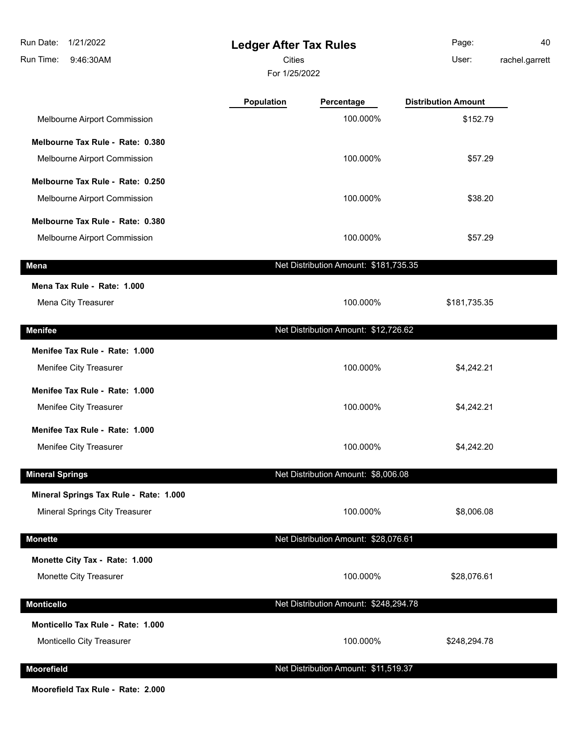| Run Date:<br>1/21/2022                 | <b>Ledger After Tax Rules</b> |                                       | Page:                      | 40             |
|----------------------------------------|-------------------------------|---------------------------------------|----------------------------|----------------|
| Run Time:<br>9:46:30AM                 | Cities                        |                                       | User:                      | rachel.garrett |
|                                        | For 1/25/2022                 |                                       |                            |                |
|                                        | Population                    | Percentage                            | <b>Distribution Amount</b> |                |
| Melbourne Airport Commission           |                               | 100.000%                              | \$152.79                   |                |
| Melbourne Tax Rule - Rate: 0.380       |                               |                                       |                            |                |
| Melbourne Airport Commission           |                               | 100.000%                              | \$57.29                    |                |
| Melbourne Tax Rule - Rate: 0.250       |                               |                                       |                            |                |
| Melbourne Airport Commission           |                               | 100.000%                              | \$38.20                    |                |
| Melbourne Tax Rule - Rate: 0.380       |                               |                                       |                            |                |
| Melbourne Airport Commission           |                               | 100.000%                              | \$57.29                    |                |
| <b>Mena</b>                            |                               | Net Distribution Amount: \$181,735.35 |                            |                |
| Mena Tax Rule - Rate: 1.000            |                               |                                       |                            |                |
| Mena City Treasurer                    |                               | 100.000%                              | \$181,735.35               |                |
| <b>Menifee</b>                         |                               | Net Distribution Amount: \$12,726.62  |                            |                |
| Menifee Tax Rule - Rate: 1.000         |                               |                                       |                            |                |
| Menifee City Treasurer                 |                               | 100.000%                              | \$4,242.21                 |                |
| Menifee Tax Rule - Rate: 1.000         |                               |                                       |                            |                |
| Menifee City Treasurer                 |                               | 100.000%                              | \$4,242.21                 |                |
| Menifee Tax Rule - Rate: 1.000         |                               |                                       |                            |                |
| Menifee City Treasurer                 |                               | 100.000%                              | \$4,242.20                 |                |
| <b>Mineral Springs</b>                 |                               | Net Distribution Amount: \$8,006.08   |                            |                |
| Mineral Springs Tax Rule - Rate: 1.000 |                               |                                       |                            |                |
| Mineral Springs City Treasurer         |                               | 100.000%                              | \$8,006.08                 |                |
| <b>Monette</b>                         |                               | Net Distribution Amount: \$28,076.61  |                            |                |
| Monette City Tax - Rate: 1.000         |                               |                                       |                            |                |
| Monette City Treasurer                 |                               | 100.000%                              | \$28,076.61                |                |
| <b>Monticello</b>                      |                               | Net Distribution Amount: \$248,294.78 |                            |                |
| Monticello Tax Rule - Rate: 1.000      |                               |                                       |                            |                |
| Monticello City Treasurer              |                               | 100.000%                              | \$248,294.78               |                |
| Moorefield                             |                               | Net Distribution Amount: \$11,519.37  |                            |                |

**Moorefield Tax Rule - Rate: 2.000**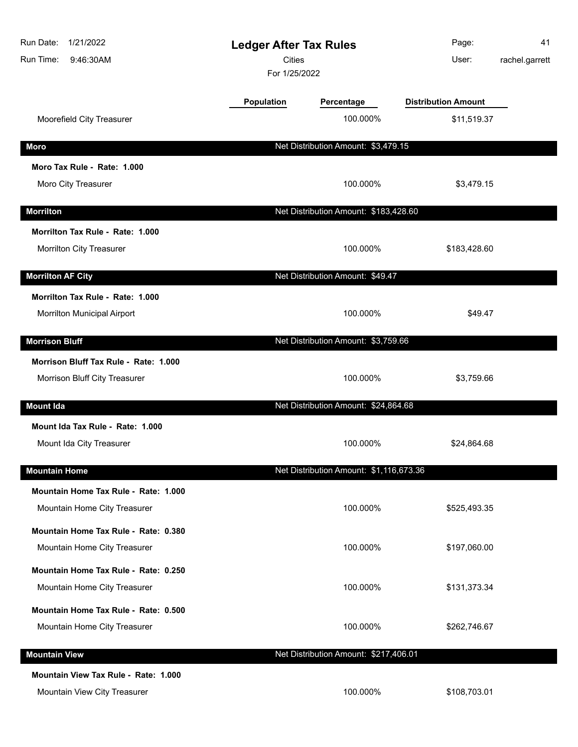| Run Date:<br>1/21/2022<br>Run Time:<br>9:46:30AM                | <b>Cities</b> | <b>Ledger After Tax Rules</b><br>For 1/25/2022 |                            | 41<br>rachel.garrett |
|-----------------------------------------------------------------|---------------|------------------------------------------------|----------------------------|----------------------|
|                                                                 | Population    | Percentage                                     | <b>Distribution Amount</b> |                      |
| Moorefield City Treasurer                                       |               | 100.000%                                       | \$11,519.37                |                      |
| <b>Moro</b>                                                     |               | Net Distribution Amount: \$3,479.15            |                            |                      |
| Moro Tax Rule - Rate: 1.000                                     |               |                                                |                            |                      |
| Moro City Treasurer                                             |               | 100.000%                                       | \$3,479.15                 |                      |
| <b>Morrilton</b>                                                |               | Net Distribution Amount: \$183,428.60          |                            |                      |
| Morrilton Tax Rule - Rate: 1.000                                |               |                                                |                            |                      |
| Morrilton City Treasurer                                        |               | 100.000%                                       | \$183,428.60               |                      |
| <b>Morrilton AF City</b>                                        |               | Net Distribution Amount: \$49.47               |                            |                      |
| Morrilton Tax Rule - Rate: 1.000<br>Morrilton Municipal Airport |               | 100.000%                                       | \$49.47                    |                      |
| <b>Morrison Bluff</b>                                           |               | Net Distribution Amount: \$3,759.66            |                            |                      |
| Morrison Bluff Tax Rule - Rate: 1.000                           |               |                                                |                            |                      |
| Morrison Bluff City Treasurer                                   |               | 100.000%                                       | \$3,759.66                 |                      |
| <b>Mount Ida</b>                                                |               | Net Distribution Amount: \$24,864.68           |                            |                      |
| Mount Ida Tax Rule - Rate: 1.000                                |               |                                                |                            |                      |
| Mount Ida City Treasurer                                        |               | 100.000%                                       | \$24,864.68                |                      |
| <b>Mountain Home</b>                                            |               | Net Distribution Amount: \$1,116,673.36        |                            |                      |
| Mountain Home Tax Rule - Rate: 1.000                            |               |                                                |                            |                      |
| Mountain Home City Treasurer                                    |               | 100.000%                                       | \$525,493.35               |                      |
| Mountain Home Tax Rule - Rate: 0.380                            |               |                                                |                            |                      |
| Mountain Home City Treasurer                                    |               | 100.000%                                       | \$197,060.00               |                      |
| Mountain Home Tax Rule - Rate: 0.250                            |               |                                                |                            |                      |
| Mountain Home City Treasurer                                    |               | 100.000%                                       | \$131,373.34               |                      |
| Mountain Home Tax Rule - Rate: 0.500                            |               |                                                |                            |                      |
| Mountain Home City Treasurer                                    |               | 100.000%                                       | \$262,746.67               |                      |
| <b>Mountain View</b>                                            |               | Net Distribution Amount: \$217,406.01          |                            |                      |
| Mountain View Tax Rule - Rate: 1.000                            |               |                                                |                            |                      |
| Mountain View City Treasurer                                    |               | 100.000%                                       | \$108,703.01               |                      |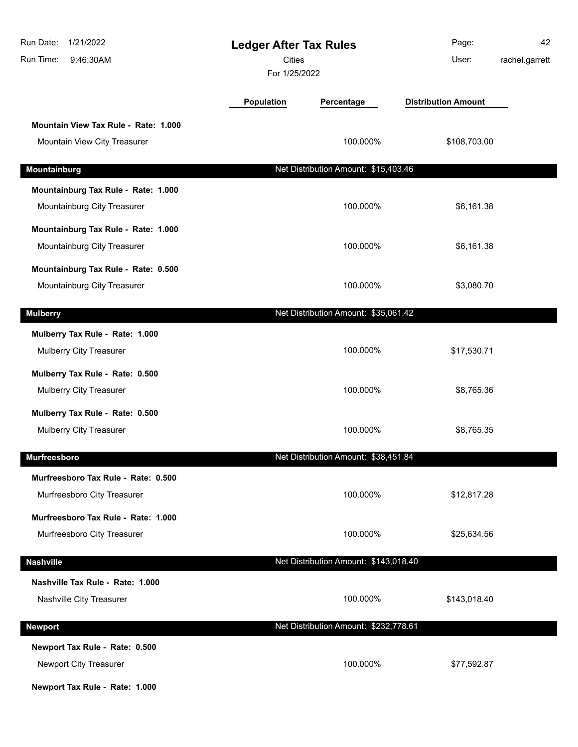| 1/21/2022<br>Run Date:<br>Run Time:<br>9:46:30AM                                           | <b>Ledger After Tax Rules</b><br>Cities<br>For 1/25/2022 |                                       | Page:<br>User:             | 42<br>rachel.garrett |
|--------------------------------------------------------------------------------------------|----------------------------------------------------------|---------------------------------------|----------------------------|----------------------|
|                                                                                            | Population                                               | Percentage                            | <b>Distribution Amount</b> |                      |
| Mountain View Tax Rule - Rate: 1.000<br>Mountain View City Treasurer                       |                                                          | 100.000%                              | \$108,703.00               |                      |
| Mountainburg                                                                               |                                                          | Net Distribution Amount: \$15,403.46  |                            |                      |
| Mountainburg Tax Rule - Rate: 1.000<br>Mountainburg City Treasurer                         |                                                          | 100.000%                              | \$6,161.38                 |                      |
| Mountainburg Tax Rule - Rate: 1.000<br>Mountainburg City Treasurer                         |                                                          | 100.000%                              | \$6,161.38                 |                      |
| Mountainburg Tax Rule - Rate: 0.500<br>Mountainburg City Treasurer                         |                                                          | 100.000%                              | \$3,080.70                 |                      |
| <b>Mulberry</b>                                                                            |                                                          | Net Distribution Amount: \$35,061.42  |                            |                      |
| Mulberry Tax Rule - Rate: 1.000<br>Mulberry City Treasurer                                 |                                                          | 100.000%                              | \$17,530.71                |                      |
| Mulberry Tax Rule - Rate: 0.500<br>Mulberry City Treasurer                                 |                                                          | 100.000%                              | \$8,765.36                 |                      |
| Mulberry Tax Rule - Rate: 0.500<br>Mulberry City Treasurer                                 |                                                          | 100.000%                              | \$8,765.35                 |                      |
| <b>Murfreesboro</b>                                                                        |                                                          | Net Distribution Amount: \$38,451.84  |                            |                      |
| Murfreesboro Tax Rule - Rate: 0.500<br>Murfreesboro City Treasurer                         |                                                          | 100.000%                              | \$12,817.28                |                      |
| Murfreesboro Tax Rule - Rate: 1.000<br>Murfreesboro City Treasurer                         |                                                          | 100.000%                              | \$25,634.56                |                      |
| <b>Nashville</b>                                                                           |                                                          | Net Distribution Amount: \$143,018.40 |                            |                      |
| Nashville Tax Rule - Rate: 1.000<br>Nashville City Treasurer                               |                                                          | 100.000%                              | \$143,018.40               |                      |
| <b>Newport</b>                                                                             |                                                          | Net Distribution Amount: \$232,778.61 |                            |                      |
| Newport Tax Rule - Rate: 0.500<br>Newport City Treasurer<br>Newport Tax Rule - Rate: 1.000 |                                                          | 100.000%                              | \$77,592.87                |                      |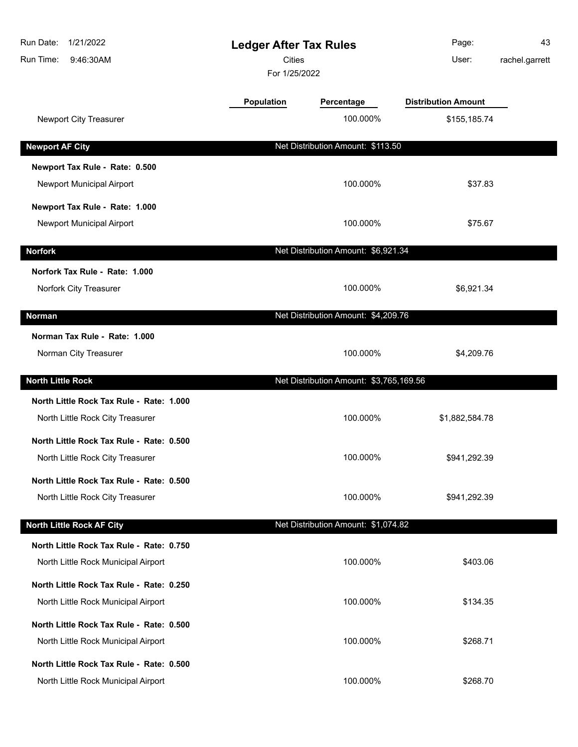| Run Date:<br>1/21/2022<br>Run Time:<br>9:46:30AM                                | <b>Ledger After Tax Rules</b><br><b>Cities</b><br>For 1/25/2022 |                                         | Page:<br>User:             | 43<br>rachel.garrett |
|---------------------------------------------------------------------------------|-----------------------------------------------------------------|-----------------------------------------|----------------------------|----------------------|
|                                                                                 | <b>Population</b>                                               | Percentage                              | <b>Distribution Amount</b> |                      |
| Newport City Treasurer                                                          |                                                                 | 100.000%                                | \$155,185.74               |                      |
| <b>Newport AF City</b>                                                          |                                                                 | Net Distribution Amount: \$113.50       |                            |                      |
| Newport Tax Rule - Rate: 0.500<br>Newport Municipal Airport                     |                                                                 | 100.000%                                | \$37.83                    |                      |
| Newport Tax Rule - Rate: 1.000<br>Newport Municipal Airport                     |                                                                 | 100.000%                                | \$75.67                    |                      |
| <b>Norfork</b>                                                                  |                                                                 | Net Distribution Amount: \$6,921.34     |                            |                      |
| Norfork Tax Rule - Rate: 1.000<br>Norfork City Treasurer                        |                                                                 | 100.000%                                | \$6,921.34                 |                      |
| Norman                                                                          |                                                                 | Net Distribution Amount: \$4,209.76     |                            |                      |
| Norman Tax Rule - Rate: 1.000<br>Norman City Treasurer                          |                                                                 | 100.000%                                | \$4,209.76                 |                      |
| <b>North Little Rock</b>                                                        |                                                                 | Net Distribution Amount: \$3,765,169.56 |                            |                      |
| North Little Rock Tax Rule - Rate: 1.000<br>North Little Rock City Treasurer    |                                                                 | 100.000%                                | \$1,882,584.78             |                      |
| North Little Rock Tax Rule - Rate: 0.500<br>North Little Rock City Treasurer    |                                                                 | 100.000%                                | \$941,292.39               |                      |
| North Little Rock Tax Rule - Rate: 0.500<br>North Little Rock City Treasurer    |                                                                 | 100.000%                                | \$941,292.39               |                      |
| <b>North Little Rock AF City</b>                                                |                                                                 | Net Distribution Amount: \$1,074.82     |                            |                      |
| North Little Rock Tax Rule - Rate: 0.750<br>North Little Rock Municipal Airport |                                                                 | 100.000%                                | \$403.06                   |                      |
| North Little Rock Tax Rule - Rate: 0.250<br>North Little Rock Municipal Airport |                                                                 | 100.000%                                | \$134.35                   |                      |
| North Little Rock Tax Rule - Rate: 0.500<br>North Little Rock Municipal Airport |                                                                 | 100.000%                                | \$268.71                   |                      |
| North Little Rock Tax Rule - Rate: 0.500<br>North Little Rock Municipal Airport |                                                                 | 100.000%                                | \$268.70                   |                      |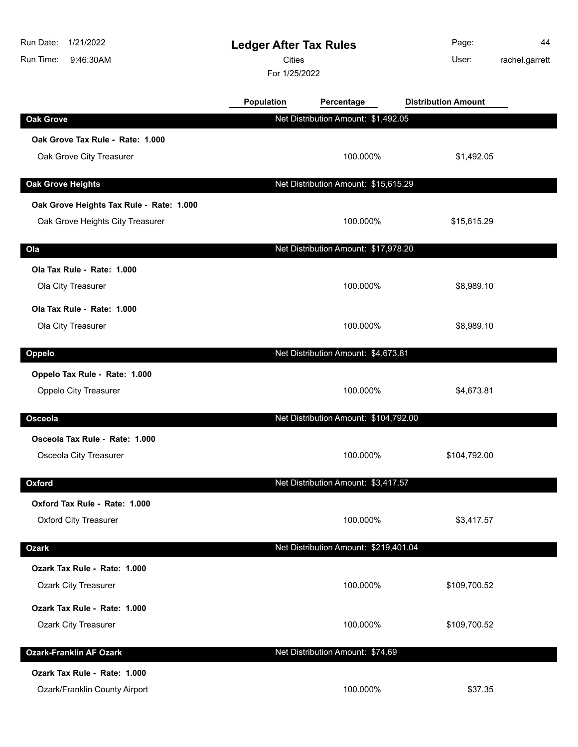| Run Date:<br>1/21/2022<br>Run Time:<br>9:46:30AM |                                          | <b>Ledger After Tax Rules</b><br><b>Cities</b><br>For 1/25/2022 |                                       | Page:<br>User:             | 44<br>rachel.garrett |
|--------------------------------------------------|------------------------------------------|-----------------------------------------------------------------|---------------------------------------|----------------------------|----------------------|
|                                                  |                                          | Population                                                      | Percentage                            | <b>Distribution Amount</b> |                      |
| <b>Oak Grove</b>                                 |                                          |                                                                 | Net Distribution Amount: \$1,492.05   |                            |                      |
|                                                  | Oak Grove Tax Rule - Rate: 1.000         |                                                                 |                                       |                            |                      |
| Oak Grove City Treasurer                         |                                          |                                                                 | 100.000%                              | \$1,492.05                 |                      |
| <b>Oak Grove Heights</b>                         |                                          |                                                                 | Net Distribution Amount: \$15,615.29  |                            |                      |
|                                                  | Oak Grove Heights Tax Rule - Rate: 1.000 |                                                                 |                                       |                            |                      |
|                                                  | Oak Grove Heights City Treasurer         |                                                                 | 100.000%                              | \$15,615.29                |                      |
| Ola                                              |                                          |                                                                 | Net Distribution Amount: \$17,978.20  |                            |                      |
| Ola Tax Rule - Rate: 1.000                       |                                          |                                                                 |                                       |                            |                      |
| Ola City Treasurer                               |                                          |                                                                 | 100.000%                              | \$8,989.10                 |                      |
| Ola Tax Rule - Rate: 1.000                       |                                          |                                                                 |                                       |                            |                      |
| Ola City Treasurer                               |                                          |                                                                 | 100.000%                              | \$8,989.10                 |                      |
| Oppelo                                           |                                          |                                                                 | Net Distribution Amount: \$4,673.81   |                            |                      |
| Oppelo Tax Rule - Rate: 1.000                    |                                          |                                                                 |                                       |                            |                      |
| Oppelo City Treasurer                            |                                          |                                                                 | 100.000%                              | \$4,673.81                 |                      |
| Osceola                                          |                                          |                                                                 | Net Distribution Amount: \$104,792.00 |                            |                      |
| Osceola Tax Rule - Rate: 1.000                   |                                          |                                                                 |                                       |                            |                      |
| Osceola City Treasurer                           |                                          |                                                                 | 100.000%                              | \$104,792.00               |                      |
| Oxford                                           |                                          |                                                                 | Net Distribution Amount: \$3,417.57   |                            |                      |
| Oxford Tax Rule - Rate: 1.000                    |                                          |                                                                 |                                       |                            |                      |
| <b>Oxford City Treasurer</b>                     |                                          |                                                                 | 100.000%                              | \$3,417.57                 |                      |
| <b>Ozark</b>                                     |                                          |                                                                 | Net Distribution Amount: \$219,401.04 |                            |                      |
| Ozark Tax Rule - Rate: 1.000                     |                                          |                                                                 |                                       |                            |                      |
| <b>Ozark City Treasurer</b>                      |                                          |                                                                 | 100.000%                              | \$109,700.52               |                      |
| Ozark Tax Rule - Rate: 1.000                     |                                          |                                                                 |                                       |                            |                      |
| <b>Ozark City Treasurer</b>                      |                                          |                                                                 | 100.000%                              | \$109,700.52               |                      |
| <b>Ozark-Franklin AF Ozark</b>                   |                                          |                                                                 | Net Distribution Amount: \$74.69      |                            |                      |
| Ozark Tax Rule - Rate: 1.000                     |                                          |                                                                 |                                       |                            |                      |
| Ozark/Franklin County Airport                    |                                          |                                                                 | 100.000%                              | \$37.35                    |                      |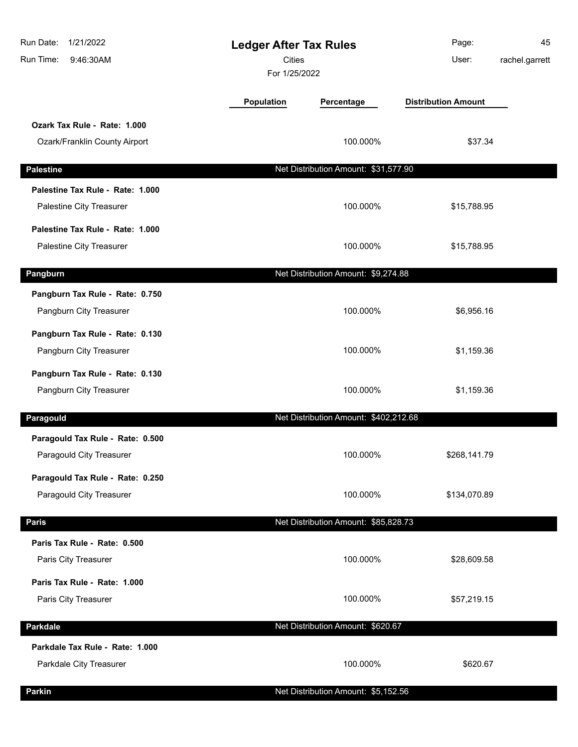| Run Date:<br>1/21/2022<br>Run Time:<br>9:46:30AM              | <b>Ledger After Tax Rules</b><br><b>Cities</b><br>For 1/25/2022 |                                       | Page:<br>User:             | 45<br>rachel.garrett |
|---------------------------------------------------------------|-----------------------------------------------------------------|---------------------------------------|----------------------------|----------------------|
|                                                               | <b>Population</b>                                               | Percentage                            | <b>Distribution Amount</b> |                      |
| Ozark Tax Rule - Rate: 1.000<br>Ozark/Franklin County Airport |                                                                 | 100.000%                              | \$37.34                    |                      |
| <b>Palestine</b>                                              |                                                                 | Net Distribution Amount: \$31,577.90  |                            |                      |
| Palestine Tax Rule - Rate: 1.000<br>Palestine City Treasurer  |                                                                 | 100.000%                              | \$15,788.95                |                      |
| Palestine Tax Rule - Rate: 1.000<br>Palestine City Treasurer  |                                                                 | 100.000%                              | \$15,788.95                |                      |
| Pangburn                                                      |                                                                 | Net Distribution Amount: \$9,274.88   |                            |                      |
| Pangburn Tax Rule - Rate: 0.750<br>Pangburn City Treasurer    |                                                                 | 100.000%                              | \$6,956.16                 |                      |
| Pangburn Tax Rule - Rate: 0.130<br>Pangburn City Treasurer    |                                                                 | 100.000%                              | \$1,159.36                 |                      |
| Pangburn Tax Rule - Rate: 0.130<br>Pangburn City Treasurer    |                                                                 | 100.000%                              | \$1,159.36                 |                      |
| Paragould                                                     |                                                                 | Net Distribution Amount: \$402,212.68 |                            |                      |
| Paragould Tax Rule - Rate: 0.500<br>Paragould City Treasurer  |                                                                 | 100.000%                              | \$268,141.79               |                      |
| Paragould Tax Rule - Rate: 0.250<br>Paragould City Treasurer  |                                                                 | 100.000%                              | \$134,070.89               |                      |
| <b>Paris</b>                                                  |                                                                 | Net Distribution Amount: \$85,828.73  |                            |                      |
| Paris Tax Rule - Rate: 0.500<br>Paris City Treasurer          |                                                                 | 100.000%                              | \$28,609.58                |                      |
| Paris Tax Rule - Rate: 1.000<br>Paris City Treasurer          |                                                                 | 100.000%                              | \$57,219.15                |                      |
| <b>Parkdale</b>                                               |                                                                 | Net Distribution Amount: \$620.67     |                            |                      |
| Parkdale Tax Rule - Rate: 1.000<br>Parkdale City Treasurer    |                                                                 | 100.000%                              | \$620.67                   |                      |
| Parkin                                                        |                                                                 | Net Distribution Amount: \$5,152.56   |                            |                      |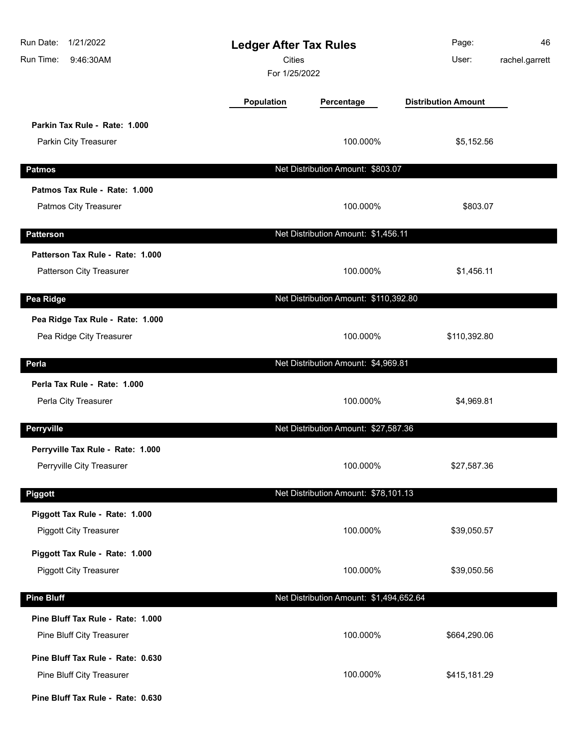| Run Date:<br>1/21/2022<br>Run Time:<br>9:46:30AM                |                   | <b>Ledger After Tax Rules</b><br><b>Cities</b><br>For 1/25/2022 | Page:<br>User:             | 46<br>rachel.garrett |
|-----------------------------------------------------------------|-------------------|-----------------------------------------------------------------|----------------------------|----------------------|
|                                                                 | <b>Population</b> | Percentage                                                      | <b>Distribution Amount</b> |                      |
| Parkin Tax Rule - Rate: 1.000<br>Parkin City Treasurer          |                   | 100.000%                                                        | \$5,152.56                 |                      |
| <b>Patmos</b>                                                   |                   | Net Distribution Amount: \$803.07                               |                            |                      |
| Patmos Tax Rule - Rate: 1.000<br>Patmos City Treasurer          |                   | 100.000%                                                        | \$803.07                   |                      |
| <b>Patterson</b>                                                |                   | Net Distribution Amount: \$1,456.11                             |                            |                      |
| Patterson Tax Rule - Rate: 1.000<br>Patterson City Treasurer    |                   | 100.000%                                                        | \$1,456.11                 |                      |
| Pea Ridge                                                       |                   | Net Distribution Amount: \$110,392.80                           |                            |                      |
| Pea Ridge Tax Rule - Rate: 1.000<br>Pea Ridge City Treasurer    |                   | 100.000%                                                        | \$110,392.80               |                      |
| Perla                                                           |                   | Net Distribution Amount: \$4,969.81                             |                            |                      |
| Perla Tax Rule - Rate: 1.000<br>Perla City Treasurer            |                   | 100.000%                                                        | \$4,969.81                 |                      |
| Perryville                                                      |                   | Net Distribution Amount: \$27,587.36                            |                            |                      |
| Perryville Tax Rule - Rate: 1.000<br>Perryville City Treasurer  |                   | 100.000%                                                        | \$27,587.36                |                      |
| Piggott                                                         |                   | Net Distribution Amount: \$78,101.13                            |                            |                      |
| Piggott Tax Rule - Rate: 1.000<br><b>Piggott City Treasurer</b> |                   | 100.000%                                                        | \$39,050.57                |                      |
| Piggott Tax Rule - Rate: 1.000<br><b>Piggott City Treasurer</b> |                   | 100.000%                                                        | \$39,050.56                |                      |
| <b>Pine Bluff</b>                                               |                   | Net Distribution Amount: \$1,494,652.64                         |                            |                      |
| Pine Bluff Tax Rule - Rate: 1.000<br>Pine Bluff City Treasurer  |                   | 100.000%                                                        | \$664,290.06               |                      |
| Pine Bluff Tax Rule - Rate: 0.630<br>Pine Bluff City Treasurer  |                   | 100.000%                                                        | \$415,181.29               |                      |
| Pine Bluff Tax Rule - Rate: 0.630                               |                   |                                                                 |                            |                      |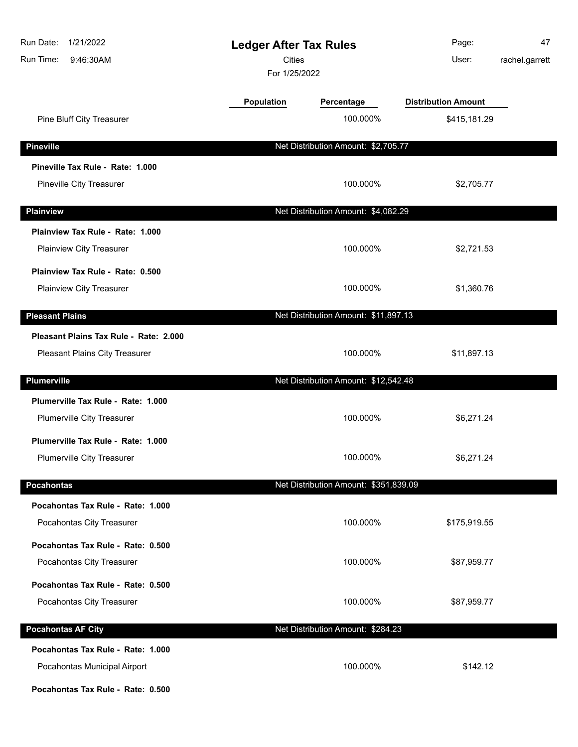| Run Date:<br>1/21/2022<br>Run Time:<br>9:46:30AM | <b>Ledger After Tax Rules</b><br>Cities<br>For 1/25/2022 |                                       | Page:<br>User:             | 47<br>rachel.garrett |
|--------------------------------------------------|----------------------------------------------------------|---------------------------------------|----------------------------|----------------------|
|                                                  | Population                                               | Percentage                            | <b>Distribution Amount</b> |                      |
| Pine Bluff City Treasurer                        |                                                          | 100.000%                              | \$415,181.29               |                      |
| <b>Pineville</b>                                 |                                                          | Net Distribution Amount: \$2,705.77   |                            |                      |
| Pineville Tax Rule - Rate: 1.000                 |                                                          |                                       |                            |                      |
| Pineville City Treasurer                         |                                                          | 100.000%                              | \$2,705.77                 |                      |
| <b>Plainview</b>                                 |                                                          | Net Distribution Amount: \$4,082.29   |                            |                      |
| Plainview Tax Rule - Rate: 1.000                 |                                                          |                                       |                            |                      |
| Plainview City Treasurer                         |                                                          | 100.000%                              | \$2,721.53                 |                      |
| Plainview Tax Rule - Rate: 0.500                 |                                                          |                                       |                            |                      |
| Plainview City Treasurer                         |                                                          | 100.000%                              | \$1,360.76                 |                      |
| <b>Pleasant Plains</b>                           |                                                          | Net Distribution Amount: \$11,897.13  |                            |                      |
| Pleasant Plains Tax Rule - Rate: 2.000           |                                                          |                                       |                            |                      |
| Pleasant Plains City Treasurer                   |                                                          | 100.000%                              | \$11,897.13                |                      |
| <b>Plumerville</b>                               |                                                          | Net Distribution Amount: \$12,542.48  |                            |                      |
| Plumerville Tax Rule - Rate: 1.000               |                                                          |                                       |                            |                      |
| Plumerville City Treasurer                       |                                                          | 100.000%                              | \$6,271.24                 |                      |
| Plumerville Tax Rule - Rate: 1.000               |                                                          |                                       |                            |                      |
| <b>Plumerville City Treasurer</b>                |                                                          | 100.000%                              | \$6,271.24                 |                      |
| <b>Pocahontas</b>                                |                                                          | Net Distribution Amount: \$351,839.09 |                            |                      |
| Pocahontas Tax Rule - Rate: 1.000                |                                                          |                                       |                            |                      |
| Pocahontas City Treasurer                        |                                                          | 100.000%                              | \$175,919.55               |                      |
| Pocahontas Tax Rule - Rate: 0.500                |                                                          |                                       |                            |                      |
| Pocahontas City Treasurer                        |                                                          | 100.000%                              | \$87,959.77                |                      |
| Pocahontas Tax Rule - Rate: 0.500                |                                                          |                                       |                            |                      |
| Pocahontas City Treasurer                        |                                                          | 100.000%                              | \$87,959.77                |                      |
| <b>Pocahontas AF City</b>                        |                                                          | Net Distribution Amount: \$284.23     |                            |                      |
| Pocahontas Tax Rule - Rate: 1.000                |                                                          |                                       |                            |                      |
| Pocahontas Municipal Airport                     |                                                          | 100.000%                              | \$142.12                   |                      |
| Pocahontas Tax Rule - Rate: 0.500                |                                                          |                                       |                            |                      |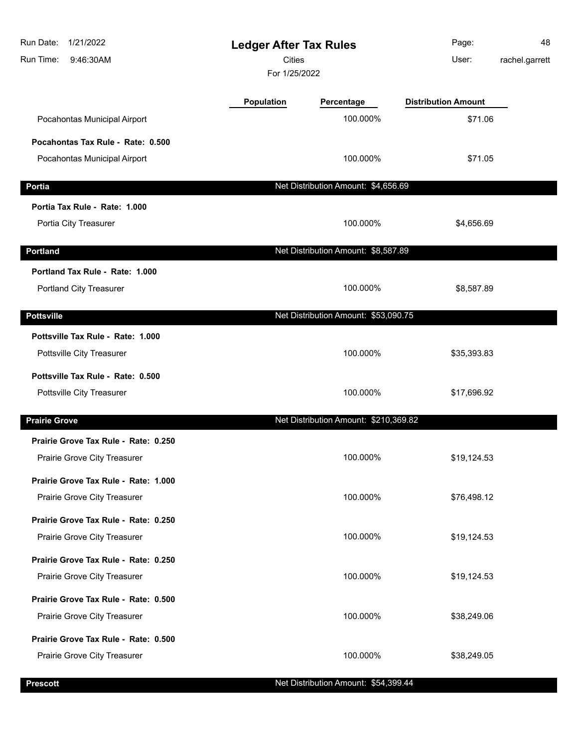| Run Date:<br>1/21/2022<br>9:46:30AM<br>Run Time: |                   | <b>Ledger After Tax Rules</b><br><b>Cities</b><br>For 1/25/2022 |                            | 48<br>rachel.garrett |
|--------------------------------------------------|-------------------|-----------------------------------------------------------------|----------------------------|----------------------|
|                                                  | <b>Population</b> | Percentage                                                      | <b>Distribution Amount</b> |                      |
| Pocahontas Municipal Airport                     |                   | 100.000%                                                        | \$71.06                    |                      |
| Pocahontas Tax Rule - Rate: 0.500                |                   |                                                                 |                            |                      |
| Pocahontas Municipal Airport                     |                   | 100.000%                                                        | \$71.05                    |                      |
| Portia                                           |                   | Net Distribution Amount: \$4,656.69                             |                            |                      |
| Portia Tax Rule - Rate: 1.000                    |                   |                                                                 |                            |                      |
| Portia City Treasurer                            |                   | 100.000%                                                        | \$4,656.69                 |                      |
| <b>Portland</b>                                  |                   | Net Distribution Amount: \$8,587.89                             |                            |                      |
| Portland Tax Rule - Rate: 1.000                  |                   |                                                                 |                            |                      |
| Portland City Treasurer                          |                   | 100.000%                                                        | \$8,587.89                 |                      |
| <b>Pottsville</b>                                |                   | Net Distribution Amount: \$53,090.75                            |                            |                      |
| Pottsville Tax Rule - Rate: 1.000                |                   |                                                                 |                            |                      |
| Pottsville City Treasurer                        |                   | 100.000%                                                        | \$35,393.83                |                      |
| Pottsville Tax Rule - Rate: 0.500                |                   |                                                                 |                            |                      |
| Pottsville City Treasurer                        |                   | 100.000%                                                        | \$17,696.92                |                      |
| <b>Prairie Grove</b>                             |                   | Net Distribution Amount: \$210,369.82                           |                            |                      |
| Prairie Grove Tax Rule - Rate: 0.250             |                   |                                                                 |                            |                      |
| Prairie Grove City Treasurer                     |                   | 100.000%                                                        | \$19,124.53                |                      |
| Prairie Grove Tax Rule - Rate: 1.000             |                   |                                                                 |                            |                      |
| Prairie Grove City Treasurer                     |                   | 100.000%                                                        | \$76,498.12                |                      |
| Prairie Grove Tax Rule - Rate: 0.250             |                   |                                                                 |                            |                      |
| Prairie Grove City Treasurer                     |                   | 100.000%                                                        | \$19,124.53                |                      |
| Prairie Grove Tax Rule - Rate: 0.250             |                   |                                                                 |                            |                      |
| Prairie Grove City Treasurer                     |                   | 100.000%                                                        | \$19,124.53                |                      |
| Prairie Grove Tax Rule - Rate: 0.500             |                   |                                                                 |                            |                      |
| Prairie Grove City Treasurer                     |                   | 100.000%                                                        | \$38,249.06                |                      |
| Prairie Grove Tax Rule - Rate: 0.500             |                   |                                                                 |                            |                      |
| Prairie Grove City Treasurer                     |                   | 100.000%                                                        | \$38,249.05                |                      |
|                                                  |                   |                                                                 |                            |                      |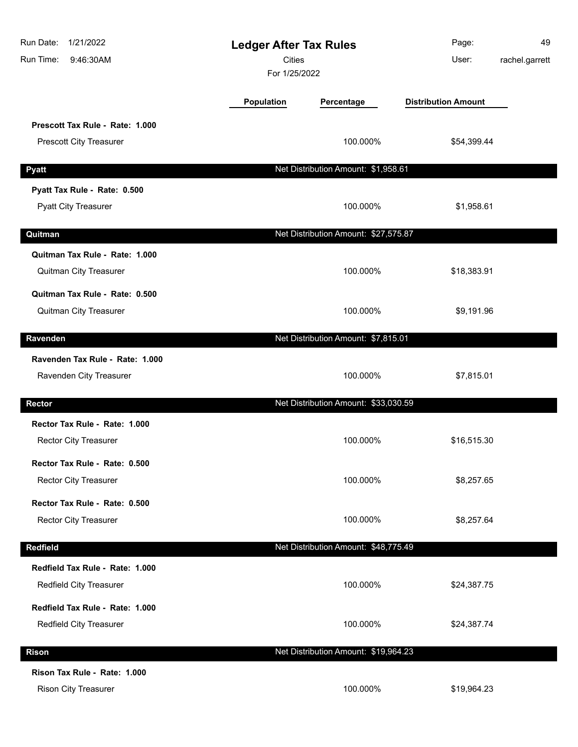| Run Date:<br>1/21/2022<br>Run Time:<br>9:46:30AM                  | <b>Ledger After Tax Rules</b><br><b>Cities</b><br>For 1/25/2022 |                                      | Page:<br>User:             | 49<br>rachel.garrett |
|-------------------------------------------------------------------|-----------------------------------------------------------------|--------------------------------------|----------------------------|----------------------|
|                                                                   | <b>Population</b>                                               | Percentage                           | <b>Distribution Amount</b> |                      |
| Prescott Tax Rule - Rate: 1.000<br><b>Prescott City Treasurer</b> |                                                                 | 100.000%                             | \$54,399.44                |                      |
| <b>Pyatt</b>                                                      |                                                                 | Net Distribution Amount: \$1,958.61  |                            |                      |
| Pyatt Tax Rule - Rate: 0.500<br><b>Pyatt City Treasurer</b>       |                                                                 | 100.000%                             | \$1,958.61                 |                      |
| Quitman                                                           |                                                                 | Net Distribution Amount: \$27,575.87 |                            |                      |
| Quitman Tax Rule - Rate: 1.000<br>Quitman City Treasurer          |                                                                 | 100.000%                             | \$18,383.91                |                      |
| Quitman Tax Rule - Rate: 0.500<br>Quitman City Treasurer          |                                                                 | 100.000%                             | \$9,191.96                 |                      |
| Ravenden                                                          |                                                                 | Net Distribution Amount: \$7,815.01  |                            |                      |
| Ravenden Tax Rule - Rate: 1.000<br>Ravenden City Treasurer        |                                                                 | 100.000%                             | \$7,815.01                 |                      |
| <b>Rector</b>                                                     |                                                                 | Net Distribution Amount: \$33,030.59 |                            |                      |
| Rector Tax Rule - Rate: 1.000<br>Rector City Treasurer            |                                                                 | 100.000%                             | \$16,515.30                |                      |
| Rector Tax Rule - Rate: 0.500<br>Rector City Treasurer            |                                                                 | 100.000%                             | \$8,257.65                 |                      |
| Rector Tax Rule - Rate: 0.500<br><b>Rector City Treasurer</b>     |                                                                 | 100.000%                             | \$8,257.64                 |                      |
| Redfield                                                          |                                                                 | Net Distribution Amount: \$48,775.49 |                            |                      |
| Redfield Tax Rule - Rate: 1.000<br>Redfield City Treasurer        |                                                                 | 100.000%                             | \$24,387.75                |                      |
| Redfield Tax Rule - Rate: 1.000<br>Redfield City Treasurer        |                                                                 | 100.000%                             | \$24,387.74                |                      |
| <b>Rison</b>                                                      |                                                                 | Net Distribution Amount: \$19,964.23 |                            |                      |
| Rison Tax Rule - Rate: 1.000<br>Rison City Treasurer              |                                                                 | 100.000%                             | \$19,964.23                |                      |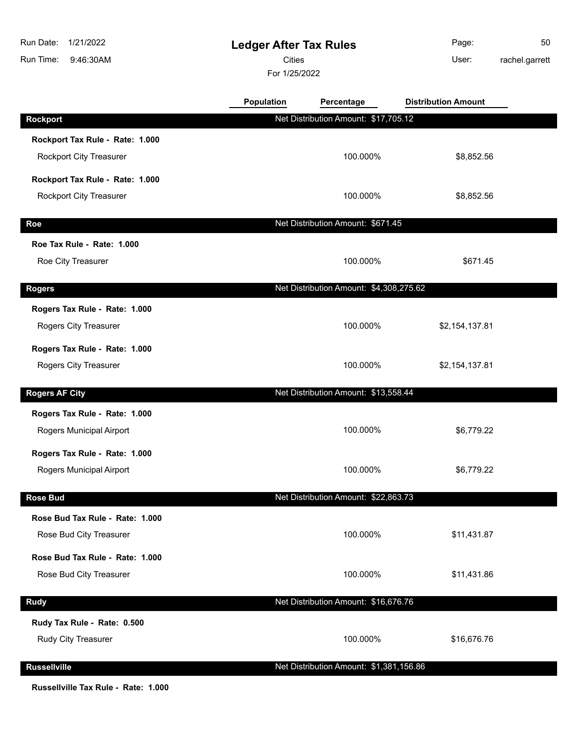| Run Date:<br>1/21/2022<br>Run Time:<br>9:46:30AM   | <b>Ledger After Tax Rules</b><br><b>Cities</b><br>For 1/25/2022 |                                         | Page:<br>User:             | 50<br>rachel.garrett |
|----------------------------------------------------|-----------------------------------------------------------------|-----------------------------------------|----------------------------|----------------------|
|                                                    | Population                                                      | Percentage                              | <b>Distribution Amount</b> |                      |
| <b>Rockport</b>                                    |                                                                 | Net Distribution Amount: \$17,705.12    |                            |                      |
| Rockport Tax Rule - Rate: 1.000                    |                                                                 |                                         |                            |                      |
| <b>Rockport City Treasurer</b>                     |                                                                 | 100.000%                                | \$8,852.56                 |                      |
| Rockport Tax Rule - Rate: 1.000                    |                                                                 |                                         |                            |                      |
| <b>Rockport City Treasurer</b>                     |                                                                 | 100.000%                                | \$8,852.56                 |                      |
| Roe                                                |                                                                 | Net Distribution Amount: \$671.45       |                            |                      |
| Roe Tax Rule - Rate: 1.000                         |                                                                 |                                         |                            |                      |
| Roe City Treasurer                                 |                                                                 | 100.000%                                | \$671.45                   |                      |
|                                                    |                                                                 |                                         |                            |                      |
| <b>Rogers</b>                                      |                                                                 | Net Distribution Amount: \$4,308,275.62 |                            |                      |
| Rogers Tax Rule - Rate: 1.000                      |                                                                 |                                         |                            |                      |
| Rogers City Treasurer                              |                                                                 | 100.000%                                | \$2,154,137.81             |                      |
| Rogers Tax Rule - Rate: 1.000                      |                                                                 |                                         |                            |                      |
| Rogers City Treasurer                              |                                                                 | 100.000%                                | \$2,154,137.81             |                      |
| <b>Rogers AF City</b>                              |                                                                 | Net Distribution Amount: \$13,558.44    |                            |                      |
| Rogers Tax Rule - Rate: 1.000                      |                                                                 |                                         |                            |                      |
| Rogers Municipal Airport                           |                                                                 | 100.000%                                | \$6,779.22                 |                      |
| Rogers Tax Rule - Rate: 1.000                      |                                                                 |                                         |                            |                      |
| Rogers Municipal Airport                           |                                                                 | 100.000%                                | \$6,779.22                 |                      |
| <b>Rose Bud</b>                                    |                                                                 | Net Distribution Amount: \$22,863.73    |                            |                      |
| Rose Bud Tax Rule - Rate: 1.000                    |                                                                 |                                         |                            |                      |
| Rose Bud City Treasurer                            |                                                                 | 100.000%                                | \$11,431.87                |                      |
| Rose Bud Tax Rule - Rate: 1.000                    |                                                                 |                                         |                            |                      |
| Rose Bud City Treasurer                            |                                                                 | 100.000%                                | \$11,431.86                |                      |
| <b>Rudy</b>                                        |                                                                 | Net Distribution Amount: \$16,676.76    |                            |                      |
|                                                    |                                                                 |                                         |                            |                      |
| Rudy Tax Rule - Rate: 0.500<br>Rudy City Treasurer |                                                                 | 100.000%                                | \$16,676.76                |                      |
|                                                    |                                                                 |                                         |                            |                      |
| <b>Russellville</b>                                |                                                                 | Net Distribution Amount: \$1,381,156.86 |                            |                      |
| Russellville Tax Rule - Rate: 1.000                |                                                                 |                                         |                            |                      |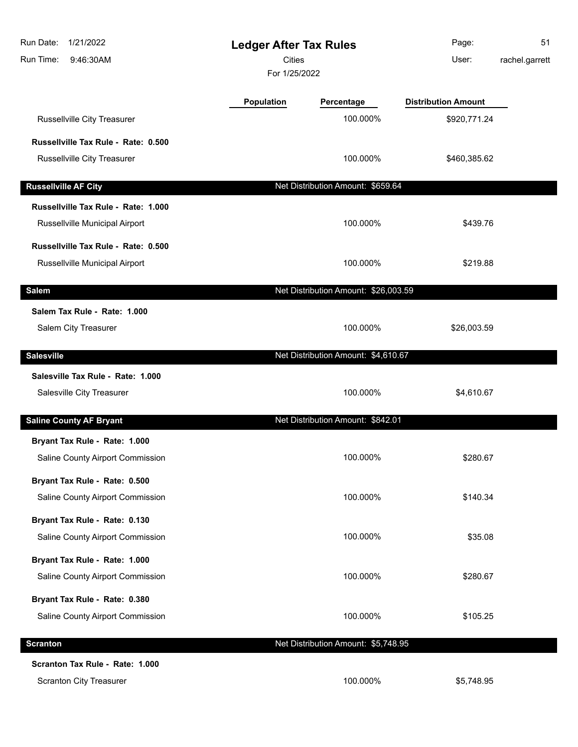| 1/21/2022<br>Run Date:<br>9:46:30AM<br>Run Time: | <b>Ledger After Tax Rules</b><br><b>Cities</b><br>For 1/25/2022 |                                      | Page:<br>User:             | 51<br>rachel.garrett |
|--------------------------------------------------|-----------------------------------------------------------------|--------------------------------------|----------------------------|----------------------|
|                                                  | Population                                                      | Percentage                           | <b>Distribution Amount</b> |                      |
| Russellville City Treasurer                      |                                                                 | 100.000%                             | \$920,771.24               |                      |
| Russellville Tax Rule - Rate: 0.500              |                                                                 |                                      |                            |                      |
| Russellville City Treasurer                      |                                                                 | 100.000%                             | \$460,385.62               |                      |
| <b>Russellville AF City</b>                      |                                                                 | Net Distribution Amount: \$659.64    |                            |                      |
| Russellville Tax Rule - Rate: 1.000              |                                                                 |                                      |                            |                      |
| Russellville Municipal Airport                   |                                                                 | 100.000%                             | \$439.76                   |                      |
| Russellville Tax Rule - Rate: 0.500              |                                                                 |                                      |                            |                      |
| Russellville Municipal Airport                   |                                                                 | 100.000%                             | \$219.88                   |                      |
| <b>Salem</b>                                     |                                                                 | Net Distribution Amount: \$26,003.59 |                            |                      |
| Salem Tax Rule - Rate: 1.000                     |                                                                 |                                      |                            |                      |
| Salem City Treasurer                             |                                                                 | 100.000%                             | \$26,003.59                |                      |
| <b>Salesville</b>                                |                                                                 | Net Distribution Amount: \$4,610.67  |                            |                      |
| Salesville Tax Rule - Rate: 1.000                |                                                                 |                                      |                            |                      |
| Salesville City Treasurer                        |                                                                 | 100.000%                             | \$4,610.67                 |                      |
| <b>Saline County AF Bryant</b>                   |                                                                 | Net Distribution Amount: \$842.01    |                            |                      |
| Bryant Tax Rule - Rate: 1.000                    |                                                                 |                                      |                            |                      |
| Saline County Airport Commission                 |                                                                 | 100.000%                             | \$280.67                   |                      |
| Bryant Tax Rule - Rate: 0.500                    |                                                                 |                                      |                            |                      |
| Saline County Airport Commission                 |                                                                 | 100.000%                             | \$140.34                   |                      |
| Bryant Tax Rule - Rate: 0.130                    |                                                                 |                                      |                            |                      |
| Saline County Airport Commission                 |                                                                 | 100.000%                             | \$35.08                    |                      |
| Bryant Tax Rule - Rate: 1.000                    |                                                                 |                                      |                            |                      |
| Saline County Airport Commission                 |                                                                 | 100.000%                             | \$280.67                   |                      |
| Bryant Tax Rule - Rate: 0.380                    |                                                                 |                                      |                            |                      |
| Saline County Airport Commission                 |                                                                 | 100.000%                             | \$105.25                   |                      |
| <b>Scranton</b>                                  |                                                                 | Net Distribution Amount: \$5,748.95  |                            |                      |
| Scranton Tax Rule - Rate: 1.000                  |                                                                 |                                      |                            |                      |
| <b>Scranton City Treasurer</b>                   |                                                                 | 100.000%                             | \$5,748.95                 |                      |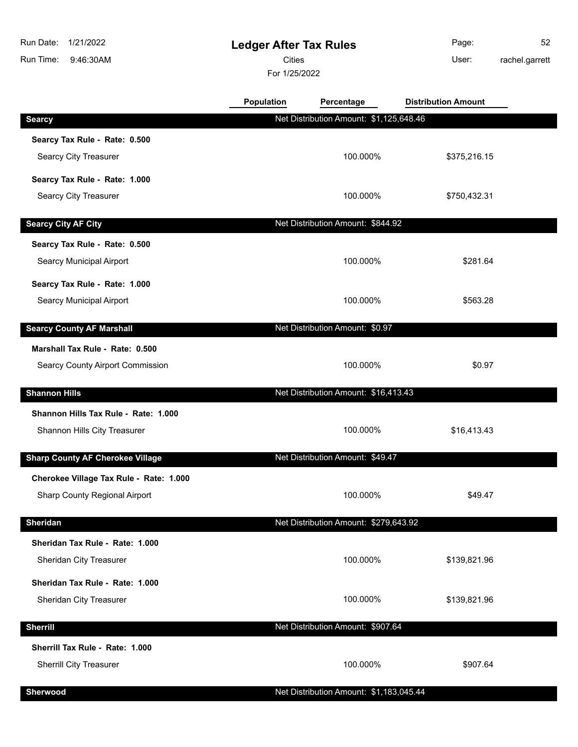**Ledger After Tax Rules** 9:46:30AM Run Time: Run Date: 1/21/2022 For 1/25/2022 **Cities Community Community Community** User: Page: 52 rachel.garrett **Population Percentage Distribution Amount Searcy** Net Distribution Amount: \$1,125,648.46 **Searcy Tax Rule - Rate: 0.500** Searcy City Treasurer **100.000%** \$375,216.15 **Searcy Tax Rule - Rate: 1.000** Searcy City Treasurer **100.000%** \$750,432.31 **Searcy City AF City Net Distribution Amount: \$844.92 Searcy Tax Rule - Rate: 0.500** Searcy Municipal Airport **100.000%** \$281.64 **Searcy Tax Rule - Rate: 1.000** Searcy Municipal Airport **100.000%** \$563.28

**Marshall Tax Rule - Rate: 0.500** Searcy County Airport Commission  $$0.97$ **Shannon Hills** Net Distribution Amount: \$16,413.43 **Shannon Hills Tax Rule - Rate: 1.000** Shannon Hills City Treasurer **100.000%** \$16,413.43 **Sharp County AF Cherokee Village** Net Distribution Amount: \$49.47 **Cherokee Village Tax Rule - Rate: 1.000** Sharp County Regional Airport **100.000%** \$49.47

**Searcy County AF Marshall Net Distribution Amount: \$0.97** 

| <b>Sheridan</b>                 | Net Distribution Amount: \$279,643.92   |              |  |  |
|---------------------------------|-----------------------------------------|--------------|--|--|
| Sheridan Tax Rule - Rate: 1.000 |                                         |              |  |  |
| Sheridan City Treasurer         | 100.000%                                | \$139,821.96 |  |  |
| Sheridan Tax Rule - Rate: 1.000 |                                         |              |  |  |
| Sheridan City Treasurer         | 100.000%                                | \$139,821.96 |  |  |
| <b>Sherrill</b>                 | Net Distribution Amount: \$907.64       |              |  |  |
|                                 |                                         |              |  |  |
| Sherrill Tax Rule - Rate: 1.000 |                                         |              |  |  |
| <b>Sherrill City Treasurer</b>  | 100.000%                                | \$907.64     |  |  |
|                                 |                                         |              |  |  |
| <b>Sherwood</b>                 | Net Distribution Amount: \$1,183,045.44 |              |  |  |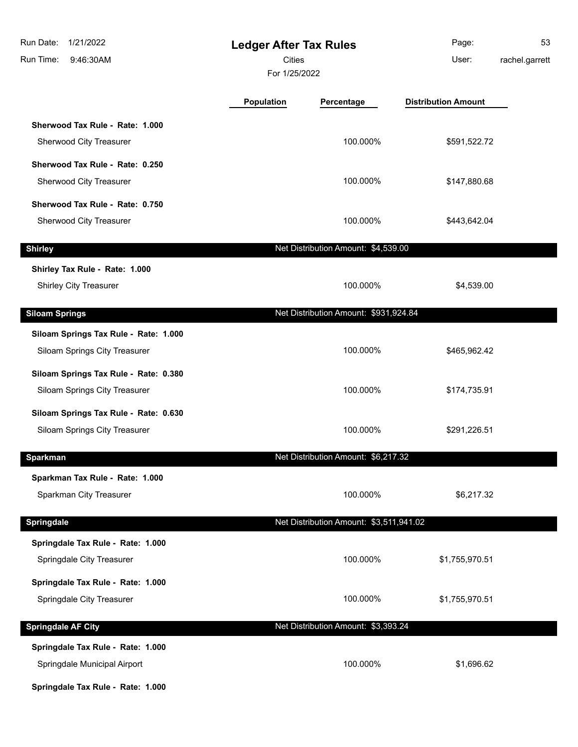| Run Date:<br>1/21/2022<br>Run Time:<br>9:46:30AM                                                       | <b>Ledger After Tax Rules</b><br>Cities<br>For 1/25/2022 |                                         | Page:<br>User:             | 53<br>rachel.garrett |
|--------------------------------------------------------------------------------------------------------|----------------------------------------------------------|-----------------------------------------|----------------------------|----------------------|
|                                                                                                        | <b>Population</b>                                        | Percentage                              | <b>Distribution Amount</b> |                      |
| Sherwood Tax Rule - Rate: 1.000<br>Sherwood City Treasurer                                             |                                                          | 100.000%                                | \$591,522.72               |                      |
| Sherwood Tax Rule - Rate: 0.250<br>Sherwood City Treasurer                                             |                                                          | 100.000%                                | \$147,880.68               |                      |
| Sherwood Tax Rule - Rate: 0.750<br>Sherwood City Treasurer                                             |                                                          | 100.000%                                | \$443,642.04               |                      |
| <b>Shirley</b>                                                                                         |                                                          | Net Distribution Amount: \$4,539.00     |                            |                      |
| Shirley Tax Rule - Rate: 1.000<br>Shirley City Treasurer                                               |                                                          | 100.000%                                | \$4,539.00                 |                      |
| <b>Siloam Springs</b>                                                                                  |                                                          | Net Distribution Amount: \$931,924.84   |                            |                      |
| Siloam Springs Tax Rule - Rate: 1.000<br>Siloam Springs City Treasurer                                 |                                                          | 100.000%                                | \$465,962.42               |                      |
| Siloam Springs Tax Rule - Rate: 0.380<br>Siloam Springs City Treasurer                                 |                                                          | 100.000%                                | \$174,735.91               |                      |
| Siloam Springs Tax Rule - Rate: 0.630<br>Siloam Springs City Treasurer                                 |                                                          | 100.000%                                | \$291,226.51               |                      |
| <b>Sparkman</b>                                                                                        |                                                          | Net Distribution Amount: \$6,217.32     |                            |                      |
| Sparkman Tax Rule - Rate: 1.000<br>Sparkman City Treasurer                                             |                                                          | 100.000%                                | \$6,217.32                 |                      |
| <b>Springdale</b>                                                                                      |                                                          | Net Distribution Amount: \$3,511,941.02 |                            |                      |
| Springdale Tax Rule - Rate: 1.000<br>Springdale City Treasurer                                         |                                                          | 100.000%                                | \$1,755,970.51             |                      |
| Springdale Tax Rule - Rate: 1.000<br>Springdale City Treasurer                                         |                                                          | 100.000%                                | \$1,755,970.51             |                      |
| <b>Springdale AF City</b>                                                                              |                                                          | Net Distribution Amount: \$3,393.24     |                            |                      |
| Springdale Tax Rule - Rate: 1.000<br>Springdale Municipal Airport<br>Springdale Tax Rule - Rate: 1.000 |                                                          | 100.000%                                | \$1,696.62                 |                      |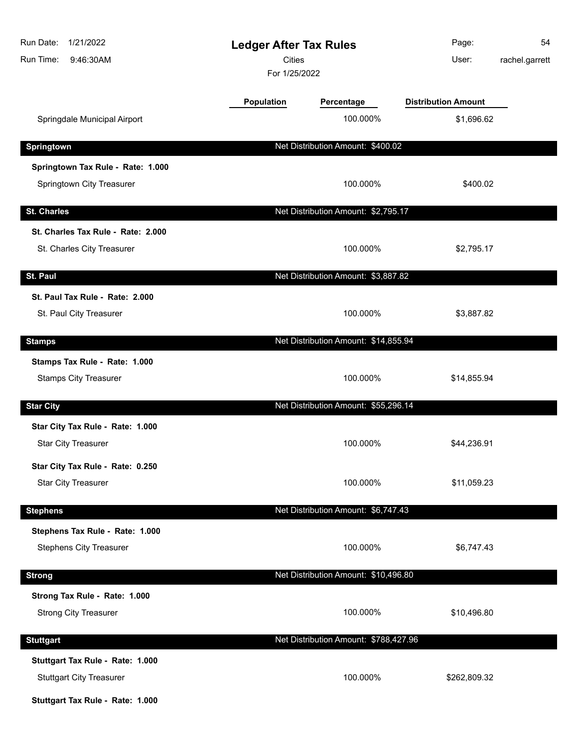| Run Date:<br>1/21/2022<br>Run Time:<br>9:46:30AM | <b>Ledger After Tax Rules</b><br><b>Cities</b><br>For 1/25/2022 |                                       | Page:<br>User:             | 54<br>rachel.garrett |
|--------------------------------------------------|-----------------------------------------------------------------|---------------------------------------|----------------------------|----------------------|
|                                                  | <b>Population</b>                                               | Percentage                            | <b>Distribution Amount</b> |                      |
| Springdale Municipal Airport                     |                                                                 | 100.000%                              | \$1,696.62                 |                      |
| Springtown                                       |                                                                 | Net Distribution Amount: \$400.02     |                            |                      |
| Springtown Tax Rule - Rate: 1.000                |                                                                 |                                       |                            |                      |
| Springtown City Treasurer                        |                                                                 | 100.000%                              | \$400.02                   |                      |
| <b>St. Charles</b>                               |                                                                 | Net Distribution Amount: \$2,795.17   |                            |                      |
| St. Charles Tax Rule - Rate: 2.000               |                                                                 |                                       |                            |                      |
| St. Charles City Treasurer                       |                                                                 | 100.000%                              | \$2,795.17                 |                      |
| St. Paul                                         |                                                                 | Net Distribution Amount: \$3,887.82   |                            |                      |
| St. Paul Tax Rule - Rate: 2.000                  |                                                                 |                                       |                            |                      |
| St. Paul City Treasurer                          |                                                                 | 100.000%                              | \$3,887.82                 |                      |
| <b>Stamps</b>                                    |                                                                 | Net Distribution Amount: \$14,855.94  |                            |                      |
| Stamps Tax Rule - Rate: 1.000                    |                                                                 |                                       |                            |                      |
| <b>Stamps City Treasurer</b>                     |                                                                 | 100.000%                              | \$14,855.94                |                      |
| <b>Star City</b>                                 |                                                                 | Net Distribution Amount: \$55,296.14  |                            |                      |
| Star City Tax Rule - Rate: 1.000                 |                                                                 |                                       |                            |                      |
| <b>Star City Treasurer</b>                       |                                                                 | 100.000%                              | \$44,236.91                |                      |
| Star City Tax Rule - Rate: 0.250                 |                                                                 |                                       |                            |                      |
| <b>Star City Treasurer</b>                       |                                                                 | 100.000%                              | \$11,059.23                |                      |
| <b>Stephens</b>                                  |                                                                 | Net Distribution Amount: \$6,747.43   |                            |                      |
| Stephens Tax Rule - Rate: 1.000                  |                                                                 |                                       |                            |                      |
| <b>Stephens City Treasurer</b>                   |                                                                 | 100.000%                              | \$6,747.43                 |                      |
| <b>Strong</b>                                    |                                                                 | Net Distribution Amount: \$10,496.80  |                            |                      |
| Strong Tax Rule - Rate: 1.000                    |                                                                 |                                       |                            |                      |
| <b>Strong City Treasurer</b>                     |                                                                 | 100.000%                              | \$10,496.80                |                      |
| <b>Stuttgart</b>                                 |                                                                 | Net Distribution Amount: \$788,427.96 |                            |                      |
| Stuttgart Tax Rule - Rate: 1.000                 |                                                                 |                                       |                            |                      |
| <b>Stuttgart City Treasurer</b>                  |                                                                 | 100.000%                              | \$262,809.32               |                      |
| Stuttgart Tax Rule - Rate: 1.000                 |                                                                 |                                       |                            |                      |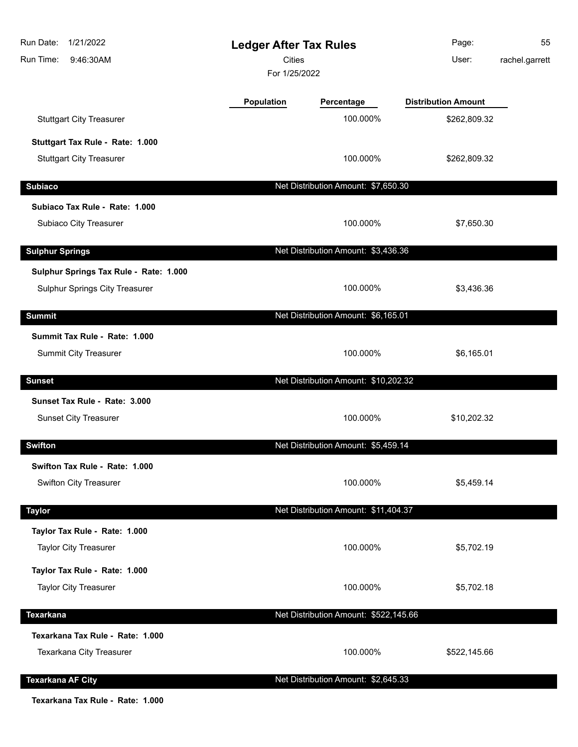| Run Date:<br>1/21/2022<br>Run Time:<br>9:46:30AM | <b>Ledger After Tax Rules</b><br><b>Cities</b><br>For 1/25/2022 |                                       | Page:<br>User:             | 55<br>rachel.garrett |
|--------------------------------------------------|-----------------------------------------------------------------|---------------------------------------|----------------------------|----------------------|
|                                                  | Population                                                      | Percentage                            | <b>Distribution Amount</b> |                      |
| <b>Stuttgart City Treasurer</b>                  |                                                                 | 100.000%                              | \$262,809.32               |                      |
| Stuttgart Tax Rule - Rate: 1.000                 |                                                                 |                                       |                            |                      |
| <b>Stuttgart City Treasurer</b>                  |                                                                 | 100.000%                              | \$262,809.32               |                      |
| <b>Subiaco</b>                                   |                                                                 | Net Distribution Amount: \$7,650.30   |                            |                      |
| Subiaco Tax Rule - Rate: 1.000                   |                                                                 |                                       |                            |                      |
| Subiaco City Treasurer                           |                                                                 | 100.000%                              | \$7,650.30                 |                      |
| <b>Sulphur Springs</b>                           |                                                                 | Net Distribution Amount: \$3,436.36   |                            |                      |
| Sulphur Springs Tax Rule - Rate: 1.000           |                                                                 |                                       |                            |                      |
| Sulphur Springs City Treasurer                   |                                                                 | 100.000%                              | \$3,436.36                 |                      |
| <b>Summit</b>                                    |                                                                 | Net Distribution Amount: \$6,165.01   |                            |                      |
| Summit Tax Rule - Rate: 1.000                    |                                                                 |                                       |                            |                      |
| <b>Summit City Treasurer</b>                     |                                                                 | 100.000%                              | \$6,165.01                 |                      |
| <b>Sunset</b>                                    |                                                                 | Net Distribution Amount: \$10,202.32  |                            |                      |
| Sunset Tax Rule - Rate: 3.000                    |                                                                 |                                       |                            |                      |
| <b>Sunset City Treasurer</b>                     |                                                                 | 100.000%                              | \$10,202.32                |                      |
| <b>Swifton</b>                                   |                                                                 | Net Distribution Amount: \$5,459.14   |                            |                      |
| Swifton Tax Rule - Rate: 1.000                   |                                                                 |                                       |                            |                      |
| <b>Swifton City Treasurer</b>                    |                                                                 | 100.000%                              | \$5,459.14                 |                      |
| <b>Taylor</b>                                    |                                                                 | Net Distribution Amount: \$11,404.37  |                            |                      |
| Taylor Tax Rule - Rate: 1.000                    |                                                                 |                                       |                            |                      |
| <b>Taylor City Treasurer</b>                     |                                                                 | 100.000%                              | \$5,702.19                 |                      |
| Taylor Tax Rule - Rate: 1.000                    |                                                                 |                                       |                            |                      |
| <b>Taylor City Treasurer</b>                     |                                                                 | 100.000%                              | \$5,702.18                 |                      |
| <b>Texarkana</b>                                 |                                                                 | Net Distribution Amount: \$522,145.66 |                            |                      |
| Texarkana Tax Rule - Rate: 1.000                 |                                                                 |                                       |                            |                      |
| Texarkana City Treasurer                         |                                                                 | 100.000%                              | \$522,145.66               |                      |
| <b>Texarkana AF City</b>                         |                                                                 | Net Distribution Amount: \$2,645.33   |                            |                      |

**Texarkana Tax Rule - Rate: 1.000**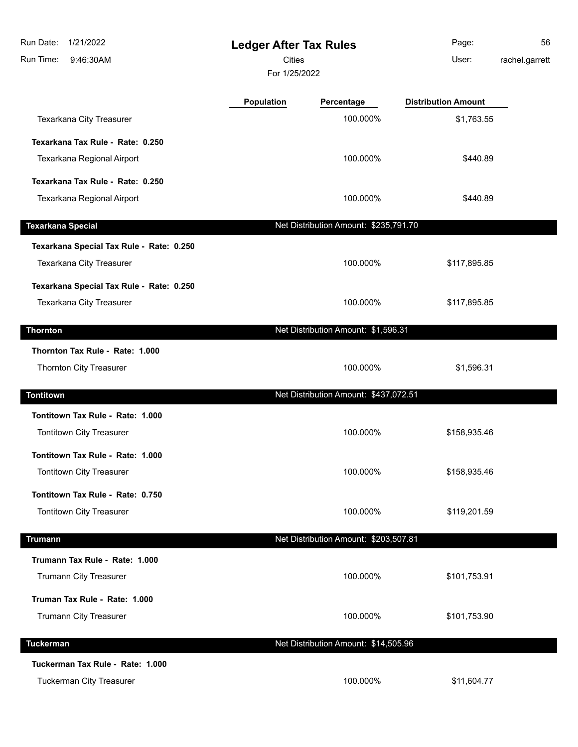| Run Date:<br>1/21/2022<br>Run Time:<br>9:46:30AM | <b>Ledger After Tax Rules</b><br><b>Cities</b> |                                       | Page:<br>User:             | 56<br>rachel.garrett |
|--------------------------------------------------|------------------------------------------------|---------------------------------------|----------------------------|----------------------|
|                                                  |                                                | For 1/25/2022                         |                            |                      |
|                                                  | <b>Population</b>                              | Percentage                            | <b>Distribution Amount</b> |                      |
| Texarkana City Treasurer                         |                                                | 100.000%                              | \$1,763.55                 |                      |
| Texarkana Tax Rule - Rate: 0.250                 |                                                |                                       |                            |                      |
| Texarkana Regional Airport                       |                                                | 100.000%                              | \$440.89                   |                      |
| Texarkana Tax Rule - Rate: 0.250                 |                                                |                                       |                            |                      |
| Texarkana Regional Airport                       |                                                | 100.000%                              | \$440.89                   |                      |
| <b>Texarkana Special</b>                         |                                                | Net Distribution Amount: \$235,791.70 |                            |                      |
| Texarkana Special Tax Rule - Rate: 0.250         |                                                |                                       |                            |                      |
| Texarkana City Treasurer                         |                                                | 100.000%                              | \$117,895.85               |                      |
| Texarkana Special Tax Rule - Rate: 0.250         |                                                |                                       |                            |                      |
| Texarkana City Treasurer                         |                                                | 100.000%                              | \$117,895.85               |                      |
| <b>Thornton</b>                                  |                                                | Net Distribution Amount: \$1,596.31   |                            |                      |
| Thornton Tax Rule - Rate: 1.000                  |                                                |                                       |                            |                      |
| Thornton City Treasurer                          |                                                | 100.000%                              | \$1,596.31                 |                      |
| <b>Tontitown</b>                                 |                                                | Net Distribution Amount: \$437,072.51 |                            |                      |
| Tontitown Tax Rule - Rate: 1.000                 |                                                |                                       |                            |                      |
| Tontitown City Treasurer                         |                                                | 100.000%                              | \$158,935.46               |                      |
| Tontitown Tax Rule - Rate: 1.000                 |                                                |                                       |                            |                      |
| Tontitown City Treasurer                         |                                                | 100.000%                              | \$158,935.46               |                      |
| Tontitown Tax Rule - Rate: 0.750                 |                                                |                                       |                            |                      |
| Tontitown City Treasurer                         |                                                | 100.000%                              | \$119,201.59               |                      |
| <b>Trumann</b>                                   |                                                | Net Distribution Amount: \$203,507.81 |                            |                      |
| Trumann Tax Rule - Rate: 1.000                   |                                                |                                       |                            |                      |
| Trumann City Treasurer                           |                                                | 100.000%                              | \$101,753.91               |                      |
| Truman Tax Rule - Rate: 1.000                    |                                                |                                       |                            |                      |
| Trumann City Treasurer                           |                                                | 100.000%                              | \$101,753.90               |                      |
| <b>Tuckerman</b>                                 |                                                | Net Distribution Amount: \$14,505.96  |                            |                      |
| Tuckerman Tax Rule - Rate: 1.000                 |                                                |                                       |                            |                      |
| Tuckerman City Treasurer                         |                                                | 100.000%                              | \$11,604.77                |                      |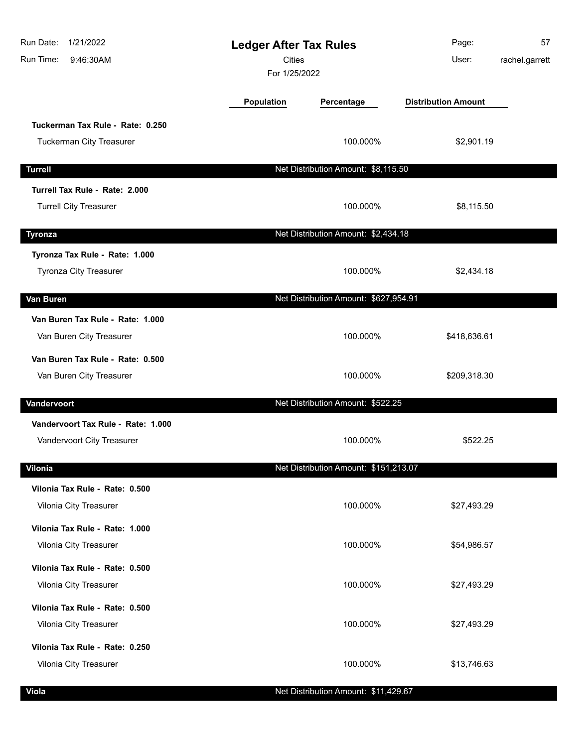| Run Date:<br>1/21/2022<br>Run Time:<br>9:46:30AM | <b>Ledger After Tax Rules</b><br><b>Cities</b><br>For 1/25/2022 |                                       | Page:<br>User:             | 57<br>rachel.garrett |
|--------------------------------------------------|-----------------------------------------------------------------|---------------------------------------|----------------------------|----------------------|
|                                                  | <b>Population</b>                                               | Percentage                            | <b>Distribution Amount</b> |                      |
| Tuckerman Tax Rule - Rate: 0.250                 |                                                                 |                                       |                            |                      |
| <b>Tuckerman City Treasurer</b>                  |                                                                 | 100.000%                              | \$2,901.19                 |                      |
| <b>Turrell</b>                                   |                                                                 | Net Distribution Amount: \$8,115.50   |                            |                      |
| Turrell Tax Rule - Rate: 2.000                   |                                                                 |                                       |                            |                      |
| <b>Turrell City Treasurer</b>                    |                                                                 | 100.000%                              | \$8,115.50                 |                      |
| <b>Tyronza</b>                                   |                                                                 | Net Distribution Amount: \$2,434.18   |                            |                      |
| Tyronza Tax Rule - Rate: 1.000                   |                                                                 |                                       |                            |                      |
| <b>Tyronza City Treasurer</b>                    |                                                                 | 100.000%                              | \$2,434.18                 |                      |
| Van Buren                                        |                                                                 | Net Distribution Amount: \$627,954.91 |                            |                      |
| Van Buren Tax Rule - Rate: 1.000                 |                                                                 |                                       |                            |                      |
| Van Buren City Treasurer                         |                                                                 | 100.000%                              | \$418,636.61               |                      |
| Van Buren Tax Rule - Rate: 0.500                 |                                                                 |                                       |                            |                      |
| Van Buren City Treasurer                         |                                                                 | 100.000%                              | \$209,318.30               |                      |
| Vandervoort                                      |                                                                 | Net Distribution Amount: \$522.25     |                            |                      |
| Vandervoort Tax Rule - Rate: 1.000               |                                                                 |                                       |                            |                      |
| Vandervoort City Treasurer                       |                                                                 | 100.000%                              | \$522.25                   |                      |
| Vilonia                                          |                                                                 | Net Distribution Amount: \$151,213.07 |                            |                      |
| Vilonia Tax Rule - Rate: 0.500                   |                                                                 |                                       |                            |                      |
| Vilonia City Treasurer                           |                                                                 | 100.000%                              | \$27,493.29                |                      |
| Vilonia Tax Rule - Rate: 1.000                   |                                                                 |                                       |                            |                      |
| Vilonia City Treasurer                           |                                                                 | 100.000%                              | \$54,986.57                |                      |
| Vilonia Tax Rule - Rate: 0.500                   |                                                                 |                                       |                            |                      |
| Vilonia City Treasurer                           |                                                                 | 100.000%                              | \$27,493.29                |                      |
| Vilonia Tax Rule - Rate: 0.500                   |                                                                 |                                       |                            |                      |
| Vilonia City Treasurer                           |                                                                 | 100.000%                              | \$27,493.29                |                      |
| Vilonia Tax Rule - Rate: 0.250                   |                                                                 |                                       |                            |                      |
| Vilonia City Treasurer                           |                                                                 | 100.000%                              | \$13,746.63                |                      |
| <b>Viola</b>                                     |                                                                 | Net Distribution Amount: \$11,429.67  |                            |                      |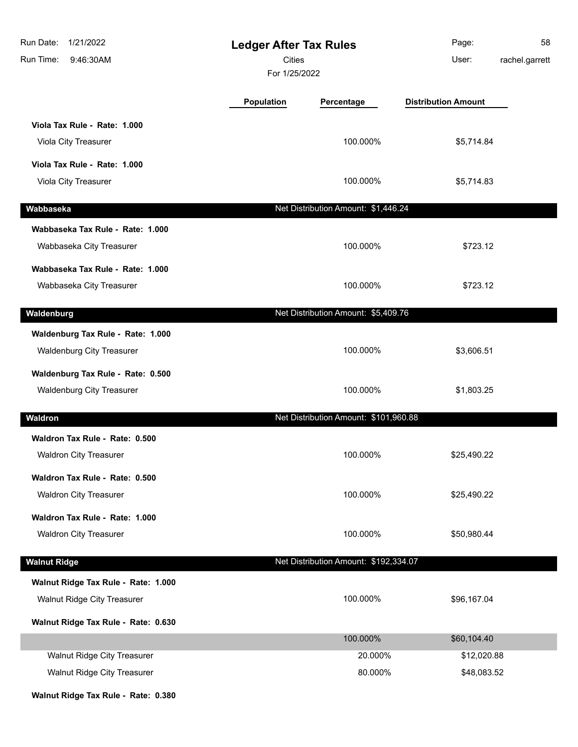| 1/21/2022<br>Run Date:<br>Run Time:<br>9:46:30AM                          | <b>Ledger After Tax Rules</b><br><b>Cities</b><br>For 1/25/2022 |                                       | Page:<br>User:             | 58<br>rachel.garrett |
|---------------------------------------------------------------------------|-----------------------------------------------------------------|---------------------------------------|----------------------------|----------------------|
|                                                                           | Population                                                      | Percentage                            | <b>Distribution Amount</b> |                      |
| Viola Tax Rule - Rate: 1.000<br>Viola City Treasurer                      |                                                                 | 100.000%                              | \$5,714.84                 |                      |
| Viola Tax Rule - Rate: 1.000<br>Viola City Treasurer                      |                                                                 | 100.000%                              | \$5,714.83                 |                      |
| Wabbaseka                                                                 |                                                                 | Net Distribution Amount: \$1,446.24   |                            |                      |
| Wabbaseka Tax Rule - Rate: 1.000<br>Wabbaseka City Treasurer              |                                                                 | 100.000%                              | \$723.12                   |                      |
| Wabbaseka Tax Rule - Rate: 1.000<br>Wabbaseka City Treasurer              |                                                                 | 100.000%                              | \$723.12                   |                      |
| Waldenburg                                                                |                                                                 | Net Distribution Amount: \$5,409.76   |                            |                      |
| Waldenburg Tax Rule - Rate: 1.000<br><b>Waldenburg City Treasurer</b>     |                                                                 | 100.000%                              | \$3,606.51                 |                      |
| Waldenburg Tax Rule - Rate: 0.500<br><b>Waldenburg City Treasurer</b>     |                                                                 | 100.000%                              | \$1,803.25                 |                      |
| Waldron                                                                   |                                                                 | Net Distribution Amount: \$101,960.88 |                            |                      |
| Waldron Tax Rule - Rate: 0.500<br><b>Waldron City Treasurer</b>           |                                                                 | 100.000%                              | \$25,490.22                |                      |
| Waldron Tax Rule - Rate: 0.500<br><b>Waldron City Treasurer</b>           |                                                                 | 100.000%                              | \$25,490.22                |                      |
| Waldron Tax Rule - Rate: 1.000<br><b>Waldron City Treasurer</b>           |                                                                 | 100.000%                              | \$50,980.44                |                      |
| <b>Walnut Ridge</b>                                                       |                                                                 | Net Distribution Amount: \$192,334.07 |                            |                      |
| Walnut Ridge Tax Rule - Rate: 1.000<br><b>Walnut Ridge City Treasurer</b> |                                                                 | 100.000%                              | \$96,167.04                |                      |
| Walnut Ridge Tax Rule - Rate: 0.630                                       |                                                                 |                                       |                            |                      |
| Walnut Ridge City Treasurer                                               |                                                                 | 100.000%<br>20.000%                   | \$60,104.40<br>\$12,020.88 |                      |
| Walnut Ridge City Treasurer                                               |                                                                 | 80.000%                               | \$48,083.52                |                      |
| Walnut Ridge Tax Rule - Rate: 0.380                                       |                                                                 |                                       |                            |                      |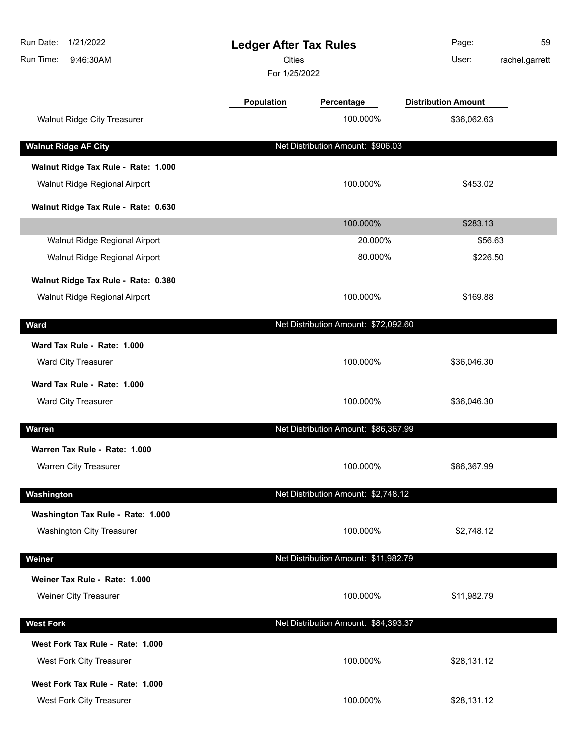| Population<br><b>Distribution Amount</b><br>Percentage<br>Walnut Ridge City Treasurer<br>100.000%<br>\$36,062.63<br><b>Walnut Ridge AF City</b><br>Net Distribution Amount: \$906.03<br>Walnut Ridge Tax Rule - Rate: 1.000<br>Walnut Ridge Regional Airport<br>100.000%<br>\$453.02<br>Walnut Ridge Tax Rule - Rate: 0.630<br>100.000%<br>\$283.13<br>Walnut Ridge Regional Airport<br>20.000%<br>\$56.63<br>Walnut Ridge Regional Airport<br>80.000%<br>\$226.50<br>Walnut Ridge Tax Rule - Rate: 0.380<br>Walnut Ridge Regional Airport<br>100.000%<br>\$169.88<br>Net Distribution Amount: \$72,092.60<br>Ward<br>Ward Tax Rule - Rate: 1.000<br>Ward City Treasurer<br>100.000%<br>\$36,046.30<br>Ward Tax Rule - Rate: 1.000<br>100.000%<br>Ward City Treasurer<br>\$36,046.30<br>Net Distribution Amount: \$86,367.99<br><b>Warren</b><br>Warren Tax Rule - Rate: 1.000<br>Warren City Treasurer<br>100.000%<br>\$86,367.99<br>Net Distribution Amount: \$2,748.12<br>Washington<br>Washington Tax Rule - Rate: 1.000<br><b>Washington City Treasurer</b><br>100.000%<br>\$2,748.12<br>Net Distribution Amount: \$11,982.79<br>Weiner<br>Weiner Tax Rule - Rate: 1.000<br>Weiner City Treasurer<br>100.000%<br>\$11,982.79<br>Net Distribution Amount: \$84,393.37<br><b>West Fork</b><br>West Fork Tax Rule - Rate: 1.000<br>100.000%<br>West Fork City Treasurer<br>\$28,131.12<br>West Fork Tax Rule - Rate: 1.000<br>West Fork City Treasurer<br>100.000%<br>\$28,131.12 | Run Date:<br>1/21/2022<br>Run Time:<br>9:46:30AM | <b>Ledger After Tax Rules</b><br><b>Cities</b><br>For 1/25/2022 |  | Page:<br>User: | 59<br>rachel.garrett |
|-------------------------------------------------------------------------------------------------------------------------------------------------------------------------------------------------------------------------------------------------------------------------------------------------------------------------------------------------------------------------------------------------------------------------------------------------------------------------------------------------------------------------------------------------------------------------------------------------------------------------------------------------------------------------------------------------------------------------------------------------------------------------------------------------------------------------------------------------------------------------------------------------------------------------------------------------------------------------------------------------------------------------------------------------------------------------------------------------------------------------------------------------------------------------------------------------------------------------------------------------------------------------------------------------------------------------------------------------------------------------------------------------------------------------------------------------------------------------------------|--------------------------------------------------|-----------------------------------------------------------------|--|----------------|----------------------|
|                                                                                                                                                                                                                                                                                                                                                                                                                                                                                                                                                                                                                                                                                                                                                                                                                                                                                                                                                                                                                                                                                                                                                                                                                                                                                                                                                                                                                                                                                     |                                                  |                                                                 |  |                |                      |
|                                                                                                                                                                                                                                                                                                                                                                                                                                                                                                                                                                                                                                                                                                                                                                                                                                                                                                                                                                                                                                                                                                                                                                                                                                                                                                                                                                                                                                                                                     |                                                  |                                                                 |  |                |                      |
|                                                                                                                                                                                                                                                                                                                                                                                                                                                                                                                                                                                                                                                                                                                                                                                                                                                                                                                                                                                                                                                                                                                                                                                                                                                                                                                                                                                                                                                                                     |                                                  |                                                                 |  |                |                      |
|                                                                                                                                                                                                                                                                                                                                                                                                                                                                                                                                                                                                                                                                                                                                                                                                                                                                                                                                                                                                                                                                                                                                                                                                                                                                                                                                                                                                                                                                                     |                                                  |                                                                 |  |                |                      |
|                                                                                                                                                                                                                                                                                                                                                                                                                                                                                                                                                                                                                                                                                                                                                                                                                                                                                                                                                                                                                                                                                                                                                                                                                                                                                                                                                                                                                                                                                     |                                                  |                                                                 |  |                |                      |
|                                                                                                                                                                                                                                                                                                                                                                                                                                                                                                                                                                                                                                                                                                                                                                                                                                                                                                                                                                                                                                                                                                                                                                                                                                                                                                                                                                                                                                                                                     |                                                  |                                                                 |  |                |                      |
|                                                                                                                                                                                                                                                                                                                                                                                                                                                                                                                                                                                                                                                                                                                                                                                                                                                                                                                                                                                                                                                                                                                                                                                                                                                                                                                                                                                                                                                                                     |                                                  |                                                                 |  |                |                      |
|                                                                                                                                                                                                                                                                                                                                                                                                                                                                                                                                                                                                                                                                                                                                                                                                                                                                                                                                                                                                                                                                                                                                                                                                                                                                                                                                                                                                                                                                                     |                                                  |                                                                 |  |                |                      |
|                                                                                                                                                                                                                                                                                                                                                                                                                                                                                                                                                                                                                                                                                                                                                                                                                                                                                                                                                                                                                                                                                                                                                                                                                                                                                                                                                                                                                                                                                     |                                                  |                                                                 |  |                |                      |
|                                                                                                                                                                                                                                                                                                                                                                                                                                                                                                                                                                                                                                                                                                                                                                                                                                                                                                                                                                                                                                                                                                                                                                                                                                                                                                                                                                                                                                                                                     |                                                  |                                                                 |  |                |                      |
|                                                                                                                                                                                                                                                                                                                                                                                                                                                                                                                                                                                                                                                                                                                                                                                                                                                                                                                                                                                                                                                                                                                                                                                                                                                                                                                                                                                                                                                                                     |                                                  |                                                                 |  |                |                      |
|                                                                                                                                                                                                                                                                                                                                                                                                                                                                                                                                                                                                                                                                                                                                                                                                                                                                                                                                                                                                                                                                                                                                                                                                                                                                                                                                                                                                                                                                                     |                                                  |                                                                 |  |                |                      |
|                                                                                                                                                                                                                                                                                                                                                                                                                                                                                                                                                                                                                                                                                                                                                                                                                                                                                                                                                                                                                                                                                                                                                                                                                                                                                                                                                                                                                                                                                     |                                                  |                                                                 |  |                |                      |
|                                                                                                                                                                                                                                                                                                                                                                                                                                                                                                                                                                                                                                                                                                                                                                                                                                                                                                                                                                                                                                                                                                                                                                                                                                                                                                                                                                                                                                                                                     |                                                  |                                                                 |  |                |                      |
|                                                                                                                                                                                                                                                                                                                                                                                                                                                                                                                                                                                                                                                                                                                                                                                                                                                                                                                                                                                                                                                                                                                                                                                                                                                                                                                                                                                                                                                                                     |                                                  |                                                                 |  |                |                      |
|                                                                                                                                                                                                                                                                                                                                                                                                                                                                                                                                                                                                                                                                                                                                                                                                                                                                                                                                                                                                                                                                                                                                                                                                                                                                                                                                                                                                                                                                                     |                                                  |                                                                 |  |                |                      |
|                                                                                                                                                                                                                                                                                                                                                                                                                                                                                                                                                                                                                                                                                                                                                                                                                                                                                                                                                                                                                                                                                                                                                                                                                                                                                                                                                                                                                                                                                     |                                                  |                                                                 |  |                |                      |
|                                                                                                                                                                                                                                                                                                                                                                                                                                                                                                                                                                                                                                                                                                                                                                                                                                                                                                                                                                                                                                                                                                                                                                                                                                                                                                                                                                                                                                                                                     |                                                  |                                                                 |  |                |                      |
|                                                                                                                                                                                                                                                                                                                                                                                                                                                                                                                                                                                                                                                                                                                                                                                                                                                                                                                                                                                                                                                                                                                                                                                                                                                                                                                                                                                                                                                                                     |                                                  |                                                                 |  |                |                      |
|                                                                                                                                                                                                                                                                                                                                                                                                                                                                                                                                                                                                                                                                                                                                                                                                                                                                                                                                                                                                                                                                                                                                                                                                                                                                                                                                                                                                                                                                                     |                                                  |                                                                 |  |                |                      |
|                                                                                                                                                                                                                                                                                                                                                                                                                                                                                                                                                                                                                                                                                                                                                                                                                                                                                                                                                                                                                                                                                                                                                                                                                                                                                                                                                                                                                                                                                     |                                                  |                                                                 |  |                |                      |
|                                                                                                                                                                                                                                                                                                                                                                                                                                                                                                                                                                                                                                                                                                                                                                                                                                                                                                                                                                                                                                                                                                                                                                                                                                                                                                                                                                                                                                                                                     |                                                  |                                                                 |  |                |                      |
|                                                                                                                                                                                                                                                                                                                                                                                                                                                                                                                                                                                                                                                                                                                                                                                                                                                                                                                                                                                                                                                                                                                                                                                                                                                                                                                                                                                                                                                                                     |                                                  |                                                                 |  |                |                      |
|                                                                                                                                                                                                                                                                                                                                                                                                                                                                                                                                                                                                                                                                                                                                                                                                                                                                                                                                                                                                                                                                                                                                                                                                                                                                                                                                                                                                                                                                                     |                                                  |                                                                 |  |                |                      |
|                                                                                                                                                                                                                                                                                                                                                                                                                                                                                                                                                                                                                                                                                                                                                                                                                                                                                                                                                                                                                                                                                                                                                                                                                                                                                                                                                                                                                                                                                     |                                                  |                                                                 |  |                |                      |
|                                                                                                                                                                                                                                                                                                                                                                                                                                                                                                                                                                                                                                                                                                                                                                                                                                                                                                                                                                                                                                                                                                                                                                                                                                                                                                                                                                                                                                                                                     |                                                  |                                                                 |  |                |                      |
|                                                                                                                                                                                                                                                                                                                                                                                                                                                                                                                                                                                                                                                                                                                                                                                                                                                                                                                                                                                                                                                                                                                                                                                                                                                                                                                                                                                                                                                                                     |                                                  |                                                                 |  |                |                      |
|                                                                                                                                                                                                                                                                                                                                                                                                                                                                                                                                                                                                                                                                                                                                                                                                                                                                                                                                                                                                                                                                                                                                                                                                                                                                                                                                                                                                                                                                                     |                                                  |                                                                 |  |                |                      |
|                                                                                                                                                                                                                                                                                                                                                                                                                                                                                                                                                                                                                                                                                                                                                                                                                                                                                                                                                                                                                                                                                                                                                                                                                                                                                                                                                                                                                                                                                     |                                                  |                                                                 |  |                |                      |
|                                                                                                                                                                                                                                                                                                                                                                                                                                                                                                                                                                                                                                                                                                                                                                                                                                                                                                                                                                                                                                                                                                                                                                                                                                                                                                                                                                                                                                                                                     |                                                  |                                                                 |  |                |                      |
|                                                                                                                                                                                                                                                                                                                                                                                                                                                                                                                                                                                                                                                                                                                                                                                                                                                                                                                                                                                                                                                                                                                                                                                                                                                                                                                                                                                                                                                                                     |                                                  |                                                                 |  |                |                      |
|                                                                                                                                                                                                                                                                                                                                                                                                                                                                                                                                                                                                                                                                                                                                                                                                                                                                                                                                                                                                                                                                                                                                                                                                                                                                                                                                                                                                                                                                                     |                                                  |                                                                 |  |                |                      |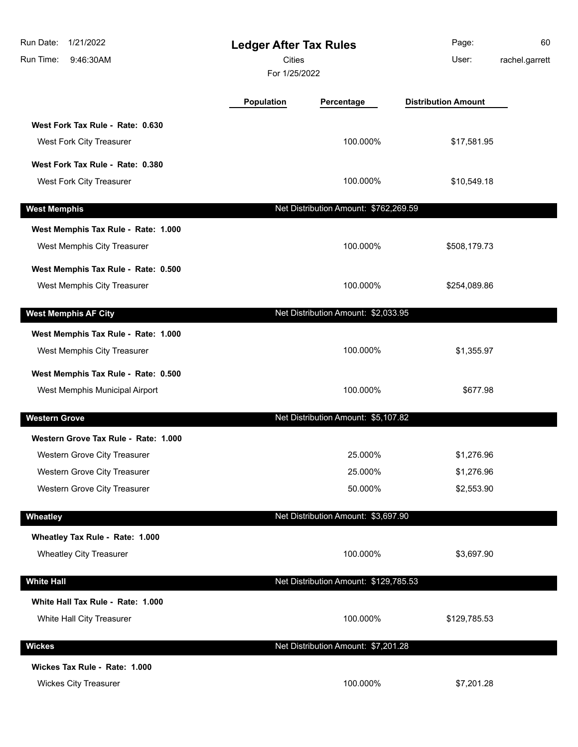| Run Date:<br>1/21/2022<br>Run Time:<br>9:46:30AM |                                      | <b>Ledger After Tax Rules</b><br><b>Cities</b><br>For 1/25/2022 |                                       | Page:<br>User:             | 60<br>rachel.garrett |
|--------------------------------------------------|--------------------------------------|-----------------------------------------------------------------|---------------------------------------|----------------------------|----------------------|
|                                                  |                                      | <b>Population</b>                                               | Percentage                            | <b>Distribution Amount</b> |                      |
|                                                  | West Fork Tax Rule - Rate: 0.630     |                                                                 |                                       |                            |                      |
| West Fork City Treasurer                         |                                      |                                                                 | 100.000%                              | \$17,581.95                |                      |
|                                                  | West Fork Tax Rule - Rate: 0.380     |                                                                 |                                       |                            |                      |
| West Fork City Treasurer                         |                                      |                                                                 | 100.000%                              | \$10,549.18                |                      |
| <b>West Memphis</b>                              |                                      |                                                                 | Net Distribution Amount: \$762,269.59 |                            |                      |
|                                                  | West Memphis Tax Rule - Rate: 1.000  |                                                                 |                                       |                            |                      |
| West Memphis City Treasurer                      |                                      |                                                                 | 100.000%                              | \$508,179.73               |                      |
|                                                  | West Memphis Tax Rule - Rate: 0.500  |                                                                 |                                       |                            |                      |
| West Memphis City Treasurer                      |                                      |                                                                 | 100.000%                              | \$254,089.86               |                      |
| <b>West Memphis AF City</b>                      |                                      |                                                                 | Net Distribution Amount: \$2,033.95   |                            |                      |
|                                                  | West Memphis Tax Rule - Rate: 1.000  |                                                                 |                                       |                            |                      |
| West Memphis City Treasurer                      |                                      |                                                                 | 100.000%                              | \$1,355.97                 |                      |
|                                                  | West Memphis Tax Rule - Rate: 0.500  |                                                                 |                                       |                            |                      |
|                                                  | West Memphis Municipal Airport       |                                                                 | 100.000%                              | \$677.98                   |                      |
| <b>Western Grove</b>                             |                                      |                                                                 | Net Distribution Amount: \$5,107.82   |                            |                      |
|                                                  | Western Grove Tax Rule - Rate: 1.000 |                                                                 |                                       |                            |                      |
|                                                  | Western Grove City Treasurer         |                                                                 | 25.000%                               | \$1,276.96                 |                      |
|                                                  | Western Grove City Treasurer         |                                                                 | 25.000%                               | \$1,276.96                 |                      |
|                                                  | Western Grove City Treasurer         |                                                                 | 50.000%                               | \$2,553.90                 |                      |
| Wheatley                                         |                                      |                                                                 | Net Distribution Amount: \$3,697.90   |                            |                      |
|                                                  | Wheatley Tax Rule - Rate: 1.000      |                                                                 |                                       |                            |                      |
| <b>Wheatley City Treasurer</b>                   |                                      |                                                                 | 100.000%                              | \$3,697.90                 |                      |
| <b>White Hall</b>                                |                                      |                                                                 | Net Distribution Amount: \$129,785.53 |                            |                      |
|                                                  | White Hall Tax Rule - Rate: 1.000    |                                                                 |                                       |                            |                      |
| White Hall City Treasurer                        |                                      |                                                                 | 100.000%                              | \$129,785.53               |                      |
| <b>Wickes</b>                                    |                                      |                                                                 | Net Distribution Amount: \$7,201.28   |                            |                      |
| Wickes Tax Rule - Rate: 1.000                    |                                      |                                                                 |                                       |                            |                      |
| <b>Wickes City Treasurer</b>                     |                                      |                                                                 | 100.000%                              | \$7,201.28                 |                      |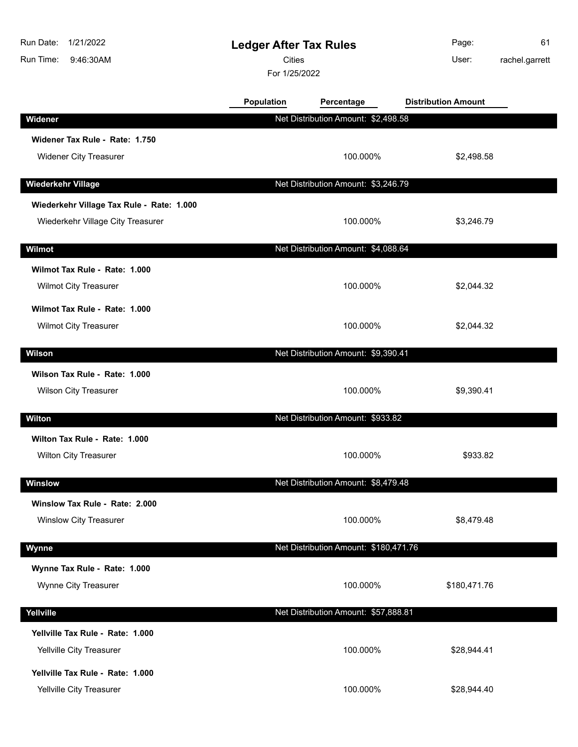| Run Date:<br>1/21/2022<br>Run Time:<br>9:46:30AM                | <b>Ledger After Tax Rules</b><br><b>Cities</b><br>For 1/25/2022 |                                       | Page:<br>User:             | 61<br>rachel.garrett |
|-----------------------------------------------------------------|-----------------------------------------------------------------|---------------------------------------|----------------------------|----------------------|
|                                                                 | Population                                                      | Percentage                            | <b>Distribution Amount</b> |                      |
| Widener                                                         |                                                                 | Net Distribution Amount: \$2,498.58   |                            |                      |
| Widener Tax Rule - Rate: 1.750                                  |                                                                 |                                       |                            |                      |
| <b>Widener City Treasurer</b>                                   |                                                                 | 100.000%                              | \$2,498.58                 |                      |
| <b>Wiederkehr Village</b>                                       |                                                                 | Net Distribution Amount: \$3,246.79   |                            |                      |
| Wiederkehr Village Tax Rule - Rate: 1.000                       |                                                                 |                                       |                            |                      |
| Wiederkehr Village City Treasurer                               |                                                                 | 100.000%                              | \$3,246.79                 |                      |
| Wilmot                                                          |                                                                 | Net Distribution Amount: \$4,088.64   |                            |                      |
| Wilmot Tax Rule - Rate: 1.000<br>Wilmot City Treasurer          |                                                                 | 100.000%                              | \$2,044.32                 |                      |
| Wilmot Tax Rule - Rate: 1.000<br>Wilmot City Treasurer          |                                                                 | 100.000%                              | \$2,044.32                 |                      |
| <b>Wilson</b>                                                   |                                                                 | Net Distribution Amount: \$9,390.41   |                            |                      |
| Wilson Tax Rule - Rate: 1.000<br>Wilson City Treasurer          |                                                                 | 100.000%                              | \$9,390.41                 |                      |
| Wilton                                                          |                                                                 | Net Distribution Amount: \$933.82     |                            |                      |
| Wilton Tax Rule - Rate: 1.000<br>Wilton City Treasurer          |                                                                 | 100.000%                              | \$933.82                   |                      |
| Winslow                                                         |                                                                 | Net Distribution Amount: \$8,479.48   |                            |                      |
| Winslow Tax Rule - Rate: 2.000<br><b>Winslow City Treasurer</b> |                                                                 | 100.000%                              | \$8,479.48                 |                      |
| Wynne                                                           |                                                                 | Net Distribution Amount: \$180,471.76 |                            |                      |
| Wynne Tax Rule - Rate: 1.000<br>Wynne City Treasurer            |                                                                 | 100.000%                              | \$180,471.76               |                      |
| Yellville                                                       |                                                                 | Net Distribution Amount: \$57,888.81  |                            |                      |
| Yellville Tax Rule - Rate: 1.000<br>Yellville City Treasurer    |                                                                 | 100.000%                              | \$28,944.41                |                      |
| Yellville Tax Rule - Rate: 1.000<br>Yellville City Treasurer    |                                                                 | 100.000%                              | \$28,944.40                |                      |